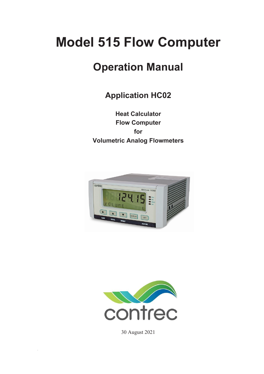# **Model 515 Flow Computer**

# **Operation Manual**

# **Application HC02**

**Heat Calculator Flow Computer for Volumetric Analog Flowmeters** 





30 August 2021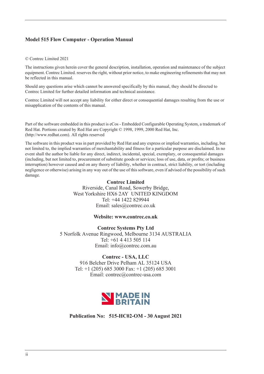### **Model 515 Flow Computer - Operation Manual**

#### © Contrec Limited 2021

The instructions given herein cover the general description, installation, operation and maintenance of the subject equipment. Contrec Limited. reserves the right, without prior notice, to make engineering refinements that may not be reflected in this manual.

Should any questions arise which cannot be answered specifically by this manual, they should be directed to Contrec Limited for further detailed information and technical assistance.

Contrec Limited will not accept any liability for either direct or consequential damages resulting from the use or misapplication of the contents of this manual.

Part of the software embedded in this product is eCos - Embedded Configurable Operating System, a trademark of Red Hat. Portions created by Red Hat are Copyright © 1998, 1999, 2000 Red Hat, Inc. (http://www.redhat.com). All rights reserved

The software in this product was in part provided by Red Hat and any express or implied warranties, including, but not limited to, the implied warranties of merchantability and fitness for a particular purpose are disclaimed. In no event shall the author be liable for any direct, indirect, incidental, special, exemplary, or consequential damages (including, but not limited to, procurement of substitute goods or services; loss of use, data, or profits; or business interruption) however caused and on any theory of liability, whether in contract, strict liability, or tort (including negligence or otherwise) arising in any way out of the use of this software, even if advised of the possibility of such damage.

#### **Contrec Limited**

Riverside, Canal Road, Sowerby Bridge, West Yorkshire HX6 2AY UNITED KINGDOM Tel: +44 1422 829944 Email: sales@contrec.co.uk

#### **Website: www.contrec.co.uk**

**Contrec Systems Pty Ltd** 5 Norfolk Avenue Ringwood, Melbourne 3134 AUSTRALIA Tel: +61 4 413 505 114 Email: info@contrec.com.au

#### **Contrec - USA, LLC**

916 Belcher Drive Pelham AL 35124 USA Tel: +1 (205) 685 3000 Fax: +1 (205) 685 3001 Email: contrec@contrec-usa.com



**Publication No: 515-HC02-OM - 30 August 2021**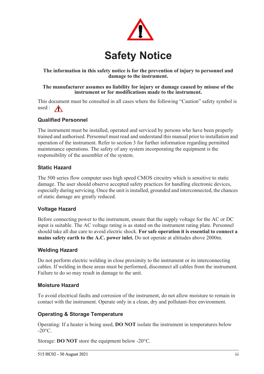

### **The information in this safety notice is for the prevention of injury to personnel and damage to the instrument.**

### **The manufacturer assumes no liability for injury or damage caused by misuse of the instrument or for modifications made to the instrument.**

This document must be consulted in all cases where the following "Caution" safety symbol is used :  $\bigwedge$ 

### **Qualified Personnel**

The instrument must be installed, operated and serviced by persons who have been properly trained and authorised. Personnel must read and understand this manual prior to installation and operation of the instrument. Refer to section 3 for further information regarding permitted maintenance operations. The safety of any system incorporating the equipment is the responsibility of the assembler of the system.

### **Static Hazard**

The 500 series flow computer uses high speed CMOS circuitry which is sensitive to static damage. The user should observe accepted safety practices for handling electronic devices, especially during servicing. Once the unit is installed, grounded and interconnected, the chances of static damage are greatly reduced.

### **Voltage Hazard**

Before connecting power to the instrument, ensure that the supply voltage for the AC or DC input is suitable. The AC voltage rating is as stated on the instrument rating plate. Personnel should take all due care to avoid electric shock. **For safe operation it is essential to connect a mains safety earth to the A.C. power inlet.** Do not operate at altitudes above 2000m.

### **Welding Hazard**

Do not perform electric welding in close proximity to the instrument or its interconnecting cables. If welding in these areas must be performed, disconnect all cables from the instrument. Failure to do so may result in damage to the unit.

### **Moisture Hazard**

To avoid electrical faults and corrosion of the instrument, do not allow moisture to remain in contact with the instrument. Operate only in a clean, dry and pollutant-free environment.

### **Operating & Storage Temperature**

Operating: If a heater is being used, **DO NOT** isolate the instrument in temperatures below  $-20^{\circ}$ C.

Storage: **DO NOT** store the equipment below -20°C.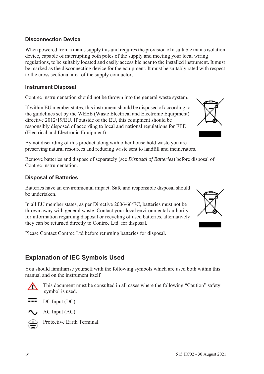### **Disconnection Device**

When powered from a mains supply this unit requires the provision of a suitable mains isolation device, capable of interrupting both poles of the supply and meeting your local wiring regulations, to be suitably located and easily accessible near to the installed instrument. It must be marked as the disconnecting device for the equipment. It must be suitably rated with respect to the cross sectional area of the supply conductors.

### **Instrument Disposal**

Contrec instrumentation should not be thrown into the general waste system.

If within EU member states, this instrument should be disposed of according to the guidelines set by the WEEE (Waste Electrical and Electronic Equipment) directive 2012/19/EU. If outside of the EU, this equipment should be responsibly disposed of according to local and national regulations for EEE (Electrical and Electronic Equipment).

By not discarding of this product along with other house hold waste you are preserving natural resources and reducing waste sent to landfill and incinerators.

Remove batteries and dispose of separately (see *Disposal of Batteries*) before disposal of Contrec instrumentation.

### **Disposal of Batteries**

Batteries have an environmental impact. Safe and responsible disposal should be undertaken.

In all EU member states, as per Directive 2006/66/EC, batteries must not be thrown away with general waste. Contact your local environmental authority for information regarding disposal or recycling of used batteries, alternatively they can be returned directly to Contrec Ltd. for disposal.

Please Contact Contrec Ltd before returning batteries for disposal.

# **Explanation of IEC Symbols Used**

You should familiarise yourself with the following symbols which are used both within this manual and on the instrument itself.



 This document must be consulted in all cases where the following "Caution" safety symbol is used.



AC Input (AC).



Protective Earth Terminal.



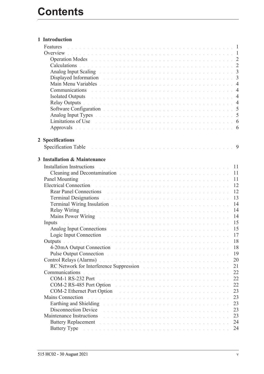### **[1 Introduction](#page-10-0)**

|   | Calculations de la communication de la communication de la communication de la communication de la communication                                                                                                               |    |
|---|--------------------------------------------------------------------------------------------------------------------------------------------------------------------------------------------------------------------------------|----|
|   |                                                                                                                                                                                                                                |    |
|   | Displayed Information and a contract of the contract of the contract of the contract of the 3                                                                                                                                  |    |
|   |                                                                                                                                                                                                                                |    |
|   | Communications research resources and contract the contract of the contract of the 4                                                                                                                                           |    |
|   | Isolated Outputs and a contract the contract of the contract of the contract of the contract of the contract of the contract of the contract of the contract of the contract of the contract of the contract of the contract o |    |
|   |                                                                                                                                                                                                                                |    |
|   |                                                                                                                                                                                                                                |    |
|   |                                                                                                                                                                                                                                |    |
|   | Limitations of Use the community of the community of the community of the community of the community of the community of the community of the community of the community of the community of the community of the community of |    |
|   | Approvals and a construction of the construction of the construction of the construction of the construction of the construction of the construction of the construction of the construction of the construction of the constr |    |
|   |                                                                                                                                                                                                                                |    |
|   | 2 Specifications                                                                                                                                                                                                               |    |
|   |                                                                                                                                                                                                                                |    |
|   |                                                                                                                                                                                                                                |    |
| 3 | <b>Installation &amp; Maintenance</b>                                                                                                                                                                                          |    |
|   | Installation Instructions and a contract the contract of the contract of the contract of the contract of the contract of the contract of the contract of the contract of the contract of the contract of the contract of the c |    |
|   | Cleaning and Decontamination and the contract of the contract of the contract of the contract of the contract of the contract of the contract of the contract of the contract of the contract of the contract of the contract  |    |
|   | Panel Mounting research and contract the contract of the contract of the contract of the 11                                                                                                                                    |    |
|   | Electrical Connection and a constant of the contract of the contract of the contract of the contract of the contract of the contract of the contract of the contract of the contract of the contract of the contract of the co |    |
|   | Rear Panel Connections and the contract of the contract of the contract of the contract of the contract of the contract of the contract of the contract of the contract of the contract of the contract of the contract of the | 12 |
|   | Terminal Designations and a contract the contract of the contract of the contract of the contract of the contract of the contract of the contract of the contract of the contract of the contract of the contract of the contr | 13 |
|   | Terminal Wiring Insulation and a contract of the contract of the contract of the 14                                                                                                                                            |    |
|   | Relay Wiring Theorem 2014 Communication of the Communication of the Communication of the Relay of the Communication of the Communication of the Communication of the Communication of the Communication of the Communication o |    |
|   | Mains Power Wiring Mathews Allen and Allen and Allen and Allen and Allen and Allen and Allen and Allen and Allen                                                                                                               | 14 |
|   | . The contract of the contract of the contract of the contract of the contract $\sim 15$<br>Inputs                                                                                                                             |    |
|   | Analog Input Connections and a contract the contract of the contract of the state of the 15                                                                                                                                    |    |
|   | Logic Input Connection and a construction of the contract of the contract of the 17                                                                                                                                            |    |
|   | Outputs a communication of the communication of the communication of the communication                                                                                                                                         | 18 |
|   | 4-20 mA Output Connection and the contract of the contract of the contract of the contract of the contract of the contract of the contract of the contract of the contract of the contract of the contract of the contract of  | 18 |
|   | Pulse Output Connection entry the contract of the contract of the contract of the connection of the connection                                                                                                                 | 19 |
|   | Control Relays (Alarms) and a control of the control of the control of the control of the control of the control of the control of the control of the control of the control of the control of the control of the control of t | 20 |
|   | RC Network for Interference Suppression and a contract to the contract of the set of the set of the set of the                                                                                                                 | 21 |
|   | Communications<br>.<br>In the second complete the second complete service in the second complete service in the second complete servic                                                                                         | 22 |
|   | COM-1 RS-232 Port<br>.<br>In the second contract of the contract of the contract of the contract of the contract of the contract of the                                                                                        | 22 |
|   | COM-2 RS-485 Port Option                                                                                                                                                                                                       | 22 |
|   | COM-2 Ethernet Port Option                                                                                                                                                                                                     | 23 |
|   | <b>Mains Connection</b><br>.<br>In the company of the company of the company of the company of the company of the company of the company of th                                                                                 | 23 |
|   | Earthing and Shielding Theorem 2014 Contract of the Contract of the Contract of the Contract of the Contract of the Contract of the Contract of the Contract of the Contract of the Contract of the Contract of the Contract o | 23 |
|   | Disconnection Device                                                                                                                                                                                                           | 23 |
|   | Maintenance Instructions                                                                                                                                                                                                       | 23 |
|   | Battery Replacement and the contract of the contract of the contract of the contract of the contract of the contract of the contract of the contract of the contract of the contract of the contract of the contract of the co | 24 |
|   | Battery Type and a contract the contract of the contract of the contract of the contract of the contract of the                                                                                                                | 24 |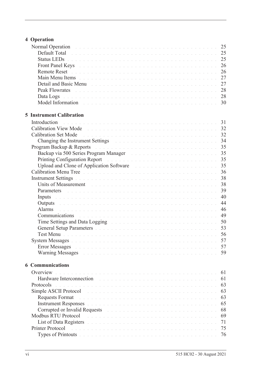# **[4 Operation](#page-34-0)**

| Normal Operation and a contract the contract of the contract of the contract of the 25                                                                                                                                         |  |  |  |  |  |  |  |  |          |
|--------------------------------------------------------------------------------------------------------------------------------------------------------------------------------------------------------------------------------|--|--|--|--|--|--|--|--|----------|
| Default Total de la commune de la commune de la commune de la commune de la commune de 25                                                                                                                                      |  |  |  |  |  |  |  |  |          |
| Status LEDs <b>Election Community 25</b> Status Leader Community 25                                                                                                                                                            |  |  |  |  |  |  |  |  |          |
| Front Panel Keys and a construction of the construction of the construction of 26                                                                                                                                              |  |  |  |  |  |  |  |  |          |
|                                                                                                                                                                                                                                |  |  |  |  |  |  |  |  |          |
| Main Menu Items des anderes and des anderes and des anderes and the contract of 27                                                                                                                                             |  |  |  |  |  |  |  |  |          |
|                                                                                                                                                                                                                                |  |  |  |  |  |  |  |  |          |
|                                                                                                                                                                                                                                |  |  |  |  |  |  |  |  |          |
| Data Logs de la component de la component de la component de la component de 28                                                                                                                                                |  |  |  |  |  |  |  |  |          |
|                                                                                                                                                                                                                                |  |  |  |  |  |  |  |  |          |
|                                                                                                                                                                                                                                |  |  |  |  |  |  |  |  |          |
| <b>5 Instrument Calibration</b>                                                                                                                                                                                                |  |  |  |  |  |  |  |  |          |
| Introduction                                                                                                                                                                                                                   |  |  |  |  |  |  |  |  |          |
|                                                                                                                                                                                                                                |  |  |  |  |  |  |  |  |          |
|                                                                                                                                                                                                                                |  |  |  |  |  |  |  |  |          |
| Changing the Instrument Settings and a contract of the contract of the state of the 34                                                                                                                                         |  |  |  |  |  |  |  |  |          |
| Program Backup & Reports and a contract the contract of the contract of the state of the 35                                                                                                                                    |  |  |  |  |  |  |  |  |          |
|                                                                                                                                                                                                                                |  |  |  |  |  |  |  |  |          |
|                                                                                                                                                                                                                                |  |  |  |  |  |  |  |  |          |
| Upload and Clone of Application Software and a substitution of the Software and a substitution of Application Software                                                                                                         |  |  |  |  |  |  |  |  |          |
| Calibration Menu Tree Albert and Albert and Albert and Albert and Albert and Albert 36                                                                                                                                         |  |  |  |  |  |  |  |  |          |
|                                                                                                                                                                                                                                |  |  |  |  |  |  |  |  |          |
| Units of Measurement                                                                                                                                                                                                           |  |  |  |  |  |  |  |  | 38       |
| Parameters and a construction of the construction of the construction of the 39                                                                                                                                                |  |  |  |  |  |  |  |  |          |
| Inputs and a communication of the communication of the communication of the communication of the communication                                                                                                                 |  |  |  |  |  |  |  |  | 40       |
| Outputs and containing the contact of the contact of the contact of the contact of the contact of the contact of the contact of the contact of the contact of the contact of the contact of the contact of the contact of the  |  |  |  |  |  |  |  |  | 44       |
| Alarms                                                                                                                                                                                                                         |  |  |  |  |  |  |  |  | 46       |
| <b>Communications <i>COMMUNICATION COMMUNICATION</i> <b><i>COMMUNICATION COMMUNICATION</i></b></b>                                                                                                                             |  |  |  |  |  |  |  |  | 49       |
| Time Settings and Data Logging The Contract of the Contract of the Settings and Data Logging                                                                                                                                   |  |  |  |  |  |  |  |  | 50       |
| General Setup Parameters and a construction of the construction of the set of the S3                                                                                                                                           |  |  |  |  |  |  |  |  |          |
| Test Menu barramente de la construcción de la construcción de la construcción de la construcción de 56                                                                                                                         |  |  |  |  |  |  |  |  |          |
| System Messages with a community of the community of the set of the community of the community of the community of the community of the community of the community of the community of the community of the community of the c |  |  |  |  |  |  |  |  | 57       |
| <b>Error Messages</b>                                                                                                                                                                                                          |  |  |  |  |  |  |  |  | 57       |
| Warning Messages and a contract the contract of the contract of the contract of the contract of the contract of the contract of the contract of the contract of the contract of the contract of the contract of the contract o |  |  |  |  |  |  |  |  | 59       |
| <b>6 Communications</b>                                                                                                                                                                                                        |  |  |  |  |  |  |  |  |          |
| Overview<br>.<br>In the second contract of the second contract of the second contract of the second contract of the second contr                                                                                               |  |  |  |  |  |  |  |  | 61       |
|                                                                                                                                                                                                                                |  |  |  |  |  |  |  |  | 61       |
| Hardware Interconnection<br>.<br>The contract of the contract of the contract of the contract of the contract of the contract of the contract o                                                                                |  |  |  |  |  |  |  |  |          |
| Protocols<br>a construction and a construction of a construction of a construction of a construction of a construction of                                                                                                      |  |  |  |  |  |  |  |  | 63<br>63 |
| Simple ASCII Protocol<br>.<br>In the second complete state of the second complete state of the second complete state of the second complete                                                                                    |  |  |  |  |  |  |  |  |          |
| <b>Requests Format</b>                                                                                                                                                                                                         |  |  |  |  |  |  |  |  | 63       |
| Instrument Responses and a construction of the construction of the construction of the construction of the construction of the construction of the construction of the construction of the construction of the construction of |  |  |  |  |  |  |  |  | 65       |
| Corrupted or Invalid Requests and a contract the contract of the contract of the contract of the contract of the contract of the contract of the contract of the contract of the contract of the contract of the contract of t |  |  |  |  |  |  |  |  | 68       |
| Modbus RTU Protocol<br>.<br>The component of the component of the component of the component of the component of the component of the component                                                                                |  |  |  |  |  |  |  |  | 69       |
| List of Data Registers and a conservation of the conservation of the conservation of the conservation of the conservation of the conservation of the conservation of the conservation of the conservation of the conservation  |  |  |  |  |  |  |  |  | 71       |
| Printer Protocol<br>.<br>In the second complete the second complete second complete the second complete second complete second complete                                                                                        |  |  |  |  |  |  |  |  | 75       |
| Types of Printouts and a contract of the contract of the contract of the contract of the contract of the contract of the contract of the contract of the contract of the contract of the contract of the contract of the contr |  |  |  |  |  |  |  |  | 76       |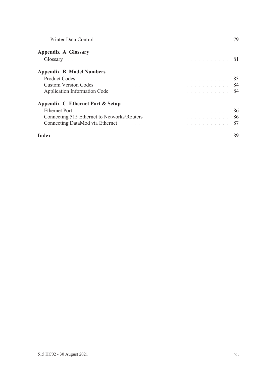| Printer Data Control <b>Expansion Control</b> 29                                                                                                                                                                               |  |
|--------------------------------------------------------------------------------------------------------------------------------------------------------------------------------------------------------------------------------|--|
| <b>Appendix A Glossary</b>                                                                                                                                                                                                     |  |
| Glossary and the contract of the contract of the contract of the contract of the contract of the contract of the contract of the contract of the contract of the contract of the contract of the contract of the contract of t |  |
| <b>Appendix B Model Numbers</b>                                                                                                                                                                                                |  |
|                                                                                                                                                                                                                                |  |
| <b>Custom Version Codes Contained Algebra</b> 2014 <b>Custom Version Codes Contained Algebra 2014</b>                                                                                                                          |  |
| Application Information Code                                                                                                                                                                                                   |  |
| Appendix C Ethernet Port & Setup                                                                                                                                                                                               |  |
| Ethernet Port de la communicación de la communicación de la communicación de la communicación 86                                                                                                                               |  |
| Connecting 515 Ethernet to Networks/Routers and a connection of the state of the 86                                                                                                                                            |  |
|                                                                                                                                                                                                                                |  |
| Index <b>Index International Contract Construction</b> in the construction of the construction of $89$                                                                                                                         |  |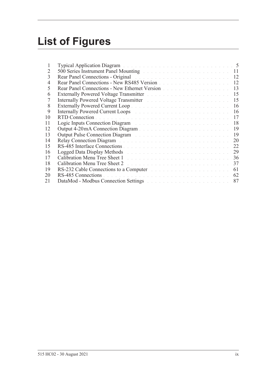# **List of Figures**

| 1  | Typical Application Diagram and a contract of the contract of the contract of the 5                                                                                                                                            |    |
|----|--------------------------------------------------------------------------------------------------------------------------------------------------------------------------------------------------------------------------------|----|
| 2  | 500 Series Instrument Panel Mounting and a contract of the series of the 11                                                                                                                                                    |    |
| 3  | Rear Panel Connections - Original entrepreneur and a series of the series of the 12                                                                                                                                            |    |
| 4  | Rear Panel Connections - New RS485 Version                                                                                                                                                                                     | 12 |
| 5  | Rear Panel Connections - New Ethernet Version                                                                                                                                                                                  | 13 |
| 6  | Externally Powered Voltage Transmitter North State Land and Alexandre Powered Voltage Transmitter North State Land                                                                                                             | 15 |
| 7  | Internally Powered Voltage Transmitter March 2014 and State and State and State and                                                                                                                                            | 15 |
| 8  |                                                                                                                                                                                                                                | 16 |
| 9  | Internally Powered Current Loops and a contract to the contract of the contract of the contract of the contract of the contract of the contract of the contract of the contract of the contract of the contract of the contrac | 16 |
| 10 |                                                                                                                                                                                                                                | 17 |
| 11 | Logic Inputs Connection Diagram and a connection of the Connection of the Connection of the Connection of the Connection of the Connection of the Connection of the Connection of the Connection of the Connection of the Conn | 18 |
| 12 | Output 4-20mA Connection Diagram                                                                                                                                                                                               | 19 |
| 13 | Output Pulse Connection Diagram and a connection of the Connection of the Connection of the Connection of the Connection of the Connection of the Connection of the Connection of the Connection of the Connection of the Conn | 19 |
| 14 | Relay Connection Diagram and a connection of the connection of the Connection of the Connection of the Connection of the Connection of the Connection of the Connection of the Connection of the Connection of the Connection  | 20 |
| 15 |                                                                                                                                                                                                                                | 22 |
| 16 | Logged Data Display Methods and a contract the contract of the contract of the contract of the contract of the                                                                                                                 | 29 |
| 17 |                                                                                                                                                                                                                                | 36 |
| 18 | Calibration Menu Tree Sheet 2 and the contract of the contract of the contract of the contract of the contract of the contract of the contract of the contract of the contract of the contract of the contract of the contract | 37 |
| 19 | RS-232 Cable Connections to a Computer and a substitution of the set of the set of the set of the set of the set of the set of the set of the set of the set of the set of the set of the set of the set of the set of the set | 61 |
| 20 |                                                                                                                                                                                                                                | 62 |
| 21 |                                                                                                                                                                                                                                | 87 |
|    | DataMod - Modbus Connection Settings and a connection of the settings of the connection of the settings of the connection of the settings of the connection of the connection of the connection of the connection of the conne |    |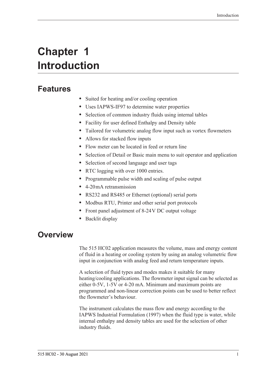# <span id="page-10-0"></span>**Chapter 1 Introduction**

# <span id="page-10-1"></span>**Features**

- **•** Suited for heating and/or cooling operation
- **•** Uses IAPWS-IF97 to determine water properties
- **•** Selection of common industry fluids using internal tables
- **•** Facility for user defined Enthalpy and Density table
- **•** Tailored for volumetric analog flow input such as vortex flowmeters
- Allows for stacked flow inputs
- **•** Flow meter can be located in feed or return line
- **•** Selection of Detail or Basic main menu to suit operator and application
- **•** Selection of second language and user tags
- **•** RTC logging with over 1000 entries.
- **•** Programmable pulse width and scaling of pulse output
- **•** 4-20 mA retransmission
- **•** RS232 and RS485 or Ethernet (optional) serial ports
- **•** Modbus RTU, Printer and other serial port protocols
- **•** Front panel adjustment of 8-24 V DC output voltage
- **•** Backlit display

# <span id="page-10-2"></span>**Overview**

The 515 HC02 application measures the volume, mass and energy content of fluid in a heating or cooling system by using an analog volumetric flow input in conjunction with analog feed and return temperature inputs.

A selection of fluid types and modes makes it suitable for many heating/cooling applications. The flowmeter input signal can be selected as either 0-5V, 1-5V or 4-20 mA. Minimum and maximum points are programmed and non-linear correction points can be used to better reflect the flowmeter's behaviour.

The instrument calculates the mass flow and energy according to the IAPWS Industrial Formulation (1997) when the fluid type is water, while internal enthalpy and density tables are used for the selection of other industry fluids.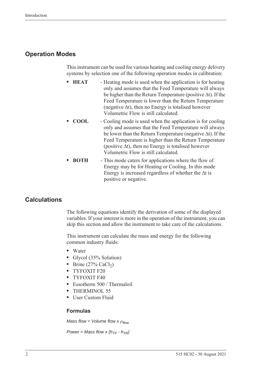# <span id="page-11-0"></span>**Operation Modes**

This instrument can be used for various heating and cooling energy delivery systems by selection one of the following operation modes in calibration:

- **HEAT** Heating mode is used when the application is for heating only and assumes that the Feed Temperature will always be higher than the Return Temperature (positive  $\Delta t$ ). If the Feed Temperature is lower than the Return Temperature (negative  $\Delta t$ ), then no Energy is totalised however Volumetric Flow is still calculated.
- **COOL** Cooling mode is used when the application is for cooling only and assumes that the Feed Temperature will always be lower than the Return Temperature (negative  $\Delta t$ ). If the Feed Temperature is higher than the Return Temperature (positive  $\Delta t$ ), then no Energy is totalised however Volumetric Flow is still calculated.
- **• BOTH** This mode caters for applications where the flow of Energy may be for Heating or Cooling. In this mode Energy is increased regardless of whether the  $\Delta t$  is positive or negative.

# <span id="page-11-1"></span>**Calculations**

The following equations identify the derivation of some of the displayed variables. If your interest is more in the operation of the instrument, you can skip this section and allow the instrument to take care of the calculations.

This instrument can calculate the mass and energy for the following common industry fluids:

- **•** Water
- **•** Glycol (35% Solution)
- Brine  $(27\% \text{ CaCl}_2)$
- **•** TYFOXIT F20
- **•** TYFOXIT F40
- **•** Essotherm 500 / Thermaloil
- **•** THERMINOL 55
- **•** User Custom Fluid

### **Formulas**

*Mass flow = Volume flow x*  $\rho_{flow}$ 

*Power = Mass flow x (* $h_{TF}$  *-*  $h_{TR}$ *)*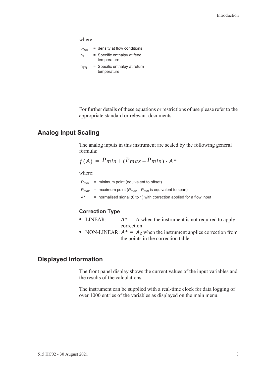where:

| $P$ flow        | $=$ density at flow conditions                 |
|-----------------|------------------------------------------------|
| $h_{\text{TF}}$ | $=$ Specific enthalpy at feed<br>temperature   |
| $h_{TR}$        | $=$ Specific enthalpy at return<br>temperature |

For further details of these equations or restrictions of use please refer to the appropriate standard or relevant documents.

## <span id="page-12-0"></span>**Analog Input Scaling**

The analog inputs in this instrument are scaled by the following general formula:

$$
f(A) = P_{min} + (P_{max} - P_{min}) \cdot A^*
$$

where:

*Pmin* = minimum point (equivalent to offset)

 $P_{max}$  = maximum point ( $P_{max} - P_{min}$  is equivalent to span)

*A\** = normalised signal (0 to 1) with correction applied for a flow input

#### **Correction Type**

- LINEAR:  $A^* = A$  when the instrument is not required to apply correction
- NON-LINEAR:  $A^* = A_c$  when the instrument applies correction from the points in the correction table

### <span id="page-12-1"></span>**Displayed Information**

The front panel display shows the current values of the input variables and the results of the calculations.

The instrument can be supplied with a real-time clock for data logging of over 1000 entries of the variables as displayed on the main menu.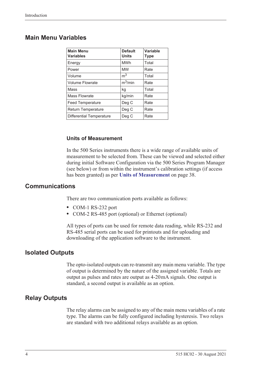# <span id="page-13-0"></span>**Main Menu Variables**

| Main Menu<br><b>Variables</b> | <b>Default</b><br><b>Units</b> | Variable<br><b>Type</b> |
|-------------------------------|--------------------------------|-------------------------|
| Energy                        | <b>MWh</b>                     | Total                   |
| Power                         | <b>MW</b>                      | Rate                    |
| Volume                        | m <sup>3</sup>                 | Total                   |
| Volume Flowrate               | $m^3/m$ in                     | Rate                    |
| Mass                          | kg                             | Total                   |
| <b>Mass Flowrate</b>          | kg/min                         | Rate                    |
| Feed Temperature              | Deg C                          | Rate                    |
| <b>Return Temperature</b>     | Deg C                          | Rate                    |
| Differential Temperature      | Deg C                          | Rate                    |

### **Units of Measurement**

In the 500 Series instruments there is a wide range of available units of measurement to be selected from. These can be viewed and selected either during initial Software Configuration via the 500 Series Program Manager (see below) or from within the instrument's calibration settings (if access has been granted) as per **[Units of Measurement](#page-47-2)** on page 38.

### <span id="page-13-1"></span>**Communications**

There are two communication ports available as follows:

- **•** COM-1 RS-232 port
- **•** COM-2 RS-485 port (optional) or Ethernet (optional)

All types of ports can be used for remote data reading, while RS-232 and RS-485 serial ports can be used for printouts and for uploading and downloading of the application software to the instrument.

### <span id="page-13-2"></span>**Isolated Outputs**

The opto-isolated outputs can re-transmit any main menu variable. The type of output is determined by the nature of the assigned variable. Totals are output as pulses and rates are output as 4-20 mA signals. One output is standard, a second output is available as an option.

## <span id="page-13-3"></span>**Relay Outputs**

The relay alarms can be assigned to any of the main menu variables of a rate type. The alarms can be fully configured including hysteresis. Two relays are standard with two additional relays available as an option.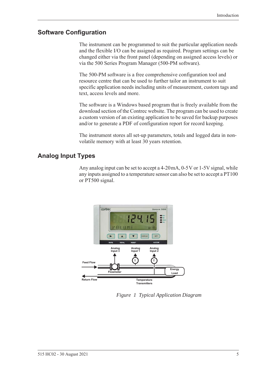### <span id="page-14-0"></span>**Software Configuration**

The instrument can be programmed to suit the particular application needs and the flexible I/O can be assigned as required. Program settings can be changed either via the front panel (depending on assigned access levels) or via the 500 Series Program Manager (500-PM software).

The 500-PM software is a free comprehensive configuration tool and resource centre that can be used to further tailor an instrument to suit specific application needs including units of measurement, custom tags and text, access levels and more.

The software is a Windows based program that is freely available from the download section of the Contrec website. The program can be used to create a custom version of an existing application to be saved for backup purposes and/or to generate a PDF of configuration report for record keeping.

The instrument stores all set-up parameters, totals and logged data in nonvolatile memory with at least 30 years retention.

# <span id="page-14-1"></span>**Analog Input Types**

Any analog input can be set to accept a 4-20 mA, 0-5 V or 1-5 V signal, while any inputs assigned to a temperature sensor can also be set to accept a PT100 or PT500 signal.



<span id="page-14-2"></span>*Figure 1 Typical Application Diagram*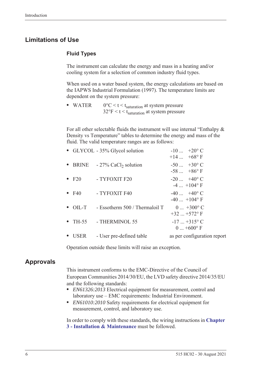## <span id="page-15-0"></span>**Limitations of Use**

### **Fluid Types**

The instrument can calculate the energy and mass in a heating and/or cooling system for a selection of common industry fluid types.

When used on a water based system, the energy calculations are based on the IAPWS Industrial Formulation (1997). The temperature limits are dependent on the system pressure:

• WATER  $0^{\circ}C \le t \le t_{saturation}$  at system pressure  $32^{\circ}$ F < t < t<sub>saturation</sub> at system pressure

For all other selectable fluids the instrument will use internal "Enthalpy & Density vs Temperature" tables to determine the energy and mass of the fluid. The valid temperature ranges are as follows:

|                           | • GLYCOL - 35% Glycol solution     | $-10 +20$ °C<br>$+14$ $+68^{\circ}$ F         |
|---------------------------|------------------------------------|-----------------------------------------------|
| • BRINE                   | $-27\%$ CaCl <sub>2</sub> solution | $-50 +30^{\circ}$ C<br>$-58 +86^{\circ}$ F    |
| $\bullet$ F <sub>20</sub> | - TYFOXIT F20                      | $-20 +40^{\circ} C$<br>$-4$ $+104^{\circ}$ F  |
| $\bullet$ F40             | - TYFOXIT F40                      | $-40 +40^{\circ}$ C<br>$-40$ $+104^{\circ}$ F |
| $\bullet$ OIL-T           | - Essotherm $500/$ Thermaloil T    | $0+300^{\circ}C$<br>$+32$ $+572$ °F           |
|                           | • TH-55 - THERMINOL 55             | $-17+315^{\circ}$ C<br>$0+600^{\circ}$ F      |
| <b>USER</b>               | - User pre-defined table           | as per configuration report                   |

Operation outside these limits will raise an exception.

## <span id="page-15-1"></span>**Approvals**

This instrument conforms to the EMC-Directive of the Council of European Communities 2014/30/EU, the LVD safety directive 2014/35/EU and the following standards:

- **•** *EN61326:2013* Electrical equipment for measurement, control and laboratory use – EMC requirements: Industrial Environment.
- **•** *EN61010:2010* Safety requirements for electrical equipment for measurement, control, and laboratory use.

In order to comply with these standards, the wiring instructions in **[Chapter](#page-20-5)  [3 - Installation & Maintenance](#page-20-5)** must be followed.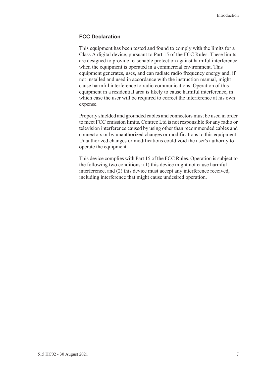### **FCC Declaration**

This equipment has been tested and found to comply with the limits for a Class A digital device, pursuant to Part 15 of the FCC Rules. These limits are designed to provide reasonable protection against harmful interference when the equipment is operated in a commercial environment. This equipment generates, uses, and can radiate radio frequency energy and, if not installed and used in accordance with the instruction manual, might cause harmful interference to radio communications. Operation of this equipment in a residential area is likely to cause harmful interference, in which case the user will be required to correct the interference at his own expense.

Properly shielded and grounded cables and connectors must be used in order to meet FCC emission limits. Contrec Ltd is not responsible for any radio or television interference caused by using other than recommended cables and connectors or by unauthorized changes or modifications to this equipment. Unauthorized changes or modifications could void the user's authority to operate the equipment.

This device complies with Part 15 of the FCC Rules. Operation is subject to the following two conditions: (1) this device might not cause harmful interference, and (2) this device must accept any interference received, including interference that might cause undesired operation.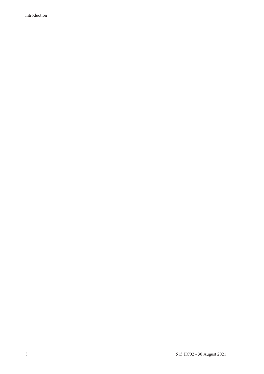Introduction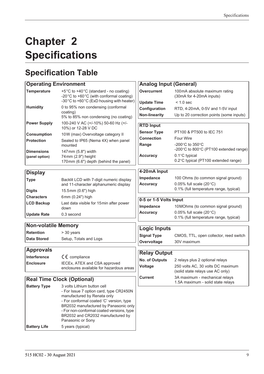# <span id="page-18-0"></span>**Chapter 2 Specifications**

# <span id="page-18-1"></span>**Specification Table**

| <b>Operating Environment</b>        |                                                                                                                                                                                                                                                                                                   | <b>Analog Input (General)</b> |                                                                               |  |  |
|-------------------------------------|---------------------------------------------------------------------------------------------------------------------------------------------------------------------------------------------------------------------------------------------------------------------------------------------------|-------------------------------|-------------------------------------------------------------------------------|--|--|
| <b>Temperature</b>                  | +5°C to +40°C (standard - no coating)<br>-20°C to +60°C (with conformal coating)                                                                                                                                                                                                                  | <b>Overcurrent</b>            | 100mA absolute maximum rating<br>(30mA for 4-20mA inputs)                     |  |  |
|                                     | -30°C to +60°C (ExD housing with heater)                                                                                                                                                                                                                                                          | <b>Update Time</b>            | $< 1.0$ sec                                                                   |  |  |
| <b>Humidity</b>                     | 0 to 95% non condensing (conformal                                                                                                                                                                                                                                                                | Configuration                 | RTD, 4-20mA, 0-5V and 1-5V input                                              |  |  |
|                                     | coating)<br>5% to 85% non condensing (no coating)                                                                                                                                                                                                                                                 | <b>Non-linearity</b>          | Up to 20 correction points (some inputs)                                      |  |  |
| <b>Power Supply</b>                 | 100-240 V AC (+/-10%) 50-60 Hz (+/-<br>10%) or 12-28 V DC                                                                                                                                                                                                                                         | <b>RTD Input</b>              |                                                                               |  |  |
| <b>Consumption</b>                  | 10W (max) Overvoltage category II                                                                                                                                                                                                                                                                 | <b>Sensor Type</b>            | PT100 & PT500 to IEC 751                                                      |  |  |
| <b>Protection</b>                   | Sealed to IP65 (Nema 4X) when panel                                                                                                                                                                                                                                                               | <b>Connection</b>             | Four Wire                                                                     |  |  |
|                                     | mounted                                                                                                                                                                                                                                                                                           | Range                         | -200 $\degree$ C to 350 $\degree$ C<br>-200°C to 800°C (PT100 extended range) |  |  |
| <b>Dimensions</b><br>(panel option) | 147mm (5.8") width<br>74mm (2.9") height<br>170mm (6.6") depth (behind the panel)                                                                                                                                                                                                                 | <b>Accuracy</b>               | 0.1°C typical<br>0.2°C typical (PT100 extended range)                         |  |  |
| <b>Display</b>                      |                                                                                                                                                                                                                                                                                                   | 4-20mA Input                  |                                                                               |  |  |
| <b>Type</b>                         | Backlit LCD with 7-digit numeric display                                                                                                                                                                                                                                                          | Impedance                     | 100 Ohms (to common signal ground)                                            |  |  |
|                                     | and 11-character alphanumeric display                                                                                                                                                                                                                                                             | <b>Accuracy</b>               | 0.05% full scale $(20^{\circ}C)$                                              |  |  |
| <b>Digits</b>                       | 15.5mm (0.6") high                                                                                                                                                                                                                                                                                |                               | 0.1% (full temperature range, typical)                                        |  |  |
| <b>Characters</b>                   | 6mm (0.24") high                                                                                                                                                                                                                                                                                  |                               |                                                                               |  |  |
| <b>LCD Backup</b>                   | Last data visible for 15 min after power                                                                                                                                                                                                                                                          | 0-5 or 1-5 Volts Input        |                                                                               |  |  |
|                                     | down                                                                                                                                                                                                                                                                                              | Impedance                     | 10MOhms (to common signal ground)                                             |  |  |
| <b>Update Rate</b>                  | 0.3 second                                                                                                                                                                                                                                                                                        | <b>Accuracy</b>               | 0.05% full scale $(20^{\circ}C)$<br>0.1% (full temperature range, typical)    |  |  |
| <b>Non-volatile Memory</b>          |                                                                                                                                                                                                                                                                                                   |                               |                                                                               |  |  |
| <b>Retention</b>                    | > 30 years                                                                                                                                                                                                                                                                                        | <b>Logic Inputs</b>           |                                                                               |  |  |
| <b>Data Stored</b>                  | Setup, Totals and Logs                                                                                                                                                                                                                                                                            | <b>Signal Type</b>            | CMOS, TTL, open collector, reed switch                                        |  |  |
|                                     |                                                                                                                                                                                                                                                                                                   | Overvoltage                   | 30V maximum                                                                   |  |  |
| <b>Approvals</b>                    |                                                                                                                                                                                                                                                                                                   | <b>Relay Output</b>           |                                                                               |  |  |
| Interference                        | $C \in \mathbb{C}$ compliance                                                                                                                                                                                                                                                                     | No. of Outputs                | 2 relays plus 2 optional relays                                               |  |  |
| <b>Enclosure</b>                    | IECEx, ATEX and CSA approved                                                                                                                                                                                                                                                                      | Voltage                       | 250 volts AC, 30 volts DC maximum                                             |  |  |
|                                     | enclosures available for hazardous areas                                                                                                                                                                                                                                                          |                               | (solid state relays use AC only)                                              |  |  |
| <b>Real Time Clock (Optional)</b>   |                                                                                                                                                                                                                                                                                                   | <b>Current</b>                | 3A maximum - mechanical relays<br>1.5A maximum - solid state relays           |  |  |
| <b>Battery Type</b>                 | 3 volts Lithium button cell<br>- For Issue 7 option card, type CR2450N<br>manufactured by Renata only<br>- For conformal coated 'C' version, type<br>BR2032 manufactured by Panasonic only<br>- For non-conformal coated versions, type<br>BR2032 and CR2032 manufactured by<br>Panasonic or Sony |                               |                                                                               |  |  |

**Battery Life** 5 years (typical)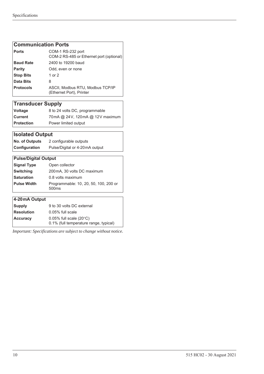### **Communication Ports**

| <b>Ports</b>     | COM-1 RS-232 port<br>COM-2 RS-485 or Ethernet port (optional) |
|------------------|---------------------------------------------------------------|
| <b>Baud Rate</b> | 2400 to 19200 baud                                            |
| <b>Parity</b>    | Odd, even or none                                             |
| <b>Stop Bits</b> | 1 or 2                                                        |
| Data Bits        | 8                                                             |
| <b>Protocols</b> | ASCII, Modbus RTU, Modbus TCP/IP<br>(Ethernet Port), Printer  |

# **Transducer Supply**

| <b>Voltage</b>    | 8 to 24 volts DC, programmable  |
|-------------------|---------------------------------|
| l Current l       | 70mA @ 24V, 120mA @ 12V maximum |
| <b>Protection</b> | Power limited output            |

# **Isolated Output**

| <b>No. of Outputs</b> | 2 configurable outputs         |
|-----------------------|--------------------------------|
| Configuration         | Pulse/Digital or 4-20mA output |

### **Pulse/Digital Output Signal Type** Open collector **Switching** 200mA, 30 volts DC maximum **Saturation** 0.8 volts maximum **Pulse Width** Programmable: 10 , 20, 50, 100, 200 or 500ms **4-20 mA Output**

| <b>Supply</b>     | 9 to 30 volts DC external              |
|-------------------|----------------------------------------|
| <b>Resolution</b> | $0.05\%$ full scale                    |
| <b>Accuracy</b>   | $0.05\%$ full scale (20 $\degree$ C)   |
|                   | 0.1% (full temperature range, typical) |

*Important: Specifications are subject to change without notice.*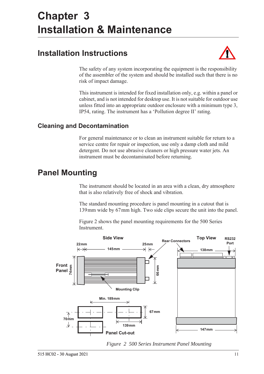# <span id="page-20-5"></span><span id="page-20-0"></span>**Chapter 3 Installation & Maintenance**

# <span id="page-20-1"></span>**Installation Instructions**



The safety of any system incorporating the equipment is the responsibility of the assembler of the system and should be installed such that there is no risk of impact damage.

This instrument is intended for fixed installation only, e.g. within a panel or cabinet, and is not intended for desktop use. It is not suitable for outdoor use unless fitted into an appropriate outdoor enclosure with a minimum type 3, IP54, rating. The instrument has a 'Pollution degree II' rating.

# <span id="page-20-2"></span>**Cleaning and Decontamination**

For general maintenance or to clean an instrument suitable for return to a service centre for repair or inspection, use only a damp cloth and mild detergent. Do not use abrasive cleaners or high pressure water jets. An instrument must be decontaminated before returning.

# <span id="page-20-3"></span>**Panel Mounting**

The instrument should be located in an area with a clean, dry atmosphere that is also relatively free of shock and vibration.

The standard mounting procedure is panel mounting in a cutout that is 139 mm wide by 67 mm high. Two side clips secure the unit into the panel.

[Figure 2](#page-20-4) shows the panel mounting requirements for the 500 Series Instrument.



<span id="page-20-4"></span>*Figure 2 500 Series Instrument Panel Mounting*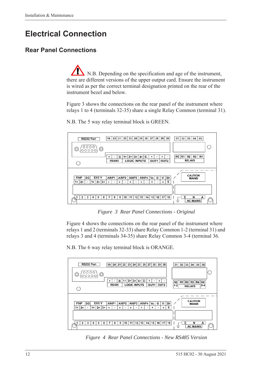# <span id="page-21-0"></span>**Electrical Connection**

# <span id="page-21-1"></span>**Rear Panel Connections**

N.B. Depending on the specification and age of the instrument, there are different versions of the upper output card. Ensure the instrument is wired as per the correct terminal designation printed on the rear of the instrument bezel and below.

[Figure 3](#page-21-2) shows the connections on the rear panel of the instrument where relays 1 to 4 (terminals 32-35) share a single Relay Common (terminal 31).



N.B. The 5 way relay terminal block is GREEN.

*Figure 3 Rear Panel Connections - Original*

<span id="page-21-2"></span>[Figure 4](#page-21-3) shows the connections on the rear panel of the instrument where relays 1 and 2 (terminals 32-33) share Relay Common 1-2 (terminal 31) and relays 3 and 4 (terminals 34-35) share Relay Common 3-4 (terminal 36.

N.B. The 6 way relay terminal block is ORANGE.



<span id="page-21-3"></span>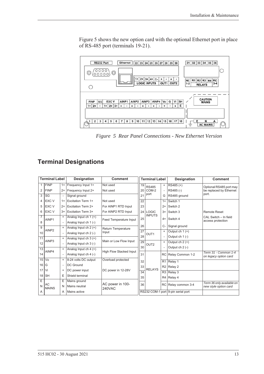[Figure 5](#page-22-1) shows the new option card with the optional Ethernet port in place of RS-485 port (terminals 19-21).



<span id="page-22-1"></span>*Figure 5 Rear Panel Connections - New Ethernet Version*

# <span id="page-22-0"></span>**Terminal Designations**

| <b>Terminal Label</b> |                    |                                   | <b>Designation</b>        | <b>Comment</b>                     | <b>Terminal Label</b>              |                  |           | <b>Designation</b>     | <b>Comment</b>                                |
|-----------------------|--------------------|-----------------------------------|---------------------------|------------------------------------|------------------------------------|------------------|-----------|------------------------|-----------------------------------------------|
| 1                     | FINP               | $1+$                              | Frequency Input 1+        | Not used                           | 19                                 | <b>RS485</b>     | $+$       | RS485 (+)              | Optional RS485 port may                       |
| 2                     | <b>FINP</b>        | $2+$                              | Frequency Input 2+        | Not used                           | 20                                 | COM-2            |           | RS485 (-)              | be replaced by Ethernet                       |
| 3                     | <b>SG</b>          | $\blacksquare$                    | Signal ground             |                                    | 21                                 | port             | G         | RS485 ground           | port.                                         |
| 4                     | <b>EXC V</b>       | $1+$                              | <b>Excitation Term 1+</b> | Not used                           | 22                                 |                  | $1+$      | Switch 1               |                                               |
| 5                     | <b>EXC V</b>       | $2+$                              | <b>Excitation Term 2+</b> | For AINP1 RTD Input                | 23                                 |                  | $2+$      | Switch 2               |                                               |
| 6                     | <b>EXC V</b>       | $3+$                              | Excitation Term 3+        | For AINP2 RTD Input                | 24                                 | <b>LOGIC</b>     | $3+$      | Switch 3               | <b>Remote Reset</b>                           |
| $\overline{7}$        | AINP1              | $\ddot{}$                         | Analog Input ch $1 (+)$   | Feed Temperature Input             | 25                                 | <b>INPUTS</b>    | $4+$      | Switch 4               | CAL Switch - In field                         |
| 8                     |                    | $\overline{\phantom{a}}$          | Analog Input ch 1 (-)     |                                    |                                    |                  |           |                        | access protection                             |
| 9                     | AINP2              | $\ddot{}$                         | Analog Input ch $2 (+)$   | <b>Return Temperature</b><br>Input | 26                                 |                  | $C-$      | Signal ground          |                                               |
| 10                    |                    | $\overline{\phantom{a}}$          | Analog Input ch 2 (-)     |                                    | 27                                 | OUT <sub>1</sub> | $\ddot{}$ | Output ch $1 (+)$      |                                               |
| 11                    | AINP3              | $\ddot{}$                         | Analog Input ch $3 (+)$   | Main or Low Flow Input             | 28                                 |                  |           | Output ch 1 (-)        |                                               |
| 12                    |                    | $\overline{\phantom{a}}$          | Analog Input ch 3 (-)     |                                    | $\overline{29}$                    | OUT <sub>2</sub> | $+$       | Output ch $2 (+)$      |                                               |
| 13                    |                    | $\ddot{}$                         | Analog Input ch 4 (+)     | <b>High Flow Stacked Input</b>     | 30                                 |                  |           | Output $ch 2$ (-)      |                                               |
| 14                    |                    | AINP4<br>$\overline{\phantom{a}}$ | Analog Input ch 4 (-)     |                                    | 31                                 |                  | RC        | Relay Common 1-2       | Term 31 - Common 1-4<br>on legacy option card |
| 15                    | <b>Vo</b>          | $\ddot{}$                         | 8-24 volts DC output      | Overload protected                 | 32                                 |                  |           | R <sub>1</sub> Relay 1 |                                               |
| 16                    | G<br>$17$ Vi       | $\blacksquare$                    | DC Ground                 | DC power in 12-28V                 | 33                                 | <b>RELAYS</b>    |           | $R2$ Relay 2           |                                               |
|                       |                    | $\ddot{}$                         | DC power input            |                                    | $\overline{34}$                    |                  |           | $R3$ Relay 3           |                                               |
| 18                    | <b>SH</b>          | E                                 | Shield terminal           |                                    | 35                                 |                  |           | R4   Relay 4           |                                               |
| E                     | AC<br><b>MAINS</b> | E                                 | Mains ground              | AC power in 100-<br>240VAC         |                                    |                  |           | RC Relay common 3-4    | Term 36 only available on                     |
| N                     |                    | N                                 | Mains neutral             |                                    | 36                                 |                  |           |                        | new style option card                         |
| A                     |                    | A                                 | Mains active              |                                    | RS232 COM-1 port 9-pin serial port |                  |           |                        |                                               |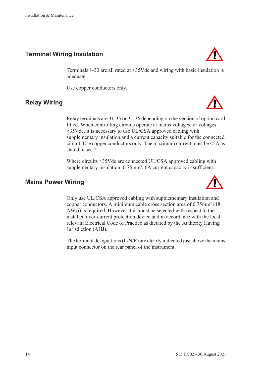# <span id="page-23-0"></span>**Terminal Wiring Insulation**

Terminals 1-30 are all rated at <35Vdc and wiring with basic insulation is adequate.

Use copper conductors only.

# <span id="page-23-1"></span>**Relay Wiring**

Relay terminals are 31-35 or 31-36 depending on the version of option card fitted. When controlling circuits operate at mains voltages, or voltages >35Vdc, it is necessary to use UL/CSA approved cabling with supplementary insulation and a current capacity suitable for the connected circuit. Use copper conductors only. The maximum current must be <5A as stated in sec 2.

Where circuits >35Vdc are connected UL/CSA approved cabling with supplementary insulation. 0.75mm<sup>2</sup>, 6A current capacity is sufficient.

# <span id="page-23-2"></span>**Mains Power Wiring**

Only use UL/CSA approved cabling with supplementary insulation and copper conductors. A minimum cable cross section area of 0.75mm² (18 AWG) is required. However, this must be selected with respect to the installed over-current protection device and in accordance with the local relevant Electrical Code of Practice as dictated by the Authority Having Jurisdiction (AHJ).

The terminal designations (L/N/E) are clearly indicated just above the mains input connector on the rear panel of the instrument.





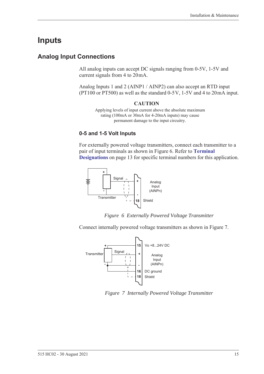# <span id="page-24-0"></span>**Inputs**

# <span id="page-24-1"></span>**Analog Input Connections**

All analog inputs can accept DC signals ranging from 0-5V, 1-5V and current signals from 4 to 20 mA.

Analog Inputs 1 and 2 (AINP1 / AINP2) can also accept an RTD input (PT100 or PT500) as well as the standard  $0-5V$ ,  $1-5V$  and 4 to  $20mA$  input.

#### **CAUTION**

Applying levels of input current above the absolute maximum rating (100mA or 30mA for 4-20mA inputs) may cause permanent damage to the input circuitry.

### **0-5 and 1-5 Volt Inputs**

For externally powered voltage transmitters, connect each transmitter to a pair of input terminals as shown in [Figure 6.](#page-24-2) Refer to **[Terminal](#page-22-0)  [Designations](#page-22-0)** on page 13 for specific terminal numbers for this application.



*Figure 6 Externally Powered Voltage Transmitter*

<span id="page-24-2"></span>Connect internally powered voltage transmitters as shown in [Figure 7.](#page-24-3)



<span id="page-24-3"></span>*Figure 7 Internally Powered Voltage Transmitter*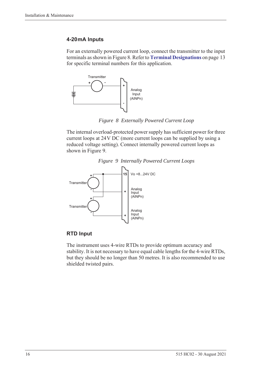### **4-20 mA Inputs**

For an externally powered current loop, connect the transmitter to the input terminals as shown in [Figure 8](#page-25-0). Refer to **[Terminal Designations](#page-22-0)** on page 13 for specific terminal numbers for this application.



*Figure 8 Externally Powered Current Loop*

<span id="page-25-0"></span>The internal overload-protected power supply has sufficient power for three current loops at 24 V DC (more current loops can be supplied by using a reduced voltage setting). Connect internally powered current loops as shown in [Figure 9](#page-25-1).



<span id="page-25-1"></span>

### **RTD Input**

The instrument uses 4-wire RTDs to provide optimum accuracy and stability. It is not necessary to have equal cable lengths for the 4-wire RTDs, but they should be no longer than 50 metres. It is also recommended to use shielded twisted pairs.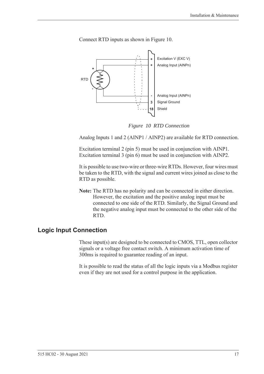

Connect RTD inputs as shown in [Figure 10.](#page-26-1)

*Figure 10 RTD Connection*

<span id="page-26-1"></span>Analog Inputs 1 and 2 (AINP1 / AINP2) are available for RTD connection.

Excitation terminal 2 (pin 5) must be used in conjunction with AINP1. Excitation terminal 3 (pin 6) must be used in conjunction with AINP2.

It is possible to use two-wire or three-wire RTDs. However, four wires must be taken to the RTD, with the signal and current wires joined as close to the RTD as possible.

**Note:** The RTD has no polarity and can be connected in either direction. However, the excitation and the positive analog input must be connected to one side of the RTD. Similarly, the Signal Ground and the negative analog input must be connected to the other side of the RTD.

## <span id="page-26-0"></span>**Logic Input Connection**

These input(s) are designed to be connected to CMOS, TTL, open collector signals or a voltage free contact switch. A minimum activation time of 300ms is required to guarantee reading of an input.

It is possible to read the status of all the logic inputs via a Modbus register even if they are not used for a control purpose in the application.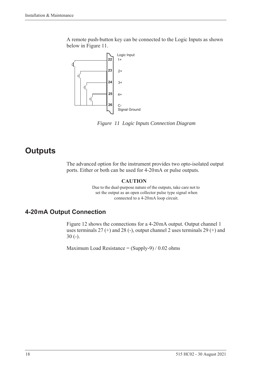A remote push-button key can be connected to the Logic Inputs as shown below in [Figure 11](#page-27-2).



<span id="page-27-2"></span>*Figure 11 Logic Inputs Connection Diagram*

# <span id="page-27-0"></span>**Outputs**

The advanced option for the instrument provides two opto-isolated output ports. Either or both can be used for 4-20 mA or pulse outputs.

### **CAUTION**

Due to the dual-purpose nature of the outputs, take care not to set the output as an open collector pulse type signal when connected to a 4-20 mA loop circuit.

# <span id="page-27-1"></span>**4-20 mA Output Connection**

[Figure 12](#page-28-1) shows the connections for a 4-20 mA output. Output channel 1 uses terminals  $27 (+)$  and  $28 (-)$ , output channel 2 uses terminals  $29 (+)$  and 30 (-).

Maximum Load Resistance =  $(Supply-9) / 0.02$  ohms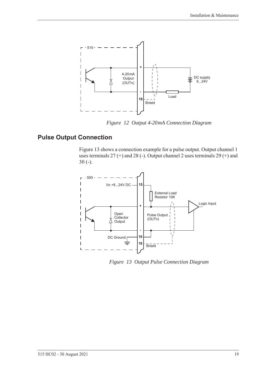

*Figure 12 Output 4-20 mA Connection Diagram*

# <span id="page-28-0"></span>**Pulse Output Connection**

<span id="page-28-1"></span>[Figure 13](#page-28-2) shows a connection example for a pulse output. Output channel 1 uses terminals 27 (+) and 28 (-). Output channel 2 uses terminals 29 (+) and 30 (-).



<span id="page-28-2"></span>*Figure 13 Output Pulse Connection Diagram*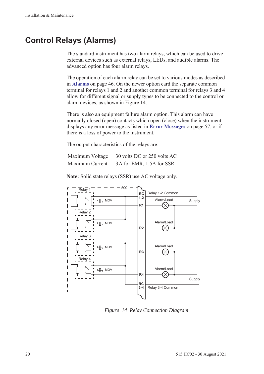# <span id="page-29-0"></span>**Control Relays (Alarms)**

The standard instrument has two alarm relays, which can be used to drive external devices such as external relays, LEDs, and audible alarms. The advanced option has four alarm relays.

The operation of each alarm relay can be set to various modes as described in **Alarms** [on page 46](#page-55-1). On the newer option card the separate common terminal for relays 1 and 2 and another common terminal for relays 3 and 4 allow for different signal or supply types to be connected to the control or alarm devices, as shown in [Figure 14.](#page-29-1)

There is also an equipment failure alarm option. This alarm can have normally closed (open) contacts which open (close) when the instrument displays any error message as listed in **[Error Messages](#page-66-2)** on page 57, or if there is a loss of power to the instrument.

The output characteristics of the relays are:

| Maximum Voltage | 30 volts DC or 250 volts AC              |
|-----------------|------------------------------------------|
|                 | Maximum Current 3A for EMR, 1.5A for SSR |

**Note:** Solid state relays (SSR) use AC voltage only.



<span id="page-29-1"></span>*Figure 14 Relay Connection Diagram*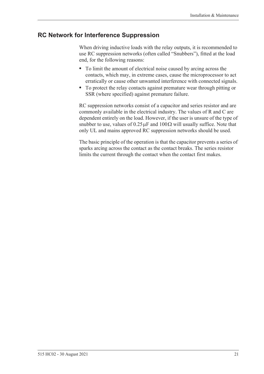## <span id="page-30-0"></span>**RC Network for Interference Suppression**

When driving inductive loads with the relay outputs, it is recommended to use RC suppression networks (often called "Snubbers"), fitted at the load end, for the following reasons:

- **•** To limit the amount of electrical noise caused by arcing across the contacts, which may, in extreme cases, cause the microprocessor to act erratically or cause other unwanted interference with connected signals.
- **•** To protect the relay contacts against premature wear through pitting or SSR (where specified) against premature failure.

RC suppression networks consist of a capacitor and series resistor and are commonly available in the electrical industry. The values of R and C are dependent entirely on the load. However, if the user is unsure of the type of snubber to use, values of  $0.25 \mu$ F and  $100 \Omega$  will usually suffice. Note that only UL and mains approved RC suppression networks should be used.

The basic principle of the operation is that the capacitor prevents a series of sparks arcing across the contact as the contact breaks. The series resistor limits the current through the contact when the contact first makes.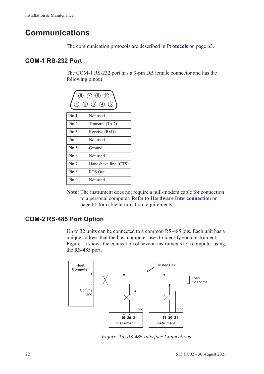# <span id="page-31-0"></span>**Communications**

The communication protocols are described in **Protocols** [on page 63.](#page-72-3)

## <span id="page-31-1"></span>**COM-1 RS-232 Port**

The COM-1 RS-232 port has a 9-pin DB female connector and has the following pinout:



**Note:** The instrument does not require a null-modem cable for connection to a personal computer. Refer to **[Hardware Interconnection](#page-70-4)** on [page 61](#page-70-4) for cable termination requirements.

# <span id="page-31-2"></span>**COM-2 RS-485 Port Option**

Up to 32 units can be connected to a common RS-485 bus. Each unit has a unique address that the host computer uses to identify each instrument. [Figure 15](#page-31-3) shows the connection of several instruments to a computer using the RS-485 port.



<span id="page-31-3"></span>*Figure 15 RS-485 Interface Connections*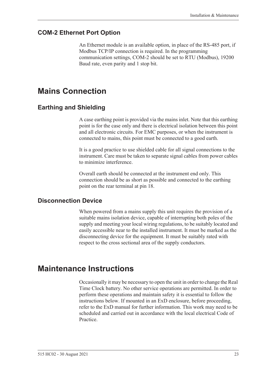## <span id="page-32-0"></span>**COM-2 Ethernet Port Option**

An Ethernet module is an available option, in place of the RS-485 port, if Modbus TCP/IP connection is required. In the programming communication settings, COM-2 should be set to RTU (Modbus), 19200 Baud rate, even parity and 1 stop bit.

# <span id="page-32-1"></span>**Mains Connection**

## <span id="page-32-2"></span>**Earthing and Shielding**

A case earthing point is provided via the mains inlet. Note that this earthing point is for the case only and there is electrical isolation between this point and all electronic circuits. For EMC purposes, or when the instrument is connected to mains, this point must be connected to a good earth.

It is a good practice to use shielded cable for all signal connections to the instrument. Care must be taken to separate signal cables from power cables to minimize interference.

Overall earth should be connected at the instrument end only. This connection should be as short as possible and connected to the earthing point on the rear terminal at pin 18.

## <span id="page-32-3"></span>**Disconnection Device**

When powered from a mains supply this unit requires the provision of a suitable mains isolation device, capable of interrupting both poles of the supply and meeting your local wiring regulations, to be suitably located and easily accessible near to the installed instrument. It must be marked as the disconnecting device for the equipment. It must be suitably rated with respect to the cross sectional area of the supply conductors.

# <span id="page-32-4"></span>**Maintenance Instructions**

Occasionally it may be necessary to open the unit in order to change the Real Time Clock battery. No other service operations are permitted. In order to perform these operations and maintain safety it is essential to follow the instructions below. If mounted in an ExD enclosure, before proceeding, refer to the ExD manual for further information. This work may need to be scheduled and carried out in accordance with the local electrical Code of Practice.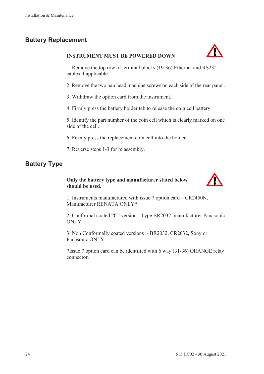# <span id="page-33-0"></span>**Battery Replacement**

### **INSTRUMENT MUST BE POWERED DOWN**



1. Remove the top row of terminal blocks (19-36) Ethernet and RS232 cables if applicable.

2. Remove the two pan head machine screws on each side of the rear panel.

3. Withdraw the option card from the instrument.

4. Firmly press the battery holder tab to release the coin cell battery.

5. Identify the part number of the coin cell which is clearly marked on one side of the cell.

6. Firmly press the replacement coin cell into the holder

7. Reverse steps 1-3 for re assembly.

# <span id="page-33-1"></span>**Battery Type**

### **Only the battery type and manufacturer stated below should be used.**



1. Instruments manufactured with issue 7 option card – CR2450N, Manufacturer RENATA ONLY\*

2. Conformal coated "C" version - Type BR2032, manufacturer Panasonic ONLY.

3. Non Conformally coated versions :- BR2032, CR2032, Sony or Panasonic ONLY.

\*Issue 7 option card can be identified with 6 way (31-36) ORANGE relay connector.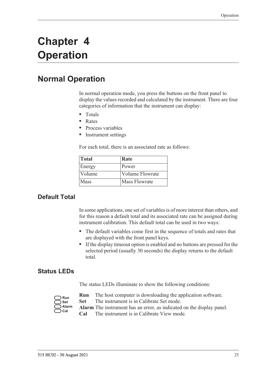# <span id="page-34-0"></span>**Chapter 4 Operation**

# <span id="page-34-1"></span>**Normal Operation**

In normal operation mode, you press the buttons on the front panel to display the values recorded and calculated by the instrument. There are four categories of information that the instrument can display:

- **•** Totals
- **•** Rates
- **•** Process variables
- **•** Instrument settings

For each total, there is an associated rate as follows:

| <b>Total</b> | Rate                   |
|--------------|------------------------|
| Energy       | Power                  |
| Volume       | <b>Volume Flowrate</b> |
| Mass         | Mass Flowrate          |

## <span id="page-34-2"></span>**Default Total**

In some applications, one set of variables is of more interest than others, and for this reason a default total and its associated rate can be assigned during instrument calibration. This default total can be used in two ways:

- **•** The default variables come first in the sequence of totals and rates that are displayed with the front panel keys.
- **•** If the display timeout option is enabled and no buttons are pressed for the selected period (usually 30 seconds) the display returns to the default total.

### <span id="page-34-3"></span>**Status LEDs**

The status LEDs illuminate to show the following conditions:

| Run   |
|-------|
| Set   |
| Alarm |
| :al   |

- **Run** The host computer is downloading the application software.
- **Set** The instrument is in Calibrate Set mode.
- **Alarm** The instrument has an error, as indicated on the display panel.
- **Cal** The instrument is in Calibrate View mode.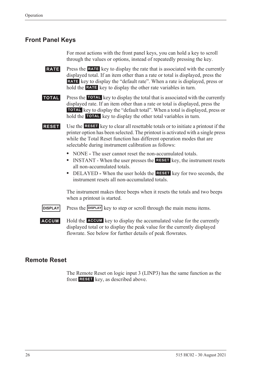# <span id="page-35-0"></span>**Front Panel Keys**

For most actions with the front panel keys, you can hold a key to scroll through the values or options, instead of repeatedly pressing the key.

**RATE** Press the **RATE** key to display the rate that is associated with the currently displayed total. If an item other than a rate or total is displayed, press the RATE key to display the "default rate". When a rate is displayed, press or hold the **RATE** key to display the other rate variables in turn.

**TOTAL** Press the TOTAL key to display the total that is associated with the currently displayed rate. If an item other than a rate or total is displayed, press the **TOTAL** key to display the "default total". When a total is displayed, press or hold the **TOTAL** key to display the other total variables in turn.

**RESET** Use the **RESET** key to clear all resettable totals or to initiate a printout if the printer option has been selected. The printout is activated with a single press while the Total Reset function has different operation modes that are selectable during instrument calibration as follows:

- NONE The user cannot reset the non-accumulated totals.
- INSTANT When the user presses the **RESET** key, the instrument resets all non-accumulated totals.
- DELAYED When the user holds the **RESET** key for two seconds, the instrument resets all non-accumulated totals.

The instrument makes three beeps when it resets the totals and two beeps when a printout is started.

**DISPLAY** Press the **DISPLAY** key to step or scroll through the main menu items.

**ACCUM** Hold the **ACCUM** key to display the accumulated value for the currently displayed total or to display the peak value for the currently displayed flowrate. See below for further details of peak flowrates.

# <span id="page-35-1"></span>**Remote Reset**

The Remote Reset on logic input 3 (LINP3) has the same function as the front **RESET** key, as described above.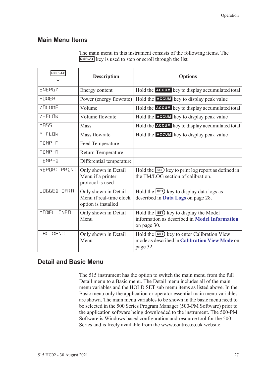### **Main Menu Items**

| The main menu in this instrument consists of the following items. The |
|-----------------------------------------------------------------------|
| DISPLAY key is used to step or scroll through the list.               |

| <b>DISPLAY</b>        | <b>Description</b>                                                     | <b>Options</b>                                                                                                 |
|-----------------------|------------------------------------------------------------------------|----------------------------------------------------------------------------------------------------------------|
| <b>ENERGY</b>         | Energy content                                                         | Hold the ACCUM key to display accumulated total                                                                |
| POWER                 | Power (energy flowrate)                                                | Hold the <b>ACCUM</b> key to display peak value                                                                |
| VOLUME                | Volume                                                                 | Hold the ACCUM key to display accumulated total                                                                |
| $V$ -FLOW             | Volume flowrate                                                        | Hold the ACCUM key to display peak value                                                                       |
| MR55                  | <b>Mass</b>                                                            | Hold the ACCUM key to display accumulated total                                                                |
| M-FLOW                | Mass flowrate                                                          | Hold the <b>ACCUM</b> key to display peak value                                                                |
| TEMP-F                | Feed Temperature                                                       |                                                                                                                |
| TEMP-R                | Return Temperature                                                     |                                                                                                                |
| TEMP-D                | Differential temperature                                               |                                                                                                                |
| REPORT PRINT          | Only shown in Detail<br>Menu if a printer<br>protocol is used          | Hold the SET key to print log report as defined in<br>the TM/LOG section of calibration.                       |
| LOGGED<br><b>IRTR</b> | Only shown in Detail<br>Menu if real-time clock<br>option is installed | Hold the SET) key to display data logs as<br>described in Data Logs on page 28.                                |
| MODEL INFO            | Only shown in Detail<br>Menu                                           | Hold the <b>SET</b> ) key to display the Model<br>information as described in Model Information<br>on page 30. |
| <b>CAL MENU</b>       | Only shown in Detail<br>Menu                                           | Hold the <b>SET</b> key to enter Calibration View<br>mode as described in Calibration View Mode on<br>page 32. |

### **Detail and Basic Menu**

The 515 instrument has the option to switch the main menu from the full Detail menu to a Basic menu. The Detail menu includes all of the main menu variables and the HOLD SET sub menu items as listed above. In the Basic menu only the application or operator essential main menu variables are shown. The main menu variables to be shown in the basic menu need to be selected in the 500 Series Program Manager (500-PM Software) prior to the application software being downloaded to the instrument. The 500-PM Software is Windows based configuration and resource tool for the 500 Series and is freely available from the www.contrec.co.uk website.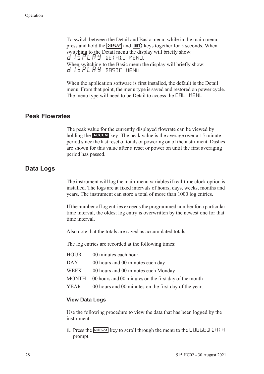To switch between the Detail and Basic menu, while in the main menu, press and hold the **DISPLAY** and **SET**) keys together for 5 seconds. When switching to the Detail menu the display will briefly show: d 15 PL A Y DETAIL MENU. When switching to the Basic menu the display will briefly show: d 15PLAY BASIC MENU.

When the application software is first installed, the default is the Detail menu. From that point, the menu type is saved and restored on power cycle. The menu type will need to be Detail to access the CAL MENU

#### **Peak Flowrates**

The peak value for the currently displayed flowrate can be viewed by holding the **ACCUM** key. The peak value is the average over a 15 minute period since the last reset of totals or powering on of the instrument. Dashes are shown for this value after a reset or power on until the first averaging period has passed.

#### <span id="page-37-0"></span>**Data Logs**

The instrument will log the main-menu variables if real-time clock option is installed. The logs are at fixed intervals of hours, days, weeks, months and years. The instrument can store a total of more than 1000 log entries.

If the number of log entries exceeds the programmed number for a particular time interval, the oldest log entry is overwritten by the newest one for that time interval.

Also note that the totals are saved as accumulated totals.

The log entries are recorded at the following times:

| HOUR | 00 minutes each hour                                        |
|------|-------------------------------------------------------------|
| DAY  | 00 hours and 00 minutes each day                            |
| WEEK | 00 hours and 00 minutes each Monday                         |
|      | MONTH 00 hours and 00 minutes on the first day of the month |
| YEAR | 00 hours and 00 minutes on the first day of the year.       |

#### **View Data Logs**

Use the following procedure to view the data that has been logged by the instrument:

**1.** Press the **DISPLAY** key to scroll through the menu to the LOGGE D DATA prompt.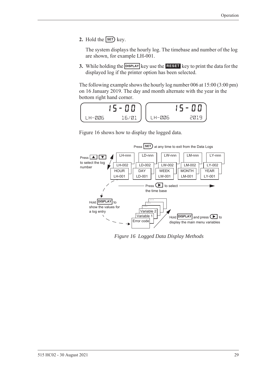**2.** Hold the  $\overline{\text{SET}}$  key.

The system displays the hourly log. The timebase and number of the log are shown, for example LH-001.

**3.** While holding the **DISPLAY** key use the **RESET** key to print the data for the displayed log if the printer option has been selected.

The following example shows the hourly log number 006 at 15:00 (3:00 pm) on 16 January 2019. The day and month alternate with the year in the bottom right hand corner.



[Figure 16](#page-38-0) shows how to display the logged data.



<span id="page-38-0"></span>*Figure 16 Logged Data Display Methods*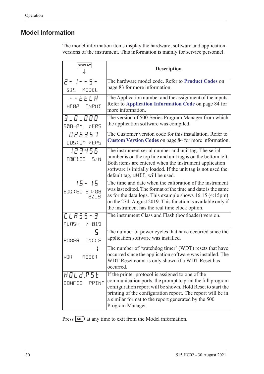## <span id="page-39-1"></span><span id="page-39-0"></span>**Model Information**

The model information items display the hardware, software and application versions of the instrument. This information is mainly for service personnel.

| <b>DISPLAY</b>                        | <b>Description</b>                                                                                                                                                                                                                                                                                                      |
|---------------------------------------|-------------------------------------------------------------------------------------------------------------------------------------------------------------------------------------------------------------------------------------------------------------------------------------------------------------------------|
| $2 - 1 - 5 -$<br>515 MODEL            | The hardware model code. Refer to Product Codes on<br>page 83 for more information.                                                                                                                                                                                                                                     |
| -- EEL H<br>HE02 INPUT                | The Application number and the assignment of the inputs.<br>Refer to Application Information Code on page 84 for<br>more information.                                                                                                                                                                                   |
| 3.0.000<br>SØØ-PM VERS                | The version of 500-Series Program Manager from which<br>the application software was compiled.                                                                                                                                                                                                                          |
| 026357<br>CUSTOM VERS                 | The Customer version code for this installation. Refer to<br>Custom Version Codes on page 84 for more information.                                                                                                                                                                                                      |
| 123456<br>RBE123 5/N                  | The instrument serial number and unit tag. The serial<br>number is on the top line and unit tag is on the bottom left.<br>Both items are entered when the instrument application<br>software is initially loaded. If the unit tag is not used the<br>default tag, UNIT, will be used.                                   |
| $15 - 15$<br>EDITED 27/08<br>2019     | The time and date when the calibration of the instrument<br>was last edited. The format of the time and date is the same<br>as for the data logs. This example shows $16:15$ (4:15pm)<br>on the 27th August 2019. This function is available only if<br>the instrument has the real time clock option.                  |
| <b>[LASS-3</b><br>FLASH<br>$V - 219$  | The instrument Class and Flash (bootloader) version.                                                                                                                                                                                                                                                                    |
| 5<br><b>CYCLE</b><br>POWER            | The number of power cycles that have occurred since the<br>application software was installed.                                                                                                                                                                                                                          |
| WIT<br>RESET                          | The number of 'watchdog timer' (WDT) resets that have<br>occurred since the application software was installed. The<br>WDT Reset count is only shown if a WDT Reset has<br>occurred.                                                                                                                                    |
| HOL d.P S E<br><b>CONFIG</b><br>PRINT | If the printer protocol is assigned to one of the<br>communication ports, the prompt to print the full program<br>configuration report will be shown. Hold Reset to start the<br>printing of the configuration report. The report will be in<br>a similar format to the report generated by the 500<br>Program Manager. |

Press **SET**) at any time to exit from the Model information.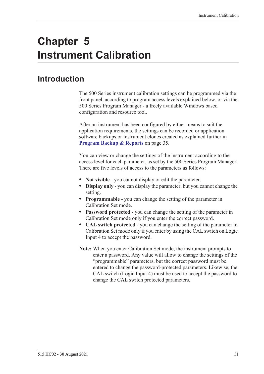# **Chapter 5 Instrument Calibration**

## **Introduction**

The 500 Series instrument calibration settings can be programmed via the front panel, according to program access levels explained below, or via the 500 Series Program Manager - a freely available Windows based configuration and resource tool.

After an instrument has been configured by either means to suit the application requirements, the settings can be recorded or application software backups or instrument clones created as explained further in **[Program Backup & Reports](#page-44-0)** on page 35.

You can view or change the settings of the instrument according to the access level for each parameter, as set by the 500 Series Program Manager. There are five levels of access to the parameters as follows:

- **• Not visible** you cannot display or edit the parameter.
- **• Display only** you can display the parameter, but you cannot change the setting.
- **• Programmable** you can change the setting of the parameter in Calibration Set mode.
- **• Password protected** you can change the setting of the parameter in Calibration Set mode only if you enter the correct password.
- **• CAL switch protected**  you can change the setting of the parameter in Calibration Set mode only if you enter by using the CAL switch on Logic Input 4 to accept the password.
- **Note:** When you enter Calibration Set mode, the instrument prompts to enter a password. Any value will allow to change the settings of the "programmable" parameters, but the correct password must be entered to change the password-protected parameters. Likewise, the CAL switch (Logic Input 4) must be used to accept the password to change the CAL switch protected parameters.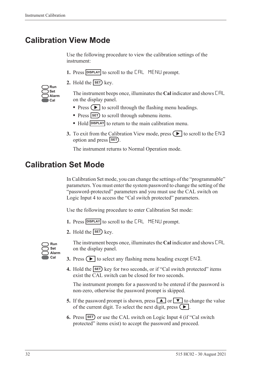## <span id="page-41-0"></span>**Calibration View Mode**

Use the following procedure to view the calibration settings of the instrument:

- 1. Press **DISPLAY** to scroll to the **CAL** MENLI prompt.
- **2.** Hold the  $\overline{\text{SET}}$  key.

| Run   |
|-------|
| Set   |
| Alarm |
| Cal   |

The instrument beeps once, illuminates the **Cal** indicator and shows CAL on the display panel.

- Press  $\left( \blacktriangleright \right)$  to scroll through the flashing menu headings.
- Press **SET**) to scroll through submenu items.
- Hold **DISPLAY** to return to the main calibration menu.
- **3.** To exit from the Calibration View mode, press  $\Box$  to scroll to the END option and press **SET**).

The instrument returns to Normal Operation mode.

## **Calibration Set Mode**

In Calibration Set mode, you can change the settings of the "programmable" parameters. You must enter the system password to change the setting of the "password-protected" parameters and you must use the CAL switch on Logic Input 4 to access the "Cal switch protected" parameters.

Use the following procedure to enter Calibration Set mode:

- **1.** Press **DISPLAY** to scroll to the **CAL** MENLI prompt.
- **2.** Hold the  $\overline{\text{SET}}$  key.



The instrument beeps once, illuminates the **Cal** indicator and shows CAL on the display panel.

- **3.** Press  $\left( \blacktriangleright \right)$  to select any flashing menu heading except END.
- **4.** Hold the **SET** key for two seconds, or if "Cal switch protected" items exist the CAL switch can be closed for two seconds.

The instrument prompts for a password to be entered if the password is non-zero, otherwise the password prompt is skipped.

- **5.** If the password prompt is shown, press  $\boxed{\blacktriangle}$  or  $\boxed{\blacktriangledown}$  to change the value of the current digit. To select the next digit, press  $\left( \blacktriangleright \right)$ .
- **6.** Press **SET** or use the CAL switch on Logic Input 4 (if "Cal switch protected" items exist) to accept the password and proceed.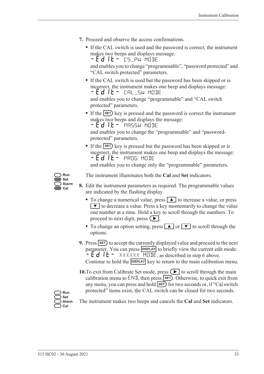- **7.** Proceed and observe the access confirmations.
	- **•** If the CAL switch is used and the password is correct, the instrument makes two beeps and displays message: - Ed IL - CS\_PW MODE

and enables you to change "programmable", "password protected" and "CAL switch protected" parameters.

**•** If the CAL switch is used but the password has been skipped or is incorrect, the instrument makes one beep and displays message: -EDIT- CAL\_SW MODE

and enables you to change "programmable" and "CAL switch protected" parameters.

• If the **SET**) key is pressed and the password is correct the instrument makes two beeps and displays the message:

 $-$  **E**  $d$   $l$  **L**  $-$  PASSW MODE

and enables you to change the "programmable" and "passwordprotected" parameters.

• If the **SET**) key is pressed but the password has been skipped or is incorrect, the instrument makes one beep and displays the message: -EDIT- PROG MODE

and enables you to change only the "programmable" parameters.



The instrument illuminates both the **Cal** and **Set** indicators.

- **8.** Edit the instrument parameters as required. The programmable values are indicated by the flashing display.
	- To change a numerical value, press **A** to increase a value, or press  $\blacktriangledown$  to decrease a value. Press a key momentarily to change the value one number at a time. Hold a key to scroll through the numbers. To proceed to next digit, press  $( \blacktriangleright ).$
	- To change an option setting, press **A** or  $\bullet$  to scroll through the options.
- **9.** Press **SET** to accept the currently displayed value and proceed to the next parameter. You can press **DISPLAY** to briefly view the current edit mode:  $-Ed$   $E - \frac{2}{x}$  XXXXXX MODE, as described in step 6 above. Continue to hold the **DISPLAY** key to return to the main calibration menu.
- **10.**To exit from Calibrate Set mode, press  $\left( \blacktriangleright \right)$  to scroll through the main calibration menu to  $ENI$ , then press  $SET$ . Otherwise, to quick exit from any menu, you can press and hold **SET** for two seconds or, if "Cal switch protected" items exist, the CAL switch can be closed for two seconds.

**Run Set Alarm Cal**

The instrument makes two beeps and cancels the **Cal** and **Set** indicators.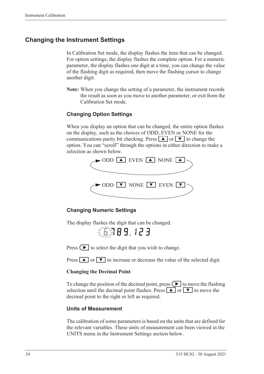### **Changing the Instrument Settings**

In Calibration Set mode, the display flashes the item that can be changed. For option settings, the display flashes the complete option. For a numeric parameter, the display flashes one digit at a time, you can change the value of the flashing digit as required, then move the flashing cursor to change another digit.

**Note:** When you change the setting of a parameter, the instrument records the result as soon as you move to another parameter, or exit from the Calibration Set mode.

#### **Changing Option Settings**

When you display an option that can be changed, the entire option flashes on the display, such as the choices of ODD, EVEN or NONE for the communications parity bit checking. Press  $\boxed{\blacktriangle}$  or  $\boxed{\blacktriangledown}$  to change the option. You can "scroll" through the options in either direction to make a selection as shown below.



#### **Changing Numeric Settings**

The display flashes the digit that can be changed.

第第89.123

Press  $\left( \blacktriangleright \right)$  to select the digit that you wish to change.

Press  $\boxed{\blacktriangle}$  or  $\boxed{\blacktriangledown}$  to increase or decrease the value of the selected digit.

#### **Changing the Decimal Point**

To change the position of the decimal point, press  $\Box$  to move the flashing selection until the decimal point flashes. Press  $\boxed{\blacktriangle}$  or  $\boxed{\blacktriangledown}$  to move the decimal point to the right or left as required.

#### **Units of Measurement**

The calibration of some parameters is based on the units that are defined for the relevant variables. These units of measurement can been viewed in the UNITS menu in the Instrument Settings section below.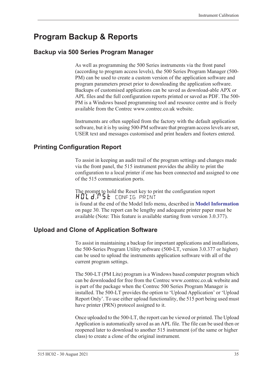## <span id="page-44-0"></span>**Program Backup & Reports**

### **Backup via 500 Series Program Manager**

As well as programming the 500 Series instruments via the front panel (according to program access levels), the 500 Series Program Manager (500- PM) can be used to create a custom version of the application software and program parameters preset prior to downloading the application software. Backups of customised applications can be saved as download-able APX or APL files and the full configuration reports printed or saved as PDF. The 500- PM is a Windows based programming tool and resource centre and is freely available from the Contrec www.contrec.co.uk website.

Instruments are often supplied from the factory with the default application software, but it is by using 500-PM software that program access levels are set, USER text and messages customised and print headers and footers entered.

### **Printing Configuration Report**

To assist in keeping an audit trail of the program settings and changes made via the front panel, the 515 instrument provides the ability to print the configuration to a local printer if one has been connected and assigned to one of the 515 communication ports.

The prompt to hold the Reset key to print the configuration report HOLd:P5E config print is found at the end of the Model Info menu, described in **[Model Information](#page-39-1)** [on page 30](#page-39-1). The report can be lengthy and adequate printer paper must be available (Note: This feature is available starting from version 3.0.377).

### **Upload and Clone of Application Software**

To assist in maintaining a backup for important applications and installations, the 500-Series Program Utility software (500-LT, version 3.0.377 or higher) can be used to upload the instruments application software with all of the current program settings.

The 500-LT (PM Lite) program is a Windows based computer program which can be downloaded for free from the Contrec www.contrec.co.uk website and is part of the package when the Contrec 500 Series Program Manager is installed. The 500-LT provides the option to 'Upload Application' or 'Upload Report Only'. To use either upload functionality, the 515 port being used must have printer (PRN) protocol assigned to it.

Once uploaded to the 500-LT, the report can be viewed or printed. The Upload Application is automatically saved as an APL file. The file can be used then or reopened later to download to another 515 instrument (of the same or higher class) to create a clone of the original instrument.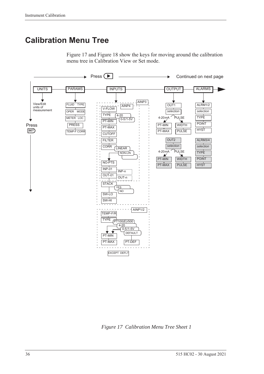## **Calibration Menu Tree**

[Figure 17](#page-45-0) and [Figure 18](#page-46-0) show the keys for moving around the calibration menu tree in Calibration View or Set mode.



<span id="page-45-0"></span>*Figure 17 Calibration Menu Tree Sheet 1*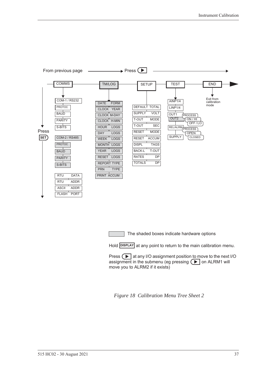

The shaded boxes indicate hardware options

Hold **DISPLAY** at any point to return to the main calibration menu.

Press  $\Box$  at any I/O assignment position to move to the next I/O assignment in the submenu (eg pressing  $\left( \blacktriangleright \right)$  on ALRM1 will move you to ALRM2 if it exists)

<span id="page-46-0"></span>*Figure 18 Calibration Menu Tree Sheet 2*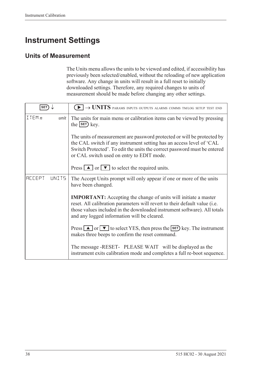## **Instrument Settings**

### **Units of Measurement**

The Units menu allows the units to be viewed and edited, if accessibility has previously been selected/enabled, without the reloading of new application software. Any change in units will result in a full reset to initially downloaded settings. Therefore, any required changes to units of measurement should be made before changing any other settings.

| <b>SET</b>              | $\blacktriangleright$ $\rightarrow$ UNITS params inputs outputs alarms comms tm/log setup test end                                                                                                                                                                              |  |
|-------------------------|---------------------------------------------------------------------------------------------------------------------------------------------------------------------------------------------------------------------------------------------------------------------------------|--|
| ITEMn<br>unit           | The units for main menu or calibration items can be viewed by pressing<br>the $s$ $F$ $k$ ey.                                                                                                                                                                                   |  |
|                         | The units of measurement are password protected or will be protected by<br>the CAL switch if any instrument setting has an access level of 'CAL<br>Switch Protected'. To edit the units the correct password must be entered<br>or CAL switch used on entry to EDIT mode.       |  |
|                         | Press $\boxed{\blacktriangle}$ or $\boxed{\blacktriangledown}$ to select the required units.                                                                                                                                                                                    |  |
| <b>ACCEPT</b><br>LINIT5 | The Accept Units prompt will only appear if one or more of the units<br>have been changed.                                                                                                                                                                                      |  |
|                         | <b>IMPORTANT:</b> Accepting the change of units will initiate a master<br>reset. All calibration parameters will revert to their default value (i.e.<br>those values included in the downloaded instrument software). All totals<br>and any logged information will be cleared. |  |
|                         | Press $\Box$ or $\nabla$ to select YES, then press the <b>SET</b> ) key. The instrument<br>makes three beeps to confirm the reset command.                                                                                                                                      |  |
|                         | The message -RESET- PLEASE WAIT will be displayed as the<br>instrument exits calibration mode and completes a full re-boot sequence.                                                                                                                                            |  |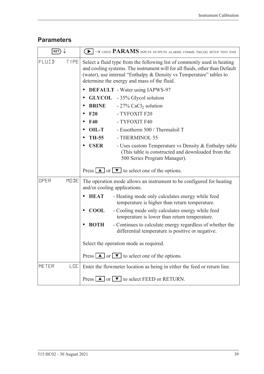### **Parameters**

| $\blacktriangleright$ $\rightarrow$ units PARAMS inputs outputs alarms comms tm/log setup test end<br>SET) |                                                                                                                                                                                                                                                                              |  |
|------------------------------------------------------------------------------------------------------------|------------------------------------------------------------------------------------------------------------------------------------------------------------------------------------------------------------------------------------------------------------------------------|--|
| FLUID<br>TYPE                                                                                              | Select a fluid type from the following list of commonly used in heating<br>and cooling systems. The instrument will for all fluids, other than Default<br>(water), use internal "Enthalpy & Density vs Temperature" tables to<br>determine the energy and mass of the fluid. |  |
|                                                                                                            | <b>DEFAULT</b> - Water using IAPWS-97<br>$\bullet$                                                                                                                                                                                                                           |  |
|                                                                                                            | <b>GLYCOL</b> - 35% Glycol solution                                                                                                                                                                                                                                          |  |
|                                                                                                            | <b>BRINE</b><br>$-27\%$ CaCl <sub>2</sub> solution                                                                                                                                                                                                                           |  |
|                                                                                                            | - TYFOXIT F20<br>F20                                                                                                                                                                                                                                                         |  |
|                                                                                                            | <b>F40</b><br>- TYFOXIT F40                                                                                                                                                                                                                                                  |  |
|                                                                                                            | OIL-T<br>- Essotherm 500 / Thermaloil T                                                                                                                                                                                                                                      |  |
|                                                                                                            | <b>TH-55</b><br>- THERMINOL 55                                                                                                                                                                                                                                               |  |
|                                                                                                            | <b>USER</b><br>- Uses custom Temperature vs Density & Enthalpy table<br>(This table is constructed and downloaded from the<br>500 Series Program Manager).                                                                                                                   |  |
|                                                                                                            | Press $\boxed{\blacktriangle}$ or $\boxed{\blacktriangledown}$ to select one of the options.                                                                                                                                                                                 |  |
| OPER<br>MODE                                                                                               | The operation mode allows an instrument to be configured for heating<br>and/or cooling applications.                                                                                                                                                                         |  |
|                                                                                                            | <b>HEAT</b><br>- Heating mode only calculates energy while feed<br>temperature is higher than return temperature.                                                                                                                                                            |  |
|                                                                                                            | <b>COOL</b><br>- Cooling mode only calculates energy while feed<br>$\bullet$<br>temperature is lower than return temperature.                                                                                                                                                |  |
|                                                                                                            | <b>BOTH</b><br>- Continues to calculate energy regardless of whether the<br>differential temperature is positive or negative.                                                                                                                                                |  |
|                                                                                                            | Select the operation mode as required.                                                                                                                                                                                                                                       |  |
|                                                                                                            | Press $\boxed{\blacktriangle}$ or $\boxed{\blacktriangledown}$ to select one of the options.                                                                                                                                                                                 |  |
| METER<br>LOC                                                                                               | Enter the flowmeter location as being in either the feed or return line.                                                                                                                                                                                                     |  |
|                                                                                                            | Press $\boxed{\blacktriangle}$ or $\boxed{\blacktriangledown}$ to select FEED or RETURN.                                                                                                                                                                                     |  |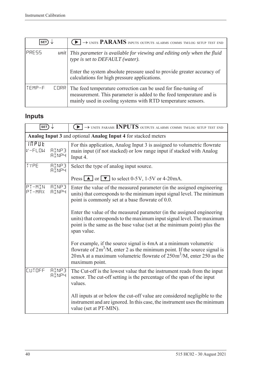| SET           |       | $\left(\blacktriangleright\right)\rightarrow$ units $\text{PARAMS}$ inputs outputs alarms comms tm/log setup test end                                                                                 |
|---------------|-------|-------------------------------------------------------------------------------------------------------------------------------------------------------------------------------------------------------|
| PRESS<br>unit |       | This parameter is available for viewing and editing only when the fluid<br>type is set to DEFAULT (water).                                                                                            |
|               |       | Enter the system absolute pressure used to provide greater accuracy of<br>calculations for high pressure applications.                                                                                |
| TEMP-F        | [DRR] | The feed temperature correction can be used for fine-tuning of<br>measurement. This parameter is added to the feed temperature and is<br>mainly used in cooling systems with RTD temperature sensors. |

## **Inputs**

| SET)                                                          |                              | $\blacktriangleright$ $\rightarrow$ units params INPUTS outputs alarms comms tm/log setup test end                                                                                                                                                          |
|---------------------------------------------------------------|------------------------------|-------------------------------------------------------------------------------------------------------------------------------------------------------------------------------------------------------------------------------------------------------------|
| Analog Input 3 and optional Analog Input 4 for stacked meters |                              |                                                                                                                                                                                                                                                             |
| <b>INPUE</b><br>$V$ -FLOW                                     | <b>AINP3</b><br><b>AINP4</b> | For this application, Analog Input 3 is assigned to volumetric flowrate<br>main input (if not stacked) or low range input if stacked with Analog<br>Input 4.                                                                                                |
| TYPE                                                          | <b>RINP3</b><br><b>AINP4</b> | Select the type of analog input source.<br>Press $\boxed{\triangle}$ or $\boxed{\triangledown}$ to select 0-5V, 1-5V or 4-20 mA.                                                                                                                            |
| PT-MIN<br>$PT-MAX$                                            | <b>AINP3</b><br><b>AINP4</b> | Enter the value of the measured parameter (in the assigned engineering<br>units) that corresponds to the minimum input signal level. The minimum<br>point is commonly set at a base flowrate of 0.0.                                                        |
|                                                               |                              | Enter the value of the measured parameter (in the assigned engineering<br>units) that corresponds to the maximum input signal level. The maximum<br>point is the same as the base value (set at the minimum point) plus the<br>span value.                  |
|                                                               |                              | For example, if the source signal is 4mA at a minimum volumetric<br>flowrate of $2m3/M$ , enter 2 as the minimum point. If the source signal is<br>20mA at a maximum volumetric flowrate of $250 \text{ m}^3/\text{M}$ , enter 250 as the<br>maximum point. |
| CUTOFF                                                        | <b>AINP3</b><br><b>AINP4</b> | The Cut-off is the lowest value that the instrument reads from the input<br>sensor. The cut-off setting is the percentage of the span of the input<br>values.                                                                                               |
|                                                               |                              | All inputs at or below the cut-off value are considered negligible to the<br>instrument and are ignored. In this case, the instrument uses the minimum<br>value (set at PT-MIN).                                                                            |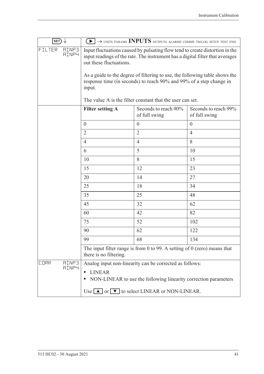| SET)                                        |                                                                                                                                                                                                                                                                                                                                                          | $\textcolor{blue}{\blacktriangleright} \rightarrow$ units params INPUTS outputs alarms comms tm/log setup test end                                                                 |                                       |
|---------------------------------------------|----------------------------------------------------------------------------------------------------------------------------------------------------------------------------------------------------------------------------------------------------------------------------------------------------------------------------------------------------------|------------------------------------------------------------------------------------------------------------------------------------------------------------------------------------|---------------------------------------|
| FILTER<br><b>AINP3</b><br><b>AINP4</b>      | Input fluctuations caused by pulsating flow tend to create distortion in the<br>input readings of the rate. The instrument has a digital filter that averages<br>out these fluctuations.<br>As a guide to the degree of filtering to use, the following table shows the<br>response time (in seconds) to reach 90% and 99% of a step change in<br>input. |                                                                                                                                                                                    |                                       |
|                                             |                                                                                                                                                                                                                                                                                                                                                          | The value A is the filter constant that the user can set.                                                                                                                          |                                       |
|                                             | <b>Filter setting A</b>                                                                                                                                                                                                                                                                                                                                  | Seconds to reach 90%<br>of full swing                                                                                                                                              | Seconds to reach 99%<br>of full swing |
|                                             | $\theta$                                                                                                                                                                                                                                                                                                                                                 | $\overline{0}$                                                                                                                                                                     | $\theta$                              |
|                                             | $\overline{2}$                                                                                                                                                                                                                                                                                                                                           | $\overline{2}$                                                                                                                                                                     | $\overline{4}$                        |
|                                             | $\overline{4}$                                                                                                                                                                                                                                                                                                                                           | $\overline{4}$                                                                                                                                                                     | 8                                     |
|                                             | 6                                                                                                                                                                                                                                                                                                                                                        | 5                                                                                                                                                                                  | 10                                    |
|                                             | 10                                                                                                                                                                                                                                                                                                                                                       | 8                                                                                                                                                                                  | 15                                    |
|                                             | 15                                                                                                                                                                                                                                                                                                                                                       | 12                                                                                                                                                                                 | 23                                    |
|                                             | 20                                                                                                                                                                                                                                                                                                                                                       | 14                                                                                                                                                                                 | 27                                    |
|                                             | 25                                                                                                                                                                                                                                                                                                                                                       | 18                                                                                                                                                                                 | 34                                    |
|                                             | 35                                                                                                                                                                                                                                                                                                                                                       | 25                                                                                                                                                                                 | 48                                    |
|                                             | 45                                                                                                                                                                                                                                                                                                                                                       | 32                                                                                                                                                                                 | 62                                    |
|                                             | 60                                                                                                                                                                                                                                                                                                                                                       | 42                                                                                                                                                                                 | 82                                    |
|                                             | 75                                                                                                                                                                                                                                                                                                                                                       | 52                                                                                                                                                                                 | 102                                   |
|                                             | 90                                                                                                                                                                                                                                                                                                                                                       | 62                                                                                                                                                                                 | 122                                   |
|                                             | 99                                                                                                                                                                                                                                                                                                                                                       | 68                                                                                                                                                                                 | 134                                   |
|                                             | there is no filtering.                                                                                                                                                                                                                                                                                                                                   | The input filter range is from 0 to 99. A setting of $0$ (zero) means that                                                                                                         |                                       |
| <b>CORR</b><br><b>AINP3</b><br><b>AINP4</b> | <b>LINEAR</b><br>$\bullet$                                                                                                                                                                                                                                                                                                                               | Analog input non-linearity can be corrected as follows:<br>NON-LINEAR to use the following linearity correction parameters<br>Use $\Box$ or $\Box$ to select LINEAR or NON-LINEAR. |                                       |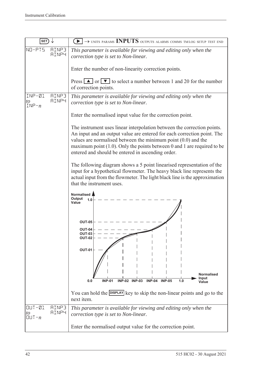| <b>SET</b>                          |                              | $\rightarrow$ UNITS PARAMS INPUTS OUTPUTS ALARMS COMMS TM/LOG SETUP TEST END                                                                                                                                                                                                                                                                             |  |  |
|-------------------------------------|------------------------------|----------------------------------------------------------------------------------------------------------------------------------------------------------------------------------------------------------------------------------------------------------------------------------------------------------------------------------------------------------|--|--|
| NO-PIS                              | RINP3<br><b>AINP4</b>        | This parameter is available for viewing and editing only when the<br>correction type is set to Non-linear.                                                                                                                                                                                                                                               |  |  |
|                                     |                              | Enter the number of non-linearity correction points.                                                                                                                                                                                                                                                                                                     |  |  |
|                                     |                              | Press $\Box$ or $\nabla$ to select a number between 1 and 20 for the number<br>of correction points.                                                                                                                                                                                                                                                     |  |  |
| $INP - Q1$<br>to<br>$INP - n$       | <b>AINP3</b><br><b>AINP4</b> | This parameter is available for viewing and editing only when the<br>correction type is set to Non-linear.                                                                                                                                                                                                                                               |  |  |
|                                     |                              | Enter the normalised input value for the correction point.                                                                                                                                                                                                                                                                                               |  |  |
|                                     |                              | The instrument uses linear interpolation between the correction points.<br>An input and an output value are entered for each correction point. The<br>values are normalised between the minimum point $(0.0)$ and the<br>maximum point $(1.0)$ . Only the points between 0 and 1 are required to be<br>entered and should be entered in ascending order. |  |  |
|                                     |                              | The following diagram shows a 5 point linearised representation of the<br>input for a hypothetical flowmeter. The heavy black line represents the<br>actual input from the flowmeter. The light black line is the approximation<br>that the instrument uses.                                                                                             |  |  |
|                                     |                              | Normalised<br>Output<br>1.0<br>Value                                                                                                                                                                                                                                                                                                                     |  |  |
|                                     |                              | <b>OUT-05</b><br>OUT-04<br>OUT-03<br><b>OUT-02</b><br><b>OUT-01</b>                                                                                                                                                                                                                                                                                      |  |  |
|                                     |                              | <b>Normalised</b><br>Input<br><b>INP-01</b><br>INP-02 INP-03<br>0.0<br><b>INP-04</b><br><b>INP-05</b><br>1.0<br>Value                                                                                                                                                                                                                                    |  |  |
|                                     |                              | You can hold the DISPLAY key to skip the non-linear points and go to the<br>next item.                                                                                                                                                                                                                                                                   |  |  |
| $UUT - 21$<br>to<br>$[[] \cup [-n]$ | <b>AINP3</b><br><b>AINP4</b> | This parameter is available for viewing and editing only when the<br>correction type is set to Non-linear.                                                                                                                                                                                                                                               |  |  |
|                                     |                              | Enter the normalised output value for the correction point.                                                                                                                                                                                                                                                                                              |  |  |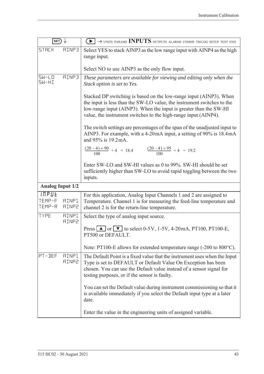| SET)                                        |                              | $\textcolor{blue}{\blacktriangleright} \rightarrow$ units params INPUTS outputs alarms comms tm/log setup test end                                                                                                                                                                   |
|---------------------------------------------|------------------------------|--------------------------------------------------------------------------------------------------------------------------------------------------------------------------------------------------------------------------------------------------------------------------------------|
| <b>STACK</b>                                | <b>AINP3</b>                 | Select YES to stack AINP3 as the low range input with AINP4 as the high<br>range input.                                                                                                                                                                                              |
|                                             |                              | Select NO to use AINP3 as the only flow input.                                                                                                                                                                                                                                       |
| $5W - L$ <sup><math>0</math></sup><br>5W-HI | <b>AINP3</b>                 | These parameters are available for viewing and editing only when the<br>Stack option is set to Yes.                                                                                                                                                                                  |
|                                             |                              | Stacked DP switching is based on the low-range input (AINP3). When<br>the input is less than the SW-LO value, the instrument switches to the<br>low-range input (AINP3). When the input is greater than the SW-HI<br>value, the instrument switches to the high-range input (AINP4). |
|                                             |                              | The switch settings are percentages of the span of the unadjusted input to<br>AINP3. For example, with a 4-20mA input, a setting of 90% is 18.4mA<br>and 95% is 19.2mA.                                                                                                              |
|                                             |                              | $\frac{(20-4)\times 90}{100} + 4 = 18.4$ $\frac{(20-4)\times 95}{100} + 4 = 19.2$                                                                                                                                                                                                    |
|                                             |                              | Enter SW-LO and SW-HI values as 0 to 99%. SW-HI should be set<br>sufficiently higher than SW-LO to avoid rapid toggling between the two<br>inputs.                                                                                                                                   |
| <b>Analog Input 1/2</b>                     |                              |                                                                                                                                                                                                                                                                                      |
| <b>INPUE</b><br>TEMP-F<br>TEMP-R            | <b>AINP1</b><br><b>AINP2</b> | For this application, Analog Input Channels 1 and 2 are assigned to<br>Temperature. Channel 1 is for measuring the feed-line temperature and<br>channel 2 is for the return-line temperature.                                                                                        |
| TYPE                                        | <b>AINP1</b><br><b>AINP2</b> | Select the type of analog input source.                                                                                                                                                                                                                                              |
|                                             |                              | Press $\Box$ or $\nabla$ to select 0-5V, 1-5V, 4-20mA, PT100, PT100-E,<br>PT500 or DEFAULT.                                                                                                                                                                                          |
|                                             |                              | Note: PT100-E allows for extended temperature range (-200 to 800 °C).                                                                                                                                                                                                                |
| PT-DEF                                      | <b>AINP1</b><br><b>AINP2</b> | The Default Point is a fixed value that the instrument uses when the Input<br>Type is set to DEFAULT or Default Value On Exception has been<br>chosen. You can use the Default value instead of a sensor signal for<br>testing purposes, or if the sensor is faulty.                 |
|                                             |                              | You can set the Default value during instrument commissioning so that it<br>is available immediately if you select the Default input type at a later<br>date.                                                                                                                        |
|                                             |                              | Enter the value in the engineering units of assigned variable.                                                                                                                                                                                                                       |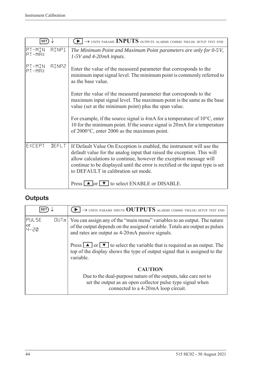| <b>SET</b>         |              | $\rightarrow$ UNITS PARAMS INPUTS OUTPUTS ALARMS COMMS TM/LOG SETUP TEST END                                                                                                                                                                                                                                                                    |
|--------------------|--------------|-------------------------------------------------------------------------------------------------------------------------------------------------------------------------------------------------------------------------------------------------------------------------------------------------------------------------------------------------|
| PT-MIN<br>$PT-MAX$ | AINP1        | The Minimum Point and Maximum Point parameters are only for 0-5V,<br>$1-5V$ and 4-20mA inputs.                                                                                                                                                                                                                                                  |
| PT-MIN<br>$PT-MHX$ | <b>AINP2</b> | Enter the value of the measured parameter that corresponds to the<br>minimum input signal level. The minimum point is commonly referred to<br>as the base value.                                                                                                                                                                                |
|                    |              | Enter the value of the measured parameter that corresponds to the<br>maximum input signal level. The maximum point is the same as the base<br>value (set at the minimum point) plus the span value.                                                                                                                                             |
|                    |              | For example, if the source signal is $4mA$ for a temperature of $10^{\circ}$ C, enter<br>10 for the minimum point. If the source signal is 20 mA for a temperature<br>of 2000°C, enter 2000 as the maximum point.                                                                                                                               |
| EXCEPT             | <b>JEFLT</b> | If Default Value On Exception is enabled, the instrument will use the<br>default value for the analog input that raised the exception. This will<br>allow calculations to continue, however the exception message will<br>continue to be displayed until the error is rectified or the input type is set<br>to DEFAULT in calibration set mode. |
|                    |              | Press $\Box$ or $\nabla$ to select ENABLE or DISABLE.                                                                                                                                                                                                                                                                                           |

## **Outputs**

| <b>SET</b>                                    | $\rightarrow$ units params inputs OUTPUTS alarms comms tm/log setup test end                                                                                                                                |
|-----------------------------------------------|-------------------------------------------------------------------------------------------------------------------------------------------------------------------------------------------------------------|
| <b>PULSE</b><br>$[[] \cup [n]$<br>or<br> 4-근M | You can assign any of the "main menu" variables to an output. The nature<br>of the output depends on the assigned variable. Totals are output as pulses<br>and rates are output as 4-20 mA passive signals. |
|                                               | Press $\Box$ or $\nabla$ to select the variable that is required as an output. The<br>top of the display shows the type of output signal that is assigned to the<br>variable.                               |
|                                               | <b>CAUTION</b><br>Due to the dual-purpose nature of the outputs, take care not to<br>set the output as an open collector pulse type signal when<br>connected to a 4-20mA loop circuit.                      |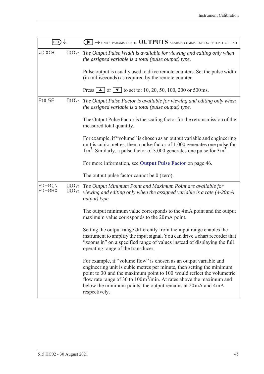| SET)             |              | $\blacktriangleright$ $\rightarrow$ units params inputs OUTPUTS alarms comms tm/log setup test end                                                                                                                                                                                                                                                                                            |
|------------------|--------------|-----------------------------------------------------------------------------------------------------------------------------------------------------------------------------------------------------------------------------------------------------------------------------------------------------------------------------------------------------------------------------------------------|
| WIJTH            | QUTn         | The Output Pulse Width is available for viewing and editing only when<br>the assigned variable is a total (pulse output) type.                                                                                                                                                                                                                                                                |
|                  |              | Pulse output is usually used to drive remote counters. Set the pulse width<br>(in milliseconds) as required by the remote counter.                                                                                                                                                                                                                                                            |
|                  |              | Press $\boxed{\triangle}$ or $\boxed{\triangledown}$ to set to: 10, 20, 50, 100, 200 or 500 ms.                                                                                                                                                                                                                                                                                               |
| PULSE            | QUTn         | The Output Pulse Factor is available for viewing and editing only when<br>the assigned variable is a total (pulse output) type.                                                                                                                                                                                                                                                               |
|                  |              | The Output Pulse Factor is the scaling factor for the retransmission of the<br>measured total quantity.                                                                                                                                                                                                                                                                                       |
|                  |              | For example, if "volume" is chosen as an output variable and engineering<br>unit is cubic metres, then a pulse factor of 1.000 generates one pulse for<br>$1 m3$ . Similarly, a pulse factor of 3.000 generates one pulse for $3 m3$ .                                                                                                                                                        |
|                  |              | For more information, see Output Pulse Factor on page 46.                                                                                                                                                                                                                                                                                                                                     |
|                  |              | The output pulse factor cannot be $0$ (zero).                                                                                                                                                                                                                                                                                                                                                 |
| PT-MIN<br>PT-MRX | QUTn<br>QUTn | The Output Minimum Point and Maximum Point are available for<br>viewing and editing only when the assigned variable is a rate (4-20mA<br>output) type.                                                                                                                                                                                                                                        |
|                  |              | The output minimum value corresponds to the 4mA point and the output<br>maximum value corresponds to the 20mA point.                                                                                                                                                                                                                                                                          |
|                  |              | Setting the output range differently from the input range enables the<br>instrument to amplify the input signal. You can drive a chart recorder that<br>"zooms in" on a specified range of values instead of displaying the full<br>operating range of the transducer.                                                                                                                        |
|                  |              | For example, if "volume flow" is chosen as an output variable and<br>engineering unit is cubic metres per minute, then setting the minimum<br>point to 30 and the maximum point to 100 would reflect the volumetric<br>flow rate range of 30 to $100 \text{m}^3/\text{min}$ . At rates above the maximum and<br>below the minimum points, the output remains at 20mA and 4mA<br>respectively. |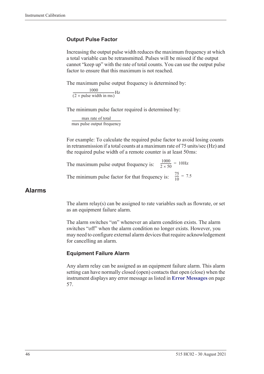#### <span id="page-55-0"></span>**Output Pulse Factor**

Increasing the output pulse width reduces the maximum frequency at which a total variable can be retransmitted. Pulses will be missed if the output cannot "keep up" with the rate of total counts. You can use the output pulse factor to ensure that this maximum is not reached.

The maximum pulse output frequency is determined by:

 $\frac{1000}{(2 \times \text{pulse width in ms})} \text{Hz}$ 

The minimum pulse factor required is determined by:

max rate of total max pulse output frequency ------------------------------------------------------------------

For example: To calculate the required pulse factor to avoid losing counts in retransmission if a total counts at a maximum rate of 75 units/sec (Hz) and the required pulse width of a remote counter is at least 50 ms:

The maximum pulse output frequency is:  $\frac{1000}{2 \times 50}$  = 10Hz The minimum pulse factor for that frequency is:  $\frac{75}{10}$  $\frac{73}{10}$  = 7.5

#### **Alarms**

The alarm relay(s) can be assigned to rate variables such as flowrate, or set as an equipment failure alarm.

The alarm switches "on" whenever an alarm condition exists. The alarm switches "off" when the alarm condition no longer exists. However, you may need to configure external alarm devices that require acknowledgement for cancelling an alarm.

#### **Equipment Failure Alarm**

Any alarm relay can be assigned as an equipment failure alarm. This alarm setting can have normally closed (open) contacts that open (close) when the instrument displays any error message as listed in **[Error Messages](#page-66-0)** on page [57](#page-66-0).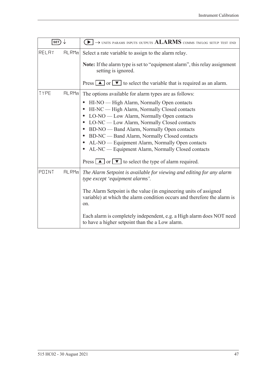| SET)  |       | $\rightarrow$ units params inputs outputs $ALARMS$ comms tm/log setup test end                                                                       |
|-------|-------|------------------------------------------------------------------------------------------------------------------------------------------------------|
| RELAY | HLRMn | Select a rate variable to assign to the alarm relay.                                                                                                 |
|       |       | Note: If the alarm type is set to "equipment alarm", this relay assignment<br>setting is ignored.                                                    |
|       |       | Press $\boxed{\blacktriangle}$ or $\boxed{\blacktriangledown}$ to select the variable that is required as an alarm.                                  |
| TYPE  | HLRMn | The options available for alarm types are as follows:                                                                                                |
|       |       | HI-NO — High Alarm, Normally Open contacts<br>$\bullet$                                                                                              |
|       |       | HI-NC — High Alarm, Normally Closed contacts                                                                                                         |
|       |       | LO-NO — Low Alarm, Normally Open contacts<br>$\bullet$                                                                                               |
|       |       | LO-NC — Low Alarm, Normally Closed contacts                                                                                                          |
|       |       | BD-NO — Band Alarm, Normally Open contacts<br>BD-NC — Band Alarm, Normally Closed contacts<br>٠                                                      |
|       |       | AL-NO — Equipment Alarm, Normally Open contacts                                                                                                      |
|       |       | AL-NC — Equipment Alarm, Normally Closed contacts                                                                                                    |
|       |       | Press $\Box$ or $\nabla$ to select the type of alarm required.                                                                                       |
| POINT | HLRMn | The Alarm Setpoint is available for viewing and editing for any alarm<br>type except 'equipment alarms'.                                             |
|       |       | The Alarm Setpoint is the value (in engineering units of assigned<br>variable) at which the alarm condition occurs and therefore the alarm is<br>on. |
|       |       | Each alarm is completely independent, e.g. a High alarm does NOT need<br>to have a higher setpoint than the a Low alarm.                             |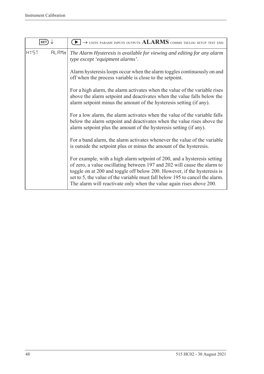| SET                  | $\rightarrow$ units params inputs outputs $ALARMS$ comms tm/log setup test end                                                                                                                                                                                                                                                                                                           |
|----------------------|------------------------------------------------------------------------------------------------------------------------------------------------------------------------------------------------------------------------------------------------------------------------------------------------------------------------------------------------------------------------------------------|
| <b>HY5T</b><br>FLRMn | The Alarm Hysteresis is available for viewing and editing for any alarm<br>type except 'equipment alarms'.                                                                                                                                                                                                                                                                               |
|                      | Alarm hysteresis loops occur when the alarm toggles continuously on and<br>off when the process variable is close to the setpoint.                                                                                                                                                                                                                                                       |
|                      | For a high alarm, the alarm activates when the value of the variable rises<br>above the alarm setpoint and deactivates when the value falls below the<br>alarm setpoint minus the amount of the hysteresis setting (if any).                                                                                                                                                             |
|                      | For a low alarm, the alarm activates when the value of the variable falls<br>below the alarm setpoint and deactivates when the value rises above the<br>alarm setpoint plus the amount of the hysteresis setting (if any).                                                                                                                                                               |
|                      | For a band alarm, the alarm activates whenever the value of the variable<br>is outside the setpoint plus or minus the amount of the hysteresis.                                                                                                                                                                                                                                          |
|                      | For example, with a high alarm setpoint of 200, and a hysteresis setting<br>of zero, a value oscillating between 197 and 202 will cause the alarm to<br>toggle on at 200 and toggle off below 200. However, if the hysteresis is<br>set to 5, the value of the variable must fall below 195 to cancel the alarm.<br>The alarm will reactivate only when the value again rises above 200. |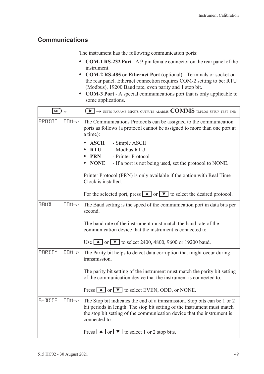### **Communications**

The instrument has the following communication ports:

- **• COM-1 RS-232 Port** A 9-pin female connector on the rear panel of the instrument.
- **• COM-2 RS-485 or Ethernet Port** (optional) Terminals or socket on the rear panel. Ethernet connection requires COM-2 setting to be: RTU (Modbus), 19200 Baud rate, even parity and 1 stop bit.
- **• COM-3 Port** A special communications port that is only applicable to some applications.

| $ $ SET $)$ |           | $\textcolor{blue}{\blacktriangleright} \rightarrow$ units params inputs outputs alarms $\textcolor{blue}{\mathbf{COMMS}}$ tmlog setup test end                                                                                                    |
|-------------|-----------|---------------------------------------------------------------------------------------------------------------------------------------------------------------------------------------------------------------------------------------------------|
| PROTOC      | $CDM - n$ | The Communications Protocols can be assigned to the communication<br>ports as follows (a protocol cannot be assigned to more than one port at<br>a time):                                                                                         |
|             |           | <b>ASCII</b><br>- Simple ASCII<br>- Modbus RTU<br><b>RTU</b>                                                                                                                                                                                      |
|             |           | - Printer Protocol<br><b>PRN</b>                                                                                                                                                                                                                  |
|             |           | <b>NONE</b><br>- If a port is not being used, set the protocol to NONE.                                                                                                                                                                           |
|             |           | Printer Protocol (PRN) is only available if the option with Real Time<br>Clock is installed.                                                                                                                                                      |
|             |           | For the selected port, press $\Box$ or $\Box$ to select the desired protocol.                                                                                                                                                                     |
| <b>BRUD</b> | $CDM - n$ | The Baud setting is the speed of the communication port in data bits per<br>second.                                                                                                                                                               |
|             |           | The baud rate of the instrument must match the baud rate of the<br>communication device that the instrument is connected to.                                                                                                                      |
|             |           | Use $\blacksquare$ or $\blacksquare$ to select 2400, 4800, 9600 or 19200 baud.                                                                                                                                                                    |
| PARITY      | $CDM - n$ | The Parity bit helps to detect data corruption that might occur during<br>transmission.                                                                                                                                                           |
|             |           | The parity bit setting of the instrument must match the parity bit setting<br>of the communication device that the instrument is connected to.                                                                                                    |
|             |           | Press $\Box$ or $\nabla$ to select EVEN, ODD, or NONE.                                                                                                                                                                                            |
| $5 - B115$  | $CDM - n$ | The Stop bit indicates the end of a transmission. Stop bits can be 1 or 2<br>bit periods in length. The stop bit setting of the instrument must match<br>the stop bit setting of the communication device that the instrument is<br>connected to. |
|             |           | Press $\boxed{\blacktriangle}$ or $\boxed{\blacktriangledown}$ to select 1 or 2 stop bits.                                                                                                                                                        |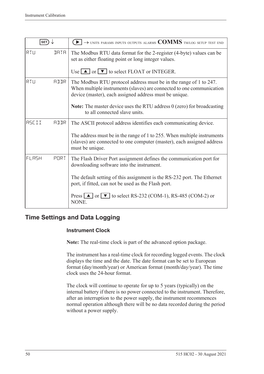| SET)         |             | $\rightarrow$ units params inputs outputs alarms $\text{COMMS}$ tm/log setup test end                                                                                                                |
|--------------|-------------|------------------------------------------------------------------------------------------------------------------------------------------------------------------------------------------------------|
| RTU          | <b>IRTR</b> | The Modbus RTU data format for the 2-register (4-byte) values can be<br>set as either floating point or long integer values.                                                                         |
|              |             | Use $\Box$ or $\nabla$ to select FLOAT or INTEGER.                                                                                                                                                   |
| RTU          | AIIR        | The Modbus RTU protocol address must be in the range of 1 to 247.<br>When multiple instruments (slaves) are connected to one communication<br>device (master), each assigned address must be unique. |
|              |             | <b>Note:</b> The master device uses the RTU address $0$ (zero) for broadcasting<br>to all connected slave units.                                                                                     |
| <b>ASCII</b> | <b>ATTR</b> | The ASCII protocol address identifies each communicating device.                                                                                                                                     |
|              |             | The address must be in the range of 1 to 255. When multiple instruments<br>(slaves) are connected to one computer (master), each assigned address<br>must be unique.                                 |
| FLASH        | PORT        | The Flash Driver Port assignment defines the communication port for<br>downloading software into the instrument.                                                                                     |
|              |             | The default setting of this assignment is the RS-232 port. The Ethernet<br>port, if fitted, can not be used as the Flash port.                                                                       |
|              |             | Press $\Box$ or $\nabla$ to select RS-232 (COM-1), RS-485 (COM-2) or<br>NONE.                                                                                                                        |

### **Time Settings and Data Logging**

#### **Instrument Clock**

**Note:** The real-time clock is part of the advanced option package.

The instrument has a real-time clock for recording logged events. The clock displays the time and the date. The date format can be set to European format (day/month/year) or American format (month/day/year). The time clock uses the 24-hour format.

The clock will continue to operate for up to 5 years (typically) on the internal battery if there is no power connected to the instrument. Therefore, after an interruption to the power supply, the instrument recommences normal operation although there will be no data recorded during the period without a power supply.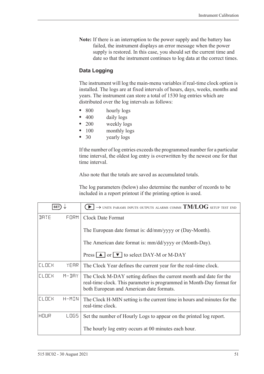**Note:** If there is an interruption to the power supply and the battery has failed, the instrument displays an error message when the power supply is restored. In this case, you should set the current time and date so that the instrument continues to log data at the correct times.

#### **Data Logging**

The instrument will log the main-menu variables if real-time clock option is installed. The logs are at fixed intervals of hours, days, weeks, months and years. The instrument can store a total of 1530 log entries which are distributed over the log intervals as follows:

- 800 hourly logs
- 400 daily logs
- **•** 200 weekly logs
- 100 monthly logs
- **•** 30 yearly logs

If the number of log entries exceeds the programmed number for a particular time interval, the oldest log entry is overwritten by the newest one for that time interval.

Also note that the totals are saved as accumulated totals.

The log parameters (below) also determine the number of records to be included in a report printout if the printing option is used.

| <b>SET</b>   |           | $\rightarrow$ units params inputs outputs alarms comms $TM/LOG$ setup test end                                                                                                          |
|--------------|-----------|-----------------------------------------------------------------------------------------------------------------------------------------------------------------------------------------|
| <b>IRTE</b>  | FORM      | Clock Date Format                                                                                                                                                                       |
|              |           | The European date format is: dd/mm/yyyy or (Day-Month).                                                                                                                                 |
|              |           | The American date format is: mm/dd/yyyy or (Month-Day).                                                                                                                                 |
|              |           | Press $\boxed{\blacktriangle}$ or $\boxed{\blacktriangledown}$ to select DAY-M or M-DAY                                                                                                 |
| <b>CLOCK</b> | YEAR      | The Clock Year defines the current year for the real-time clock.                                                                                                                        |
| <b>CLOCK</b> | $M - JHY$ | The Clock M-DAY setting defines the current month and date for the<br>real-time clock. This parameter is programmed in Month-Day format for<br>both European and American date formats. |
| <b>CLOCK</b> | H-MIN     | The Clock H-MIN setting is the current time in hours and minutes for the<br>real-time clock.                                                                                            |
| HOUR         | LOGS.     | Set the number of Hourly Logs to appear on the printed log report.                                                                                                                      |
|              |           | The hourly log entry occurs at 00 minutes each hour.                                                                                                                                    |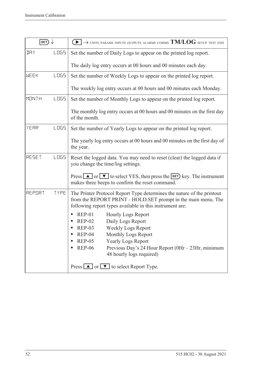| SET)         |             | $\rightarrow$ units params inputs outputs alarms comms $TM/LOG$ setup test end                                                                                                                                                                                                                              |
|--------------|-------------|-------------------------------------------------------------------------------------------------------------------------------------------------------------------------------------------------------------------------------------------------------------------------------------------------------------|
| <b>IRY</b>   | LOG5        | Set the number of Daily Logs to appear on the printed log report.                                                                                                                                                                                                                                           |
|              |             | The daily log entry occurs at 00 hours and 00 minutes each day.                                                                                                                                                                                                                                             |
| MEEK         | <b>LOGS</b> | Set the number of Weekly Logs to appear on the printed log report.                                                                                                                                                                                                                                          |
|              |             | The weekly log entry occurs at 00 hours and 00 minutes each Monday.                                                                                                                                                                                                                                         |
| <b>MONTH</b> | LOG5        | Set the number of Monthly Logs to appear on the printed log report.                                                                                                                                                                                                                                         |
|              |             | The monthly log entry occurs at 00 hours and 00 minutes on the first day<br>of the month.                                                                                                                                                                                                                   |
| YEAR         | LOG5        | Set the number of Yearly Logs to appear on the printed log report.                                                                                                                                                                                                                                          |
|              |             | The yearly log entry occurs at 00 hours and 00 minutes on the first day of<br>the year.                                                                                                                                                                                                                     |
| RESET        | <b>LOGS</b> | Reset the logged data. You may need to reset (clear) the logged data if<br>you change the time/log settings.                                                                                                                                                                                                |
|              |             | Press $\Box$ or $\nabla$ to select YES, then press the <b>SET</b> ) key. The instrument<br>makes three beeps to confirm the reset command.                                                                                                                                                                  |
| REPORT       | TYPE        | The Printer Protocol Report Type determines the nature of the printout<br>from the REPORT PRINT - HOLD.SET prompt in the main menu. The<br>following report types available in this instrument are:                                                                                                         |
|              |             | <b>REP-01</b><br><b>Hourly Logs Report</b><br>Daily Logs Report<br><b>REP-02</b><br>Weekly Logs Report<br><b>REP-03</b><br>$REP-04$<br>Monthly Logs Report<br><b>REP-05</b><br><b>Yearly Logs Report</b><br><b>REP-06</b><br>Previous Day's 24 Hour Report (0Hr - 23Hr, minimum<br>48 hourly logs required) |
|              |             | Press $\boxed{\blacktriangle}$ or $\boxed{\blacktriangledown}$ to select Report Type.                                                                                                                                                                                                                       |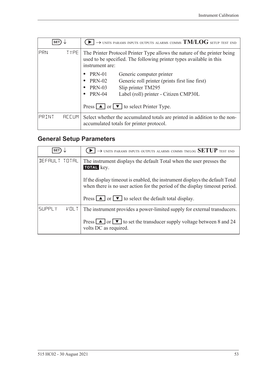| <b>SET</b> |                   | $\rightarrow$ units params inputs outputs alarms comms $\mathrm{TM/LOG}$ setup test end                                                                            |
|------------|-------------------|--------------------------------------------------------------------------------------------------------------------------------------------------------------------|
| PRN        | TYPE <sup>1</sup> | The Printer Protocol Printer Type allows the nature of the printer being<br>used to be specified. The following printer types available in this<br>instrument are: |
|            |                   | <b>PRN-01</b><br>Generic computer printer                                                                                                                          |
|            |                   | <b>PRN-02</b><br>Generic roll printer (prints first line first)<br>$\bullet$                                                                                       |
|            |                   | Slip printer TM295<br><b>PRN-03</b>                                                                                                                                |
|            |                   | <b>PRN-04</b><br>Label (roll) printer - Citizen CMP30L<br>$\bullet$                                                                                                |
|            |                   | Press $\boxed{\blacktriangle}$ or $\boxed{\blacktriangledown}$ to select Printer Type.                                                                             |
| PRINT      | <b>REEUM</b>      | Select whether the accumulated totals are printed in addition to the non-<br>accumulated totals for printer protocol.                                              |

## <span id="page-62-0"></span>**General Setup Parameters**

| <b>SET</b>                   | $\rightarrow$ UNITS PARAMS INPUTS OUTPUTS ALARMS COMMS TM/LOG SETUP TEST END                                                                                 |
|------------------------------|--------------------------------------------------------------------------------------------------------------------------------------------------------------|
| DEFAULT TOTAL                | The instrument displays the default Total when the user presses the<br>TOTAL key.                                                                            |
|                              | If the display time out is enabled, the instrument displays the default Total<br>when there is no user action for the period of the display time out period. |
|                              | Press $\Box$ or $\Box$ to select the default total display.                                                                                                  |
| <b>SUPPLY</b><br><b>VOLT</b> | The instrument provides a power-limited supply for external transducers.                                                                                     |
|                              | Press $\boxed{\blacktriangle}$ or $\boxed{\blacktriangledown}$ to set the transducer supply voltage between 8 and 24<br>volts DC as required.                |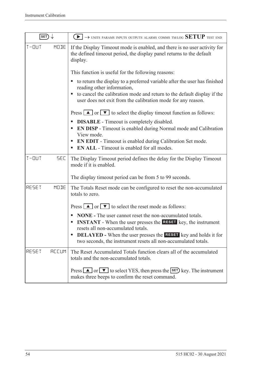| SET)                    | $\rightarrow$ units params inputs outputs alarms comms tm/log SETUP test end                                                                                                         |
|-------------------------|--------------------------------------------------------------------------------------------------------------------------------------------------------------------------------------|
| $T - 11T$<br>MODE       | If the Display Timeout mode is enabled, and there is no user activity for<br>the defined timeout period, the display panel returns to the default<br>display.                        |
|                         | This function is useful for the following reasons:                                                                                                                                   |
|                         | to return the display to a preferred variable after the user has finished<br>$\bullet$<br>reading other information,                                                                 |
|                         | to cancel the calibration mode and return to the default display if the<br>$\bullet$<br>user does not exit from the calibration mode for any reason.                                 |
|                         | Press $\Box$ or $\nabla$ to select the display timeout function as follows:                                                                                                          |
|                         | <b>DISABLE</b> - Timeout is completely disabled.<br>$\bullet$<br><b>EN DISP</b> - Timeout is enabled during Normal mode and Calibration<br>View mode.                                |
|                         | <b>EN EDIT</b> - Timeout is enabled during Calibration Set mode.<br>$\bullet$<br><b>EN ALL</b> - Timeout is enabled for all modes.                                                   |
| $T - 11T$<br><b>SEC</b> | The Display Timeout period defines the delay for the Display Timeout<br>mode if it is enabled.                                                                                       |
|                         | The display timeout period can be from 5 to 99 seconds.                                                                                                                              |
| MODE<br>RESET           | The Totals Reset mode can be configured to reset the non-accumulated<br>totals to zero.                                                                                              |
|                         | Press $\boxed{\blacktriangle}$ or $\boxed{\blacktriangledown}$ to select the reset mode as follows:                                                                                  |
|                         | <b>NONE</b> - The user cannot reset the non-accumulated totals.<br><b>INSTANT</b> - When the user presses the <b>RESET</b> key, the instrument<br>resets all non-accumulated totals. |
|                         | <b>DELAYED</b> - When the user presses the <b>RESET</b> key and holds it for<br>two seconds, the instrument resets all non-accumulated totals.                                       |
| RESET<br><b>REEUM</b>   | The Reset Accumulated Totals function clears all of the accumulated<br>totals and the non-accumulated totals.                                                                        |
|                         | Press $\Box$ or $\nabla$ to select YES, then press the SET key. The instrument<br>makes three beeps to confirm the reset command.                                                    |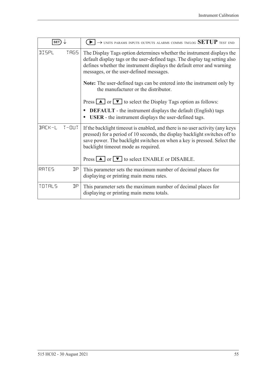| <b>SET</b>   |             | $\rightarrow$ units params inputs outputs alarms comms tm/log SETUP test end                                                                                                                                                                                                                                                                                                                       |
|--------------|-------------|----------------------------------------------------------------------------------------------------------------------------------------------------------------------------------------------------------------------------------------------------------------------------------------------------------------------------------------------------------------------------------------------------|
| <b>IISPL</b> | <b>TRGS</b> | The Display Tags option determines whether the instrument displays the<br>default display tags or the user-defined tags. The display tag setting also<br>defines whether the instrument displays the default error and warning<br>messages, or the user-defined messages.<br><b>Note:</b> The user-defined tags can be entered into the instrument only by<br>the manufacturer or the distributor. |
|              |             | Press $\boxed{\blacktriangle}$ or $\boxed{\blacktriangledown}$ to select the Display Tags option as follows:                                                                                                                                                                                                                                                                                       |
|              |             | <b>DEFAULT</b> - the instrument displays the default (English) tags<br><b>USER</b> - the instrument displays the user-defined tags.                                                                                                                                                                                                                                                                |
| BACK-L T-OUT |             | If the backlight timeout is enabled, and there is no user activity (any keys<br>pressed) for a period of 10 seconds, the display backlight switches off to<br>save power. The backlight switches on when a key is pressed. Select the<br>backlight timeout mode as required.<br>Press $\Box$ or $\nabla$ to select ENABLE or DISABLE.                                                              |
|              |             |                                                                                                                                                                                                                                                                                                                                                                                                    |
| RATES        | ηp          | This parameter sets the maximum number of decimal places for<br>displaying or printing main menu rates.                                                                                                                                                                                                                                                                                            |
| TOTALS       | ηp          | This parameter sets the maximum number of decimal places for<br>displaying or printing main menu totals.                                                                                                                                                                                                                                                                                           |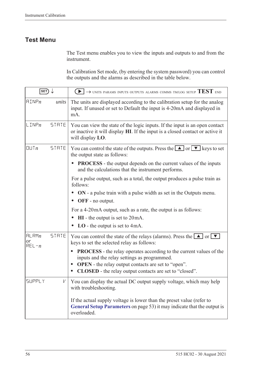### **Test Menu**

The Test menu enables you to view the inputs and outputs to and from the instrument.

In Calibration Set mode, (by entering the system password) you can control the outputs and the alarms as described in the table below.

| $\overline{\text{SET}}$  |              | $\blacktriangleright$ $\blacktriangleright$ UNITS PARAMS INPUTS OUTPUTS ALARMS COMMS TM/LOG SETUP $\text{TEST}$ end                                                                                                                                              |
|--------------------------|--------------|------------------------------------------------------------------------------------------------------------------------------------------------------------------------------------------------------------------------------------------------------------------|
| $\text{HIMP}_n$          | units        | The units are displayed according to the calibration setup for the analog<br>input. If unused or set to Default the input is 4-20mA and displayed in<br>mA.                                                                                                      |
| $L$ INP $n$              | <b>STRTE</b> | You can view the state of the logic inputs. If the input is an open contact<br>or inactive it will display HI. If the input is a closed contact or active it<br>will display LO.                                                                                 |
| UUTn                     | <b>STRTE</b> | You can control the state of the outputs. Press the $\Box$ or $\nabla$ keys to set<br>the output state as follows:                                                                                                                                               |
|                          |              | <b>PROCESS</b> - the output depends on the current values of the inputs<br>and the calculations that the instrument performs.                                                                                                                                    |
|                          |              | For a pulse output, such as a total, the output produces a pulse train as<br>follows:                                                                                                                                                                            |
|                          |              | <b>ON</b> - a pulse train with a pulse width as set in the Outputs menu.<br>OFF - no output.                                                                                                                                                                     |
|                          |              | For a 4-20mA output, such as a rate, the output is as follows:                                                                                                                                                                                                   |
|                          |              | $HI$ - the output is set to $20mA$ .                                                                                                                                                                                                                             |
|                          |              | $LO$ - the output is set to 4mA.                                                                                                                                                                                                                                 |
| HLRMn<br>or<br>$REL - n$ | <b>STRTE</b> | You can control the state of the relays (alarms). Press the $\boxed{\blacktriangle}$ or $\boxed{\blacktriangledown}$<br>keys to set the selected relay as follows:                                                                                               |
|                          |              | <b>PROCESS</b> - the relay operates according to the current values of the<br>inputs and the relay settings as programmed.<br><b>OPEN</b> - the relay output contacts are set to "open".<br>$\bullet$<br>CLOSED - the relay output contacts are set to "closed". |
| <b>SUPPLY</b>            | V            | You can display the actual DC output supply voltage, which may help<br>with troubleshooting.                                                                                                                                                                     |
|                          |              | If the actual supply voltage is lower than the preset value (refer to<br>General Setup Parameters on page 53) it may indicate that the output is<br>overloaded.                                                                                                  |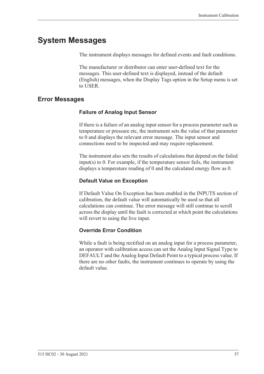## **System Messages**

The instrument displays messages for defined events and fault conditions.

The manufacturer or distributor can enter user-defined text for the messages. This user-defined text is displayed, instead of the default (English) messages, when the Display Tags option in the Setup menu is set to USER.

### <span id="page-66-0"></span>**Error Messages**

#### **Failure of Analog Input Sensor**

If there is a failure of an analog input sensor for a process parameter such as temperature or pressure etc, the instrument sets the value of that parameter to 0 and displays the relevant error message. The input sensor and connections need to be inspected and may require replacement.

The instrument also sets the results of calculations that depend on the failed input(s) to 0. For example, if the temperature sensor fails, the instrument displays a temperature reading of 0 and the calculated energy flow as 0.

#### **Default Value on Exception**

If Default Value On Exception has been enabled in the INPUTS section of calibration, the default value will automatically be used so that all calculations can continue. The error message will still continue to scroll across the display until the fault is corrected at which point the calculations will revert to using the live input.

#### **Override Error Condition**

While a fault is being rectified on an analog input for a process parameter, an operator with calibration access can set the Analog Input Signal Type to DEFAULT and the Analog Input Default Point to a typical process value. If there are no other faults, the instrument continues to operate by using the default value.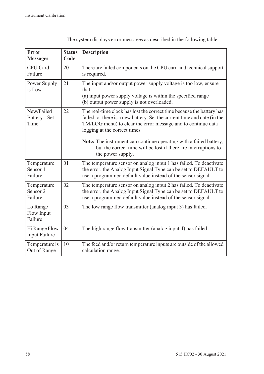| <b>Error</b><br><b>Messages</b>               | <b>Status</b><br>Code | <b>Description</b>                                                                                                                                                                                                                                 |
|-----------------------------------------------|-----------------------|----------------------------------------------------------------------------------------------------------------------------------------------------------------------------------------------------------------------------------------------------|
| CPU Card<br>Failure                           | 20                    | There are failed components on the CPU card and technical support<br>is required.                                                                                                                                                                  |
| Power Supply<br>is Low                        | 21                    | The input and/or output power supply voltage is too low, ensure<br>that:<br>(a) input power supply voltage is within the specified range<br>(b) output power supply is not overloaded.                                                             |
| New/Failed<br>Battery - Set<br>Time           | 22                    | The real-time clock has lost the correct time because the battery has<br>failed, or there is a new battery. Set the current time and date (in the<br>TM/LOG menu) to clear the error message and to continue data<br>logging at the correct times. |
|                                               |                       | Note: The instrument can continue operating with a failed battery,<br>but the correct time will be lost if there are interruptions to<br>the power supply.                                                                                         |
| Temperature<br>Sensor 1<br>Failure            | 01                    | The temperature sensor on analog input 1 has failed. To deactivate<br>the error, the Analog Input Signal Type can be set to DEFAULT to<br>use a programmed default value instead of the sensor signal.                                             |
| Temperature<br>Sensor <sub>2</sub><br>Failure | 02                    | The temperature sensor on analog input 2 has failed. To deactivate<br>the error, the Analog Input Signal Type can be set to DEFAULT to<br>use a programmed default value instead of the sensor signal.                                             |
| Lo Range<br>Flow Input<br>Failure             | 03                    | The low range flow transmitter (analog input 3) has failed.                                                                                                                                                                                        |
| Hi Range Flow<br><b>Input Failure</b>         | 04                    | The high range flow transmitter (analog input 4) has failed.                                                                                                                                                                                       |
| Temperature is<br>Out of Range                | 10                    | The feed and/or return temperature inputs are outside of the allowed<br>calculation range.                                                                                                                                                         |

The system displays error messages as described in the following table: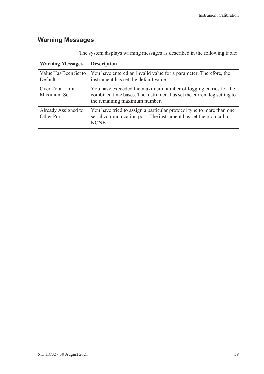## **Warning Messages**

| <b>Warning Messages</b>           | <b>Description</b>                                                                                                                                                         |
|-----------------------------------|----------------------------------------------------------------------------------------------------------------------------------------------------------------------------|
| Value Has Been Set to<br>Default  | You have entered an invalid value for a parameter. Therefore, the<br>instrument has set the default value.                                                                 |
| Over Total Limit -<br>Maximum Set | You have exceeded the maximum number of logging entries for the<br>combined time bases. The instrument has set the current log setting to<br>the remaining maximum number. |
| Already Assigned to<br>Other Port | You have tried to assign a particular protocol type to more than one<br>serial communication port. The instrument has set the protocol to<br>NONE.                         |

The system displays warning messages as described in the following table: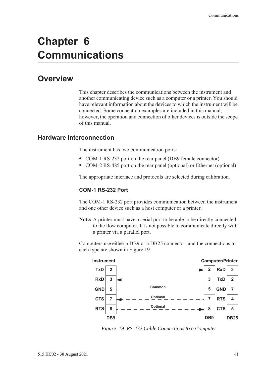# **Chapter 6 Communications**

## **Overview**

This chapter describes the communications between the instrument and another communicating device such as a computer or a printer. You should have relevant information about the devices to which the instrument will be connected. Some connection examples are included in this manual, however, the operation and connection of other devices is outside the scope of this manual.

#### **Hardware Interconnection**

The instrument has two communication ports:

- **•** COM-1 RS-232 port on the rear panel (DB9 female connector)
- **•** COM-2 RS-485 port on the rear panel (optional) or Ethernet (optional)

The appropriate interface and protocols are selected during calibration.

#### **COM-1 RS-232 Port**

The COM-1 RS-232 port provides communication between the instrument and one other device such as a host computer or a printer.

**Note:** A printer must have a serial port to be able to be directly connected to the flow computer. It is not possible to communicate directly with a printer via a parallel port.

Computers use either a DB9 or a DB25 connector, and the connections to each type are shown in [Figure 19.](#page-70-0)



<span id="page-70-0"></span>*Figure 19 RS-232 Cable Connections to a Computer*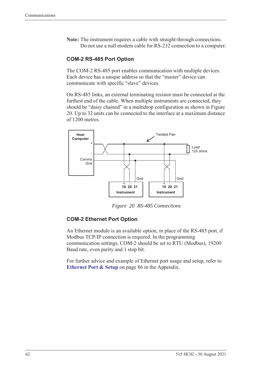**Note:** The instrument requires a cable with straight-through connections. Do not use a null modem cable for RS-232 connection to a computer.

#### **COM-2 RS-485 Port Option**

The COM-2 RS-485 port enables communication with multiple devices. Each device has a unique address so that the "master" device can communicate with specific "slave" devices.

On RS-485 links, an external terminating resistor must be connected at the furthest end of the cable. When multiple instruments are connected, they should be "daisy chained" in a multidrop configuration as shown in Figure [20](#page-71-0). Up to 32 units can be connected to the interface at a maximum distance of 1200 metres.



*Figure 20 RS-485 Connections*

#### <span id="page-71-0"></span>**COM-2 Ethernet Port Option**

An Ethernet module is an available option, in place of the RS-485 port, if Modbus TCP/IP connection is required. In the programming communication settings, COM-2 should be set to RTU (Modbus), 19200 Baud rate, even parity and 1 stop bit.

For further advice and example of Ethernet port usage and setup, refer to **[Ethernet Port & Setup](#page-95-0)** on page 86 in the Appendix.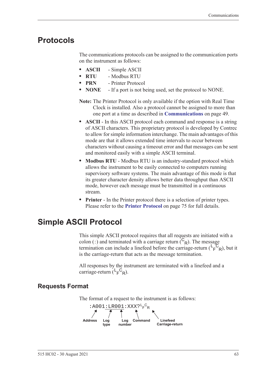# **Protocols**

<span id="page-72-1"></span>The communications protocols can be assigned to the communication ports on the instrument as follows:

- **• ASCII** Simple ASCII
- **• RTU** Modbus RTU
- **• PRN** Printer Protocol
- **• NONE** If a port is not being used, set the protocol to NONE.
- **Note:** The Printer Protocol is only available if the option with Real Time Clock is installed. Also a protocol cannot be assigned to more than one port at a time as described in **[Communications](#page-58-0)** on page 49.
- **• ASCII** In this ASCII protocol each command and response is a string of ASCII characters. This proprietary protocol is developed by Contrec to allow for simple information interchange. The main advantages of this mode are that it allows extended time intervals to occur between characters without causing a timeout error and that messages can be sent and monitored easily with a simple ASCII terminal.
- **• Modbus RTU** Modbus RTU is an industry-standard protocol which allows the instrument to be easily connected to computers running supervisory software systems. The main advantage of this mode is that its greater character density allows better data throughput than ASCII mode, however each message must be transmitted in a continuous stream.
- <span id="page-72-0"></span>**• Printer** - In the Printer protocol there is a selection of printer types. Please refer to the **[Printer Protocol](#page-84-0)** on page 75 for full details.

# **Simple ASCII Protocol**

This simple ASCII protocol requires that all requests are initiated with a colon (:) and terminated with a carriage return  $\binom{C_R}{R}$ . The message termination can include a linefeed before the carriage-return  $(\mathsf{L}_\mathsf{F}^\mathsf{C}_{\mathsf{R}})$ , but it is the carriage-return that acts as the message termination.

<span id="page-72-2"></span>All responses by the instrument are terminated with a linefeed and a carriage-return  $(L_F^C_R)$ .

# **Requests Format**

The format of a request to the instrument is as follows:

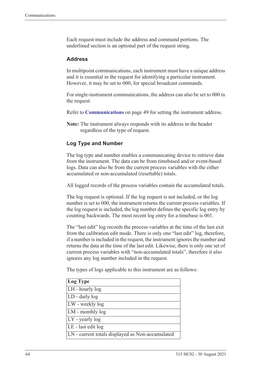Each request must include the address and command portions. The underlined section is an optional part of the request string.

#### <span id="page-73-0"></span>**Address**

In multipoint communications, each instrument must have a unique address and it is essential in the request for identifying a particular instrument. However, it may be set to 000, for special broadcast commands.

For single-instrument communications, the address can also be set to 000 in the request.

Refer to **[Communications](#page-58-0)** on page 49 for setting the instrument address.

**Note:** The instrument always responds with its address in the header regardless of the type of request.

#### **Log Type and Number**

The log type and number enables a communicating device to retrieve data from the instrument. The data can be from timebased and/or event-based logs. Data can also be from the current process variables with the either accumulated or non-accumulated (resettable) totals.

All logged records of the process variables contain the accumulated totals.

The log request is optional. If the log request is not included, or the log number is set to 000, the instrument returns the current process variables. If the log request is included, the log number defines the specific log entry by counting backwards. The most recent log entry for a timebase is 001.

The "last edit" log records the process variables at the time of the last exit from the calibration edit mode. There is only one "last edit" log, therefore, if a number is included in the request, the instrument ignores the number and returns the data at the time of the last edit. Likewise, there is only one set of current process variables with "non-accumulated totals", therefore it also ignores any log number included in the request.

The types of logs applicable to this instrument are as follows:

| Log Type                                         |
|--------------------------------------------------|
| LH - hourly log                                  |
| LD - daily log                                   |
| LW - weekly log                                  |
| LM - monthly log                                 |
| $LY$ - yearly log                                |
| LE - last edit log                               |
| LN - current totals displayed as Non-accumulated |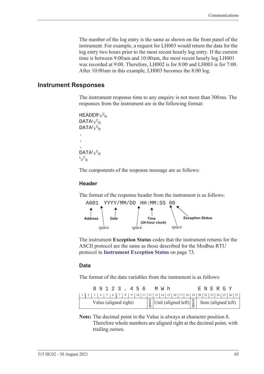The number of the log entry is the same as shown on the front panel of the instrument. For example, a request for LH003 would return the data for the log entry two hours prior to the most recent hourly log entry. If the current time is between 9:00 am and 10:00 am, the most recent hourly log LH001 was recorded at 9:00. Therefore, LH002 is for 8:00 and LH003 is for 7:00. After 10:00 am in this example, LH003 becomes the 8:00 log.

#### **Instrument Responses**

<span id="page-74-1"></span>The instrument response time to any enquiry is not more than 300 ms. The responses from the instrument are in the following format:

```
HEADER<sup>L</sup>F<sup>C</sup>R
DATA<sup>L</sup>F<sup>C</sup>R
DATA<sup>L</sup>F<sup>C</sup>R
.
.
.
DATA<sup>L</sup>F<sup>C</sup>R
L_F^CR
```
The components of the response message are as follows:

#### **Header**

The format of the response header from the instrument is as follows:



<span id="page-74-0"></span>The instrument **Exception Status** codes that the instrument returns for the ASCII protocol are the same as those described for the Modbus RTU protocol in **[Instrument Exception Status](#page-82-0)** on page 73.

#### **Data**

The format of the data variables from the instrument is as follows:

|                       |  |  |  |  | 89123.456 |  |  |                                                                                                                                                               |  | M W h |  |  |  |  | E N E R G Y |  |  |
|-----------------------|--|--|--|--|-----------|--|--|---------------------------------------------------------------------------------------------------------------------------------------------------------------|--|-------|--|--|--|--|-------------|--|--|
|                       |  |  |  |  |           |  |  |                                                                                                                                                               |  |       |  |  |  |  |             |  |  |
| Value (aligned right) |  |  |  |  |           |  |  | $\begin{bmatrix} \frac{8}{9} \\ \frac{8}{9} \end{bmatrix}$ Unit (aligned left) $\begin{bmatrix} \frac{8}{9} \\ \frac{8}{9} \end{bmatrix}$ Item (aligned left) |  |       |  |  |  |  |             |  |  |

**Note:** The decimal point in the Value is always at character position 8. Therefore whole numbers are aligned right at the decimal point, with trailing zeroes.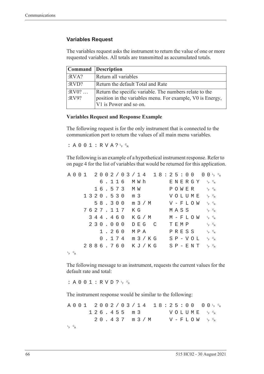#### **Variables Request**

The variables request asks the instrument to return the value of one or more requested variables. All totals are transmitted as accumulated totals.

|                  | <b>Command</b> Description                                                                                                                      |
|------------------|-------------------------------------------------------------------------------------------------------------------------------------------------|
| :RVA?            | Return all variables                                                                                                                            |
| :RVD?            | Return the default Total and Rate                                                                                                               |
| $:RV0?$<br>:RV9? | Return the specific variable. The numbers relate to the<br>position in the variables menu. For example, V0 is Energy,<br>V1 is Power and so on. |

#### **Variables Request and Response Example**

The following request is for the only instrument that is connected to the communication port to return the values of all main menu variables.

: A 0 0 1 : R V A ?  $L_F$   $C_R$ 

The following is an example of a hypothetical instrument response. Refer to [on page 4](#page-13-0) for the list of variables that would be returned for this application.

|             |  |  |  |  |          |  |                  |  |       | $A\ 0\ 0\ 1\quad 2\ 0\ 0\ 2\ / \ 0\ 3\ / \ 1\ 4\quad 1\ 8:2\ 5:0\ 0\quad 0\ 0\ _{F}\ ^{c}{}_{R}$ |  |      |  |               |                                              |                                   |  |
|-------------|--|--|--|--|----------|--|------------------|--|-------|--------------------------------------------------------------------------------------------------|--|------|--|---------------|----------------------------------------------|-----------------------------------|--|
|             |  |  |  |  |          |  | 6.116 MWh        |  |       |                                                                                                  |  |      |  |               | ENERGY 'F <sup>c</sup> r                     |                                   |  |
|             |  |  |  |  |          |  | 16.573 MW        |  |       |                                                                                                  |  |      |  |               | POWER                                        | $L_{F}$ $C_{R}$                   |  |
|             |  |  |  |  |          |  | 1320.530 m 3     |  |       |                                                                                                  |  |      |  |               | VOLUME <sup>L<sub>E</sub>C<sub>R</sub></sup> |                                   |  |
|             |  |  |  |  |          |  |                  |  |       | 58.300 m 3/M                                                                                     |  |      |  |               | $V - F L O W \leftarrow c_R$                 |                                   |  |
|             |  |  |  |  | 7627.117 |  | КG               |  |       |                                                                                                  |  |      |  | MASS          |                                              | $L_{F}$ $C_{R}$                   |  |
|             |  |  |  |  | 344.460  |  |                  |  |       | K G / M                                                                                          |  |      |  |               | M – F L O W                                  | $L$ <sub>F</sub> $C$ <sub>R</sub> |  |
|             |  |  |  |  | 230.000  |  |                  |  | DEG C |                                                                                                  |  | TEMP |  |               |                                              | $L_F$ $C_R$                       |  |
|             |  |  |  |  | 1.260    |  | МРА              |  |       |                                                                                                  |  |      |  | PRESS         |                                              | $L_{F}$ $C_{R}$                   |  |
|             |  |  |  |  |          |  | $0.174$ m $3/KG$ |  |       |                                                                                                  |  |      |  | $S P - V O L$ |                                              | $L_{F}$ $C_{R}$                   |  |
|             |  |  |  |  |          |  |                  |  |       | 2886.760 KJ/KG SP-ENT FR                                                                         |  |      |  |               |                                              |                                   |  |
| $L_F$ $C_R$ |  |  |  |  |          |  |                  |  |       |                                                                                                  |  |      |  |               |                                              |                                   |  |

The following message to an instrument, requests the current values for the default rate and total:

: A 0 0 1 : R V D ?  $L_F$   $C_R$ 

The instrument response would be similar to the following:

A001 2002/03/14 18:25:00  $F$   $\circ$ <sub>R</sub>  $126.455 m3$ <sup>F</sup> <sup>C</sup> R  $20.437$  m  $3/M$  $F$   $\circ$ <sub>R</sub> L <sup>F</sup> <sup>C</sup> R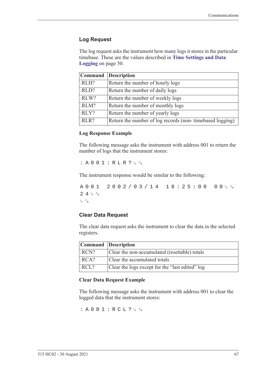#### **Log Request**

The log request asks the instrument how many logs it stores in the particular timebase. These are the values described in **[Time Settings and Data](#page-59-0)  Logging** [on page 50](#page-59-0).

|       | Command Description                                      |
|-------|----------------------------------------------------------|
| :RLH? | Return the number of hourly logs                         |
| :RLD? | Return the number of daily logs                          |
| :RLW? | Return the number of weekly logs                         |
| :RLM? | Return the number of monthly logs                        |
| :RLY? | Return the number of yearly logs                         |
| :RLR? | Return the number of log records (non-timebased logging) |

#### **Log Response Example**

The following message asks the instrument with address 001 to return the number of logs that the instrument stores:

 $: A 0 0 1 : R L R ? \nmid R$ 

The instrument response would be similar to the following:

A001 2002/03/14 18:25:00  $F$   $\circ$ R  $24r$ <sub>F</sub>  $c_R$ L <sup>F</sup> <sup>C</sup> R

#### **Clear Data Request**

The clear data request asks the instrument to clear the data in the selected registers.

| Command Description |                                                 |
|---------------------|-------------------------------------------------|
| :RCN?               | Clear the non-accumulated (resettable) totals   |
| :RCA?               | Clear the accumulated totals                    |
| :RCL?               | Clear the logs except for the "last edited" log |

#### **Clear Data Request Example**

The following message asks the instrument with address 001 to clear the logged data that the instrument stores:

: A 0 0 1 : R C L ?  $L_F$   $c_R$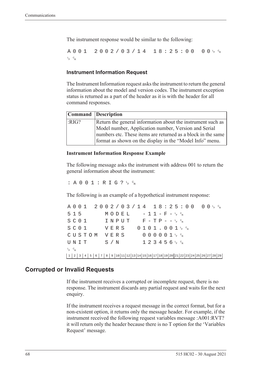The instrument response would be similar to the following:

A001 2002/03/14 18:25:00  $F$   $\circ$ <sub>R</sub> L <sup>F</sup> <sup>C</sup> R

#### **Instrument Information Request**

The Instrument Information request asks the instrument to return the general information about the model and version codes. The instrument exception status is returned as a part of the header as it is with the header for all command responses.

|      | Command Description                                                                                                      |
|------|--------------------------------------------------------------------------------------------------------------------------|
| RIG? | Return the general information about the instrument such as                                                              |
|      | Model number, Application number, Version and Serial                                                                     |
|      | numbers etc. These items are returned as a block in the same<br>format as shown on the display in the "Model Info" menu. |

#### **Instrument Information Response Example**

The following message asks the instrument with address 001 to return the general information about the instrument:

: A 0 0 1 : R I G ?  $L_F$   $C_R$ 

The following is an example of a hypothetical instrument response:

A001 2002/03/14 18:25:00 <sup>F</sup> <sup>C</sup> R  $515$   $MODEL$   $-11-F-F_{R}^{c}$  $S$  C O  $1$  I N P U T F - T P - - <sup>L</sup><sub>F</sub> <sup>C</sup>R  $S$  C O  $1$  V E R S O  $1$  O  $1$  J  $1$  , O  $0$   $1$   $1$   $1$   $6$   $8$ CUSTOM VERS 000001<sup>t</sup>F<sup>c</sup>r  $\texttt{UNIT}$  S/N 123456<sup>L</sup>F <sup>C</sup>R L <sup>F</sup> <sup>C</sup> R 1 2 3 4 5 6 7 8 9 10 11 12 13 14 15 16 17 18 19 20 21 22 23 24 25 26 27 28 29

# **Corrupted or Invalid Requests**

If the instrument receives a corrupted or incomplete request, there is no response. The instrument discards any partial request and waits for the next enquiry.

If the instrument receives a request message in the correct format, but for a non-existent option, it returns only the message header. For example, if the instrument received the following request variables message :A001:RVT? it will return only the header because there is no T option for the 'Variables Request' message.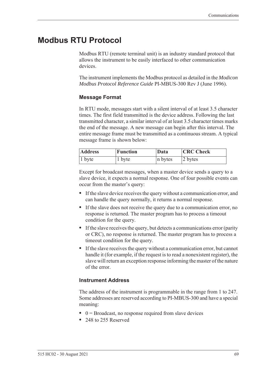# **Modbus RTU Protocol**

<span id="page-78-0"></span>Modbus RTU (remote terminal unit) is an industry standard protocol that allows the instrument to be easily interfaced to other communication devices.

The instrument implements the Modbus protocol as detailed in the *Modicon Modbus Protocol Reference Guide* PI-MBUS-300 Rev J (June 1996).

### **Message Format**

In RTU mode, messages start with a silent interval of at least 3.5 character times. The first field transmitted is the device address. Following the last transmitted character, a similar interval of at least 3.5 character times marks the end of the message. A new message can begin after this interval. The entire message frame must be transmitted as a continuous stream. A typical message frame is shown below:

| <b>Address</b> | <b>Function</b> | Data    | <b>CRC</b> Check |  |  |  |  |
|----------------|-----------------|---------|------------------|--|--|--|--|
| $ 1$ byte      | 1 byte          | n bytes | 2 bytes          |  |  |  |  |

Except for broadcast messages, when a master device sends a query to a slave device, it expects a normal response. One of four possible events can occur from the master's query:

- **•** If the slave device receives the query without a communication error, and can handle the query normally, it returns a normal response.
- **•** If the slave does not receive the query due to a communication error, no response is returned. The master program has to process a timeout condition for the query.
- **•** If the slave receives the query, but detects a communications error (parity or CRC), no response is returned. The master program has to process a timeout condition for the query.
- **•** If the slave receives the query without a communication error, but cannot handle it (for example, if the request is to read a nonexistent register), the slave will return an exception response informing the master of the nature of the error.

# **Instrument Address**

The address of the instrument is programmable in the range from 1 to 247. Some addresses are reserved according to PI-MBUS-300 and have a special meaning:

- 0 = Broadcast, no response required from slave devices
- **•** 248 to 255 Reserved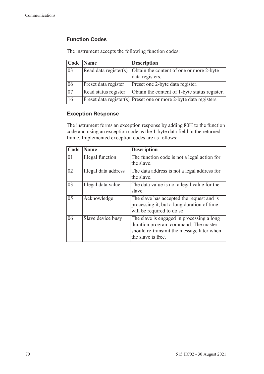# **Function Codes**

| Code            | <b>Name</b>           | <b>Description</b>                                                    |
|-----------------|-----------------------|-----------------------------------------------------------------------|
| 03              | Read data register(s) | Obtain the content of one or more 2-byte<br>data registers.           |
| 06              | Preset data register  | Preset one 2-byte data register.                                      |
| $\overline{07}$ | Read status register  | Obtain the content of 1-byte status register.                         |
| 16              |                       | $ $ Preset data register(s) Preset one or more 2-byte data registers. |

The instrument accepts the following function codes:

#### **Exception Response**

The instrument forms an exception response by adding 80H to the function code and using an exception code as the 1-byte data field in the returned frame. Implemented exception codes are as follows:

| Code | <b>Name</b>             | <b>Description</b>                                                                                                                                   |
|------|-------------------------|------------------------------------------------------------------------------------------------------------------------------------------------------|
| 01   | <b>Illegal</b> function | The function code is not a legal action for<br>the slave.                                                                                            |
| 02   | Illegal data address    | The data address is not a legal address for<br>the slave.                                                                                            |
| 03   | Illegal data value      | The data value is not a legal value for the<br>slave.                                                                                                |
| 05   | Acknowledge             | The slave has accepted the request and is<br>processing it, but a long duration of time<br>will be required to do so.                                |
| 06   | Slave device busy       | The slave is engaged in processing a long<br>duration program command. The master<br>should re-transmit the message later when<br>the slave is free. |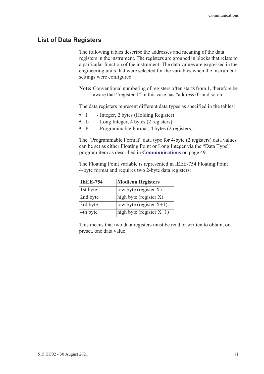# **List of Data Registers**

The following tables describe the addresses and meaning of the data registers in the instrument. The registers are grouped in blocks that relate to a particular function of the instrument. The data values are expressed in the engineering units that were selected for the variables when the instrument settings were configured.

**Note:** Conventional numbering of registers often starts from 1, therefore be aware that "register 1" in this case has "address 0" and so on.

The data registers represent different data types as specified in the tables:

- I Integer, 2 bytes (Holding Register)
- L Long Integer, 4 bytes (2 registers)
- P Programmable Format, 4 bytes (2 registers)

The "Programmable Format" data type for 4-byte (2 registers) data values can be set as either Floating Point or Long Integer via the "Data Type" program item as described in **[Communications](#page-58-0)** on page 49.

The Floating Point variable is represented in IEEE-754 Floating Point 4-byte format and requires two 2-byte data registers:

| <b>IEEE-754</b> | <b>Modicon Registers</b>                       |
|-----------------|------------------------------------------------|
| 1st byte        | low byte (register $X$ )                       |
| 2nd byte        | $\left  \text{high byte (register X)} \right $ |
| 3rd byte        | low byte (register $X+1$ )                     |
| 4th byte        | high byte (register $X+1$ )                    |

This means that two data registers must be read or written to obtain, or preset, one data value.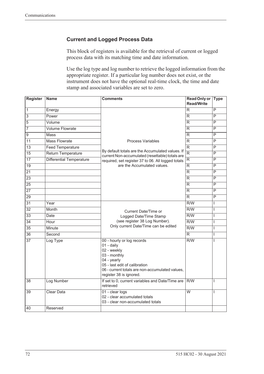# **Current and Logged Process Data**

This block of registers is available for the retrieval of current or logged process data with its matching time and date information.

Use the log type and log number to retrieve the logged information from the appropriate register. If a particular log number does not exist, or the instrument does not have the optional real-time clock, the time and date stamp and associated variables are set to zero.

| Register         | <b>Name</b>                     | <b>Comments</b>                                                                                                                                                                                         | <b>Read Only or</b><br><b>Read/Write</b> | <b>Type</b>             |
|------------------|---------------------------------|---------------------------------------------------------------------------------------------------------------------------------------------------------------------------------------------------------|------------------------------------------|-------------------------|
| $\overline{1}$   | Energy                          |                                                                                                                                                                                                         | R                                        | P                       |
| $\overline{3}$   | Power                           |                                                                                                                                                                                                         | R                                        | P                       |
| $\overline{5}$   | Volume                          |                                                                                                                                                                                                         | R                                        | P                       |
| $\overline{7}$   | <b>Volume Flowrate</b>          |                                                                                                                                                                                                         | R                                        | P                       |
| $\boldsymbol{9}$ | Mass                            |                                                                                                                                                                                                         | R                                        | P                       |
| $\overline{11}$  | <b>Mass Flowrate</b>            | <b>Process Variables</b>                                                                                                                                                                                | R                                        | $\overline{P}$          |
| $\overline{13}$  | <b>Feed Temperature</b>         |                                                                                                                                                                                                         | $\overline{R}$                           | P                       |
| $\overline{15}$  | <b>Return Temperature</b>       | By default totals are the Accumulated values. If<br>current Non-accumulated (resettable) totals are                                                                                                     | $\overline{R}$                           | P                       |
| $\overline{17}$  | <b>Differential Temperature</b> | required, set register 37 to 06. All logged totals                                                                                                                                                      | $\overline{\mathsf{R}}$                  | $\overline{P}$          |
| $\overline{19}$  |                                 | are the Accumulated values.                                                                                                                                                                             | R                                        | P                       |
| 21               |                                 |                                                                                                                                                                                                         | $\overline{R}$                           | P                       |
| $\overline{23}$  |                                 |                                                                                                                                                                                                         | R                                        | P                       |
| $\overline{25}$  |                                 |                                                                                                                                                                                                         | R                                        | P                       |
| $\overline{27}$  |                                 |                                                                                                                                                                                                         | R                                        | $\overline{\mathsf{P}}$ |
| 29               |                                 |                                                                                                                                                                                                         | $\overline{R}$                           | P                       |
| $\overline{31}$  | Year                            |                                                                                                                                                                                                         | R/W                                      | L                       |
| $\overline{32}$  | Month                           | <b>Current Date/Time or</b>                                                                                                                                                                             | $\overline{R/W}$                         | L                       |
| $\overline{33}$  | Date                            | Logged Date/Time Stamp                                                                                                                                                                                  | $\overline{R/W}$                         | $\overline{1}$          |
| $\overline{34}$  | Hour                            | (see register 38 Log Number).                                                                                                                                                                           | R/W                                      | $\overline{1}$          |
| $\overline{35}$  | Minute                          | Only current Date/Time can be edited                                                                                                                                                                    | $\overline{R/W}$                         | $\mathsf{I}$            |
| $\overline{36}$  | Second                          |                                                                                                                                                                                                         | $\overline{\mathsf{R}}$                  | $\mathsf{I}$            |
| $\overline{37}$  | Log Type                        | 00 - hourly or log records<br>$01 -$ daily<br>02 - weekly<br>03 - monthly<br>04 - yearly<br>05 - last edit of calibration<br>06 - current totals are non-accumulated values,<br>register 38 is ignored. | R/W                                      | I                       |
| 38               | Log Number                      | If set to 0, current variables and Date/Time are<br>retrieved                                                                                                                                           | R/W                                      | T                       |
| 39               | <b>Clear Data</b>               | 01 - clear logs<br>02 - clear accumulated totals<br>03 - clear non-accumulated totals                                                                                                                   | $\overline{W}$                           | T                       |
| 40               | Reserved                        |                                                                                                                                                                                                         |                                          |                         |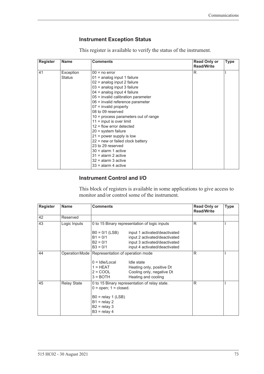# <span id="page-82-1"></span><span id="page-82-0"></span>**Instrument Exception Status**

This register is available to verify the status of the instrument.

| <b>Register</b><br><b>Name</b> |           | <b>Comments</b>                        | <b>Read Only or</b><br><b>Read/Write</b> | <b>Type</b> |
|--------------------------------|-----------|----------------------------------------|------------------------------------------|-------------|
| 41                             | Exception | $00 = no error$                        | R                                        |             |
|                                | Status    | $01$ = analog input 1 failure          |                                          |             |
|                                |           | 02 = analog input 2 failure            |                                          |             |
|                                |           | 03 = analog input 3 failure            |                                          |             |
|                                |           | $04$ = analog input 4 failure          |                                          |             |
|                                |           | 05 = invalid calibration parameter     |                                          |             |
|                                |           | 06 = invalid reference parameter       |                                          |             |
|                                |           | $07$ = invalid property                |                                          |             |
|                                |           | 08 to 09 reserved                      |                                          |             |
|                                |           | $10$ = process parameters out of range |                                          |             |
|                                |           | $11 =$ input is over limit             |                                          |             |
|                                |           | $12$ = flow error detected             |                                          |             |
|                                |           | $20 =$ system failure                  |                                          |             |
|                                |           | $21$ = power supply is low             |                                          |             |
|                                |           | $22$ = new or failed clock battery     |                                          |             |
|                                |           | 23 to 29 reserved                      |                                          |             |
|                                |           | $30 =$ alarm 1 active                  |                                          |             |
|                                |           | $31$ = alarm 2 active                  |                                          |             |
|                                |           | $32$ = alarm 3 active                  |                                          |             |
|                                |           | $33$ = alarm 4 active                  |                                          |             |

### **Instrument Control and I/O**

This block of registers is available in some applications to give access to monitor and/or control some of the instrument.

| <b>Register</b> | <b>Name</b>        | <b>Comments</b>                                                                                                 |                                                                                                                                  | <b>Read Only or</b><br><b>Read/Write</b> | <b>Type</b> |
|-----------------|--------------------|-----------------------------------------------------------------------------------------------------------------|----------------------------------------------------------------------------------------------------------------------------------|------------------------------------------|-------------|
| 42              | Reserved           |                                                                                                                 |                                                                                                                                  |                                          |             |
| 43              | Logic Inputs       |                                                                                                                 | 0 to 15 Binary representation of logic inputs                                                                                    | R                                        |             |
|                 |                    | $B0 = 0/1$ (LSB)<br>$B1 = 0/1$<br>$B2 = 0/1$<br>$B3 = 0/1$                                                      | input 1 activated/deactivated<br>input 2 activated/deactivated<br>input 3 activated/deactivated<br>input 4 activated/deactivated |                                          |             |
| 44              |                    | Operation Mode   Representation of operation mode<br>$0 =$ Idle/Local<br>$1 = HEAT$<br>$2 = COOL$<br>$3 =$ BOTH | Idle state<br>Heating only, positive Dt<br>Cooling only, negative Dt<br>Heating and cooling                                      | R                                        |             |
| 45              | <b>Relay State</b> | $0 =$ open; $1 =$ closed.<br>$B0 =$ relay 1 (LSB)<br>$B1 =$ relay 2<br>$B2 =$ relay 3<br>$B3 =$ relay 4         | 0 to 15 Binary representation of relay state.                                                                                    | R                                        |             |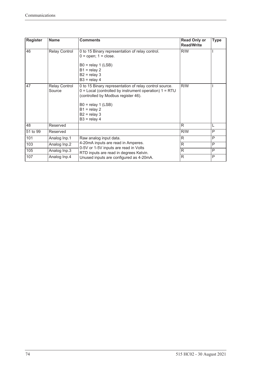| <b>Register</b><br><b>Name</b> |                         | <b>Comments</b>                                                                                                                                                                                                                           | <b>Read Only or</b><br><b>Read/Write</b> | <b>Type</b> |
|--------------------------------|-------------------------|-------------------------------------------------------------------------------------------------------------------------------------------------------------------------------------------------------------------------------------------|------------------------------------------|-------------|
| 46                             | <b>Relay Control</b>    | 0 to 15 Binary representation of relay control.<br>$0 =$ open; $1 =$ close.<br>$B0 =$ relay 1 (LSB)<br>$B1 =$ relay 2<br>$B2 =$ relay 3<br>$B3 =$ relay 4                                                                                 | R/W                                      |             |
| 47                             | Relay Control<br>Source | 0 to 15 Binary representation of relay control source.<br>$0 =$ Local (controlled by instrument operation) $1 = RTU$<br>(controlled by Modbus register 46).<br>$B0 =$ relay 1 (LSB)<br>$B1 =$ relay 2<br>$B2 =$ relay 3<br>$B3 =$ relay 4 | R/W                                      |             |
| 48                             | Reserved                |                                                                                                                                                                                                                                           | R                                        | L           |
| 51 to 99                       | Reserved                |                                                                                                                                                                                                                                           | R/W                                      | P           |
| 101                            | Analog Inp.1            | Raw analog input data.                                                                                                                                                                                                                    | R                                        | P           |
| 103                            | Analog Inp.2            | 4-20mA inputs are read in Amperes.                                                                                                                                                                                                        | R                                        | P           |
| 105                            | Analog Inp.3            | 0-5V or 1-5V inputs are read in Volts<br>RTD inputs are read in degrees Kelvin.                                                                                                                                                           | $\mathsf{R}$                             | P           |
| 107                            | Analog Inp.4            | Unused inputs are configured as 4-20mA.                                                                                                                                                                                                   | $\mathsf{R}$                             | P           |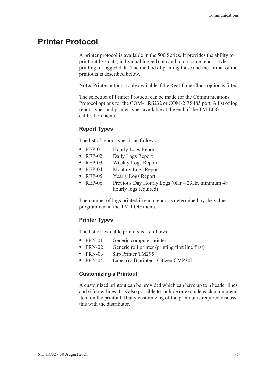# <span id="page-84-0"></span>**Printer Protocol**

<span id="page-84-2"></span>A printer protocol is available in the 500 Series. It provides the ability to print out live data, individual logged data and to do some report-style printing of logged data. The method of printing these and the format of the printouts is described below.

**Note:** Printer output is only available if the Real Time Clock option is fitted.

The selection of Printer Protocol can be made for the Communications Protocol options for the COM-1 RS232 or COM-2 RS485 port. A list of log report types and printer types available at the end of the TM-LOG calibration menu.

# <span id="page-84-3"></span>**Report Types**

The list of report types is as follows:

- REP-01 Hourly Logs Report
- **•** REP-02 Daily Logs Report
- **•** REP-03 Weekly Logs Report
- **•** REP-04 Monthly Logs Report
- **•** REP-05 Yearly Logs Report
- REP-06 Previous Day Hourly Logs (0Hr 23Hr, minimum 48 hourly logs required)

The number of logs printed in each report is determined by the values programmed in the TM-LOG menu.

#### <span id="page-84-4"></span>**Printer Types**

The list of available printers is as follows:

- PRN-01 Generic computer printer
- PRN-02 Generic roll printer (printing first line first)
- **•** PRN-03 Slip Printer TM295
- **•** PRN-04 Label (roll) printer Citizen CMP30L

#### <span id="page-84-1"></span>**Customizing a Printout**

A customized printout can be provided which can have up to 6 header lines and 6 footer lines. It is also possible to include or exclude each main menu item on the printout. If any customizing of the printout is required discuss this with the distributor.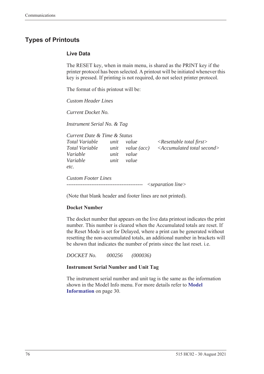# <span id="page-85-1"></span>**Types of Printouts**

#### <span id="page-85-0"></span>**Live Data**

The RESET key, when in main menu, is shared as the PRINT key if the printer protocol has been selected. A printout will be initiated whenever this key is pressed. If printing is not required, do not select printer protocol.

The format of this printout will be:

*Custom Header Lines*

*Current Docket No.* 

*Instrument Serial No. & Tag*

| Current Date & Time & Status                 |                      |                               |                                                                                   |
|----------------------------------------------|----------------------|-------------------------------|-----------------------------------------------------------------------------------|
| Total Variable<br>Total Variable<br>Variable | unit<br>unit<br>unit | value<br>value (acc)<br>value | $\langle$ Resettable total first $\rangle$<br>$\leq$ Accumulated total second $>$ |
| Variable<br>etc.                             | unit                 | value                         |                                                                                   |
| <b>Custom Footer Lines</b>                   |                      |                               | $\leq$ separation line $>$                                                        |

(Note that blank header and footer lines are not printed).

#### **Docket Number**

The docket number that appears on the live data printout indicates the print number. This number is cleared when the Accumulated totals are reset. If the Reset Mode is set for Delayed, where a print can be generated without resetting the non-accumulated totals, an additional number in brackets will be shown that indicates the number of prints since the last reset. i.e.

*DOCKET No. 000256 (000036)*

#### **Instrument Serial Number and Unit Tag**

The instrument serial number and unit tag is the same as the information shown in the Model Info menu. For more details refer to **[Model](#page-39-0)  [Information](#page-39-0)** on page 30.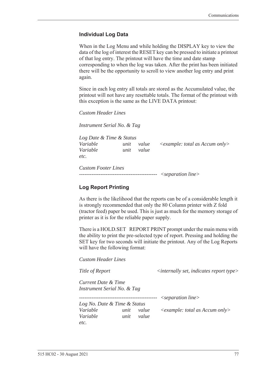### <span id="page-86-0"></span>**Individual Log Data**

When in the Log Menu and while holding the DISPLAY key to view the data of the log of interest the RESET key can be pressed to initiate a printout of that log entry. The printout will have the time and date stamp corresponding to when the log was taken. After the print has been initiated there will be the opportunity to scroll to view another log entry and print again.

Since in each log entry all totals are stored as the Accumulated value, the printout will not have any resettable totals. The format of the printout with this exception is the same as the LIVE DATA printout:

*Custom Header Lines*

*Instrument Serial No. & Tag*

*Log Date & Time & Status Variable unit value <example: total as Accum only> Variable unit value etc.*

*Custom Footer Lines -------------------------------------------- <separation line>*

#### <span id="page-86-1"></span>**Log Report Printing**

As there is the likelihood that the reports can be of a considerable length it is strongly recommended that only the 80 Column printer with Z fold (tractor feed) paper be used. This is just as much for the memory storage of printer as it is for the reliable paper supply.

There is a HOLD.SET REPORT PRINT prompt under the main menu with the ability to print the pre-selected type of report. Pressing and holding the SET key for two seconds will initiate the printout. Any of the Log Reports will have the following format:

*Custom Header Lines*

*Title of Report*  $\langle$  *internally set, indicates report type>* 

*Current Date & Time Instrument Serial No. & Tag*

*-------------------------------------------- <separation line>*

*Log No. Date & Time & Status Variable unit value <example: total as Accum only> Variable unit value etc.*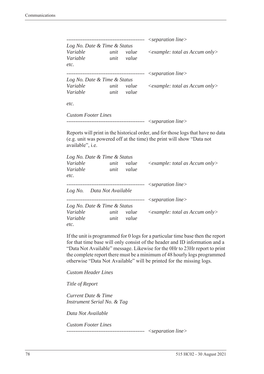|                              |      |       | $\leq$ separation line $>$              |
|------------------------------|------|-------|-----------------------------------------|
| Log No. Date & Time & Status |      |       |                                         |
| Variable                     | unit | value | $\leq$ example: total as Accum only $>$ |
| Variable                     | unit | value |                                         |
| etc.                         |      |       |                                         |
|                              |      |       | $\leq$ separation line $>$              |
| Log No. Date & Time & Status |      |       |                                         |
| Variable                     | unit | value | $\leq$ example: total as Accum only>    |
| Variable                     | unit | value |                                         |
| etc.                         |      |       |                                         |
| <b>Custom Footer Lines</b>   |      |       |                                         |

```
-------------------------------------------- <separation line>
```
Reports will print in the historical order, and for those logs that have no data (e.g. unit was powered off at the time) the print will show "Data not available", i.e.

| Log No. Date & Time & Status |      |           |                                                  |
|------------------------------|------|-----------|--------------------------------------------------|
| Variable                     | unit | value     | $\langle$ example: total as Accum only $\rangle$ |
| Variable                     | unit | value     |                                                  |
| etc.                         |      |           |                                                  |
|                              |      |           | $\leq$ separation line $>$                       |
| Log No. Data Not Available   |      |           |                                                  |
|                              |      | --------- | $\leq$ separation line $>$                       |
| Log No. Date & Time & Status |      |           |                                                  |
| Variable                     | unit | value     | $\leq$ example: total as Accum only $>$          |
| Variable                     | unit | value     |                                                  |
| etc.                         |      |           |                                                  |

If the unit is programmed for 0 logs for a particular time base then the report for that time base will only consist of the header and ID information and a "Data Not Available" message. Likewise for the 0Hr to 23Hr report to print the complete report there must be a minimum of 48 hourly logs programmed otherwise "Data Not Available" will be printed for the missing logs.

*Custom Header Lines*

*Title of Report*

*Current Date & Time Instrument Serial No. & Tag*

*Data Not Available*

*Custom Footer Lines* 

*-------------------------------------------- <separation line>*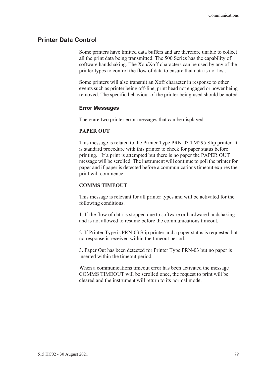# <span id="page-88-0"></span>**Printer Data Control**

Some printers have limited data buffers and are therefore unable to collect all the print data being transmitted. The 500 Series has the capability of software handshaking. The Xon/Xoff characters can be used by any of the printer types to control the flow of data to ensure that data is not lost.

Some printers will also transmit an Xoff character in response to other events such as printer being off-line, print head not engaged or power being removed. The specific behaviour of the printer being used should be noted.

#### <span id="page-88-1"></span>**Error Messages**

There are two printer error messages that can be displayed.

#### **PAPER OUT**

This message is related to the Printer Type PRN-03 TM295 Slip printer. It is standard procedure with this printer to check for paper status before printing. If a print is attempted but there is no paper the PAPER OUT message will be scrolled. The instrument will continue to poll the printer for paper and if paper is detected before a communications timeout expires the print will commence.

#### **COMMS TIMEOUT**

This message is relevant for all printer types and will be activated for the following conditions.

1. If the flow of data is stopped due to software or hardware handshaking and is not allowed to resume before the communications timeout.

2. If Printer Type is PRN-03 Slip printer and a paper status is requested but no response is received within the timeout period.

3. Paper Out has been detected for Printer Type PRN-03 but no paper is inserted within the timeout period.

When a communications timeout error has been activated the message COMMS TIMEOUT will be scrolled once, the request to print will be cleared and the instrument will return to its normal mode.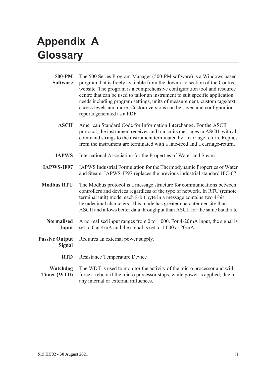# <span id="page-90-1"></span>**Appendix A Glossary**

<span id="page-90-0"></span>

| 500-PM<br><b>Software</b>              | The 500 Series Program Manager (500-PM software) is a Windows based<br>program that is freely available from the download section of the Contrec<br>website. The program is a comprehensive configuration tool and resource<br>centre that can be used to tailor an instrument to suit specific application<br>needs including program settings, units of measurement, custom tags/text,<br>access levels and more. Custom versions can be saved and configuration<br>reports generated as a PDF. |
|----------------------------------------|---------------------------------------------------------------------------------------------------------------------------------------------------------------------------------------------------------------------------------------------------------------------------------------------------------------------------------------------------------------------------------------------------------------------------------------------------------------------------------------------------|
| <b>ASCII</b>                           | American Standard Code for Information Interchange. For the ASCII<br>protocol, the instrument receives and transmits messages in ASCII, with all<br>command strings to the instrument terminated by a carriage return. Replies<br>from the instrument are terminated with a line-feed and a carriage-return.                                                                                                                                                                                      |
| <b>IAPWS</b>                           | International Association for the Properties of Water and Steam                                                                                                                                                                                                                                                                                                                                                                                                                                   |
| <b>IAPWS-IF97</b>                      | IAPWS Industrial Formulation for the Thermodynamic Properties of Water<br>and Steam. IAPWS-IF97 replaces the previous industrial standard IFC-67.                                                                                                                                                                                                                                                                                                                                                 |
| <b>Modbus RTU</b>                      | The Modbus protocol is a message structure for communications between<br>controllers and devices regardless of the type of network. In RTU (remote<br>terminal unit) mode, each 8-bit byte in a message contains two 4-bit<br>hexadecimal characters. This mode has greater character density than<br>ASCII and allows better data throughput than ASCII for the same baud rate.                                                                                                                  |
| <b>Normalised</b><br>Input             | A normalised input ranges from 0 to 1.000. For $4-20$ mA input, the signal is<br>set to 0 at 4mA and the signal is set to 1.000 at 20mA.                                                                                                                                                                                                                                                                                                                                                          |
| <b>Passive Output</b><br><b>Signal</b> | Requires an external power supply.                                                                                                                                                                                                                                                                                                                                                                                                                                                                |
| <b>RTD</b>                             | <b>Resistance Temperature Device</b>                                                                                                                                                                                                                                                                                                                                                                                                                                                              |
| Watchdog<br>Timer (WTD)                | The WDT is used to monitor the activity of the micro processor and will<br>force a reboot if the micro processor stops, while power is applied, due to<br>any internal or external influences.                                                                                                                                                                                                                                                                                                    |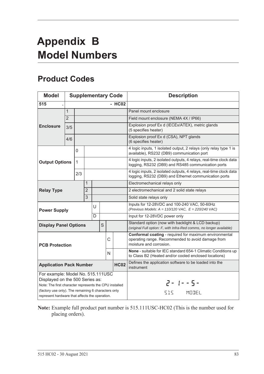# <span id="page-92-1"></span>**Appendix B Model Numbers**

# <span id="page-92-0"></span>**Product Codes**

| <b>Model</b>                                                                                                                                                                          |                |              |                |                                                                                                                                        |   | <b>Supplementary Code</b>                                                                                              | <b>Description</b>                                                                                                          |  |  |
|---------------------------------------------------------------------------------------------------------------------------------------------------------------------------------------|----------------|--------------|----------------|----------------------------------------------------------------------------------------------------------------------------------------|---|------------------------------------------------------------------------------------------------------------------------|-----------------------------------------------------------------------------------------------------------------------------|--|--|
| 515                                                                                                                                                                                   |                |              |                |                                                                                                                                        |   | $-$ HC02                                                                                                               |                                                                                                                             |  |  |
|                                                                                                                                                                                       | $\mathbf{1}$   |              |                |                                                                                                                                        |   |                                                                                                                        | Panel mount enclosure                                                                                                       |  |  |
|                                                                                                                                                                                       | $\overline{2}$ |              |                |                                                                                                                                        |   |                                                                                                                        | Field mount enclosure (NEMA 4X / IP66)                                                                                      |  |  |
| <b>Enclosure</b>                                                                                                                                                                      | 3/5            |              |                |                                                                                                                                        |   |                                                                                                                        | Explosion proof Ex d (IECEx/ATEX), metric glands<br>(5 specifies heater)                                                    |  |  |
|                                                                                                                                                                                       | 4/6            |              |                |                                                                                                                                        |   |                                                                                                                        | Explosion proof Ex d (CSA), NPT glands<br>(6 specifies heater)                                                              |  |  |
|                                                                                                                                                                                       |                | 0            |                |                                                                                                                                        |   |                                                                                                                        | 4 logic inputs, 1 isolated output, 2 relays (only relay type 1 is<br>available), RS232 (DB9) communication port             |  |  |
| <b>Output Options</b>                                                                                                                                                                 |                | $\mathbf{1}$ |                |                                                                                                                                        |   |                                                                                                                        | 4 logic inputs, 2 isolated outputs, 4 relays, real-time clock data<br>logging, RS232 (DB9) and RS485 communication ports    |  |  |
|                                                                                                                                                                                       |                | 2/3          |                |                                                                                                                                        |   |                                                                                                                        | 4 logic inputs, 2 isolated outputs, 4 relays, real-time clock data<br>logging, RS232 (DB9) and Ethernet communication ports |  |  |
|                                                                                                                                                                                       |                |              | 1              |                                                                                                                                        |   |                                                                                                                        | Electromechanical relays only                                                                                               |  |  |
| <b>Relay Type</b>                                                                                                                                                                     |                |              | $\overline{2}$ |                                                                                                                                        |   |                                                                                                                        | 2 electromechanical and 2 solid state relays                                                                                |  |  |
|                                                                                                                                                                                       |                |              | $\overline{3}$ |                                                                                                                                        |   |                                                                                                                        | Solid state relays only                                                                                                     |  |  |
| <b>Power Supply</b>                                                                                                                                                                   |                |              |                | U                                                                                                                                      |   |                                                                                                                        | Inputs for 12-28VDC and 100-240 VAC, 50-60Hz<br>(Previous Models: $A = 110/120$ VAC, $E = 220/240$ VAC)                     |  |  |
|                                                                                                                                                                                       |                |              |                | D                                                                                                                                      |   |                                                                                                                        | Input for 12-28VDC power only                                                                                               |  |  |
| <b>Display Panel Options</b>                                                                                                                                                          |                |              |                |                                                                                                                                        | S |                                                                                                                        | Standard option (now with backlight & LCD backup)<br>(original Full option: F, with Infra-Red comms, no longer available)   |  |  |
| C<br><b>PCB Protection</b>                                                                                                                                                            |                |              |                | Conformal coating - required for maximum environmental<br>operating range. Recommended to avoid damage from<br>moisture and corrosion. |   |                                                                                                                        |                                                                                                                             |  |  |
| N                                                                                                                                                                                     |                |              |                |                                                                                                                                        |   | None - suitable for IEC standard 654-1 Climatic Conditions up<br>to Class B2 (Heated and/or cooled enclosed locations) |                                                                                                                             |  |  |
| <b>HC02</b><br><b>Application Pack Number</b>                                                                                                                                         |                |              |                | Defines the application software to be loaded into the<br>instrument                                                                   |   |                                                                                                                        |                                                                                                                             |  |  |
| For example: Model No. 515.111USC<br>Displayed on the 500 Series as:<br>Note: The first character represents the CPU installed<br>(factory use only). The remaining 6 characters only |                |              |                |                                                                                                                                        |   | $2 - 1 - 5 -$                                                                                                          |                                                                                                                             |  |  |
| represent hardware that affects the operation.                                                                                                                                        |                |              |                |                                                                                                                                        |   |                                                                                                                        | MODEL<br>515                                                                                                                |  |  |

**Note:** Example full product part number is 515.111USC-HC02 (This is the number used for placing orders).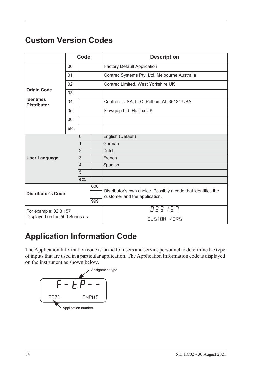# <span id="page-93-1"></span>**Custom Version Codes**

|                                              |                       | Code           |                                                               | <b>Description</b>                            |
|----------------------------------------------|-----------------------|----------------|---------------------------------------------------------------|-----------------------------------------------|
|                                              | 00                    |                |                                                               | <b>Factory Default Application</b>            |
|                                              | 01                    |                |                                                               | Contrec Systems Pty. Ltd. Melbourne Australia |
|                                              | 02                    |                |                                                               | Contrec Limited. West Yorkshire UK            |
| <b>Origin Code</b>                           | 03                    |                |                                                               |                                               |
| <b>Identifies</b><br><b>Distributor</b>      | 04                    |                |                                                               | Contrec - USA, LLC. Pelham AL 35124 USA       |
|                                              | 05                    |                |                                                               | Flowquip Ltd. Halifax UK                      |
|                                              | 06                    |                |                                                               |                                               |
|                                              | etc.                  |                |                                                               |                                               |
|                                              |                       | $\Omega$       |                                                               | English (Default)                             |
|                                              |                       | $\mathbf{1}$   |                                                               | German                                        |
|                                              |                       | $\overline{2}$ |                                                               | <b>Dutch</b>                                  |
| <b>User Language</b>                         |                       | 3              |                                                               | French                                        |
|                                              |                       | $\overline{4}$ |                                                               | Spanish                                       |
|                                              |                       | 5              |                                                               |                                               |
|                                              |                       | etc.           |                                                               |                                               |
| 000<br><b>Distributor's Code</b><br>$\cdots$ |                       |                | Distributor's own choice. Possibly a code that identifies the |                                               |
|                                              |                       |                | customer and the application.                                 |                                               |
| 999                                          |                       |                |                                                               |                                               |
|                                              | For example: 02 3 157 |                |                                                               | 023157                                        |
| Displayed on the 500 Series as:              |                       |                |                                                               | CUSTOM VERS                                   |

# **Application Information Code**

The Application Information code is an aid for users and service personnel to determine the type of inputs that are used in a particular application. The Application Information code is displayed on the instrument as shown below.

<span id="page-93-0"></span>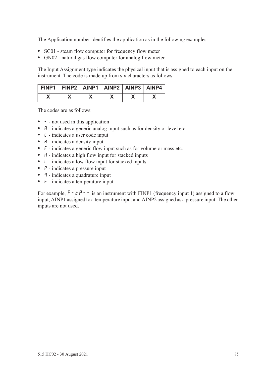The Application number identifies the application as in the following examples:

- **•** SC01 steam flow computer for frequency flow meter
- **•** GN02 natural gas flow computer for analog flow meter

The Input Assignment type indicates the physical input that is assigned to each input on the instrument. The code is made up from six characters as follows:

| FINP1   FINP2   AINP1   AINP2   AINP3   AINP4 |  |  |  |
|-----------------------------------------------|--|--|--|
|                                               |  |  |  |

The codes are as follows:

- - not used in this application
- **A** indicates a generic analog input such as for density or level etc.
- **•** C indicates a user code input
- d indicates a density input
- **•** F indicates a generic flow input such as for volume or mass etc.
- H indicates a high flow input for stacked inputs
- **•** L indicates a low flow input for stacked inputs
- **•** P indicates a pressure input
- **q** indicates a quadrature input
- *k* indicates a temperature input.

For example,  $F - tP - -$  is an instrument with FINP1 (frequency input 1) assigned to a flow input, AINP1 assigned to a temperature input and AINP2 assigned as a pressure input. The other inputs are not used.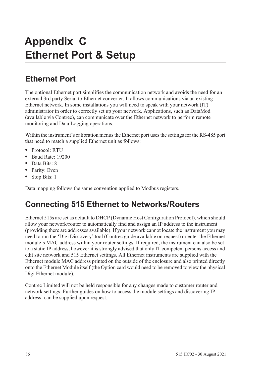# **Appendix C Ethernet Port & Setup**

# **Ethernet Port**

The optional Ethernet port simplifies the communication network and avoids the need for an external 3rd party Serial to Ethernet converter. It allows communications via an existing Ethernet network. In some installations you will need to speak with your network (IT) administrator in order to correctly set up your network. Applications, such as DataMod (available via Contrec), can communicate over the Ethernet network to perform remote monitoring and Data Logging operations.

Within the instrument's calibration menus the Ethernet port uses the settings for the RS-485 port that need to match a supplied Ethernet unit as follows:

- **•** Protocol: RTU
- **•** Baud Rate: 19200
- **•** Data Bits: 8
- **•** Parity: Even
- **•** Stop Bits: 1

Data mapping follows the same convention applied to Modbus registers.

# **Connecting 515 Ethernet to Networks/Routers**

Ethernet 515s are set as default to DHCP (Dynamic Host Configuration Protocol), which should allow your network/router to automatically find and assign an IP address to the instrument (providing there are addresses available). If your network cannot locate the instrument you may need to run the 'Digi Discovery' tool (Contrec guide available on request) or enter the Ethernet module's MAC address within your router settings. If required, the instrument can also be set to a static IP address, however it is strongly advised that only IT competent persons access and edit site network and 515 Ethernet settings. All Ethernet instruments are supplied with the Ethernet module MAC address printed on the outside of the enclosure and also printed directly onto the Ethernet Module itself (the Option card would need to be removed to view the physical Digi Ethernet module).

Contrec Limited will not be held responsible for any changes made to customer router and network settings. Further guides on how to access the module settings and discovering IP address' can be supplied upon request.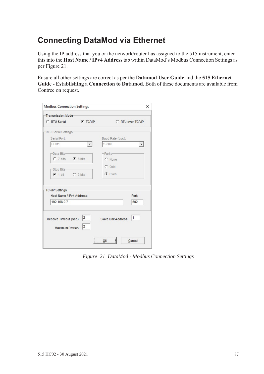# **Connecting DataMod via Ethernet**

Using the IP address that you or the network/router has assigned to the 515 instrument, enter this into the **Host Name / IPv4 Address** tab within DataMod's Modbus Connection Settings as per [Figure 21.](#page-96-0)

Ensure all other settings are correct as per the **Datamod User Guide** and the **515 Ethernet Guide - Establishing a Connection to Datamod**. Both of these documents are available from Contrec on request.

| Transmission Mode-                                   |                 |                     |                      |
|------------------------------------------------------|-----------------|---------------------|----------------------|
| C RTU Serial                                         | <b>C</b> TCP/IP | C RTU over TCP/IP   |                      |
| -RTU Serial Settings-                                |                 |                     |                      |
| Serial Port:                                         |                 | Baud Rate (bps):    |                      |
| COM1                                                 |                 | 19200               | $\blacktriangledown$ |
| -Data Bits-                                          |                 | -Parity-            |                      |
| C 7 bits C 8 bits                                    |                 | C None              |                      |
|                                                      |                 | $C$ Odd             |                      |
| -Stop Bits-                                          |                 | $G$ Even            |                      |
| $C$ 1 bit $C$ 2 bits                                 |                 |                     |                      |
| TCP/IP Settings                                      |                 |                     |                      |
| Host Name / IPv4 Address:                            |                 |                     | Port:                |
| 192.168.0.7                                          |                 |                     | 502                  |
| Receive Timeout (sec): $\vert^2$<br>Maximum Retries: | 2               | Slave Unit Address: | 11                   |
|                                                      |                 | ,                   | Cancel               |

<span id="page-96-0"></span>*Figure 21 DataMod - Modbus Connection Settings*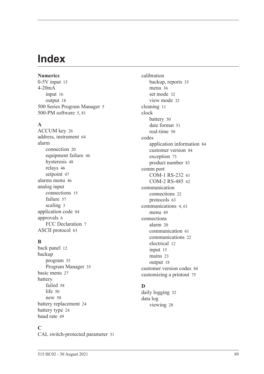# **Index**

**Numerics** 0-5V inpu[t 15](#page-24-0) 4-20mA input [16](#page-25-0) output [18](#page-27-0) 500 Series Program Manage[r 5](#page-14-0) 500-PM software [5,](#page-14-0) [81](#page-90-0)

### **A**

ACCUM ke[y 26](#page-35-0) address, instrumen[t 64](#page-73-0) alarm connection [20](#page-29-0) equipment failur[e 46](#page-55-0) hysteresi[s 48](#page-57-0) relays [46](#page-55-1) setpoin[t 47](#page-56-0) alarms menu [46](#page-55-2) analog input connection[s 15](#page-24-1) failur[e 57](#page-66-0) scalin[g 3](#page-12-0) application cod[e 84](#page-93-0) approvals [6](#page-15-0) FCC Declaration [7](#page-16-0) ASCII protoco[l 63](#page-72-0)

# **B**

back panel [12](#page-21-0) backup program [35](#page-44-0) Program Manage[r 35](#page-44-1) basic men[u 27](#page-36-0) battery faile[d 58](#page-67-0) lif[e 50](#page-59-1) ne[w 58](#page-67-0) battery replacemen[t 24](#page-33-0) battery typ[e 24](#page-33-1) baud rat[e 49](#page-58-1)

# **C**

CAL switch-protected parameter [31](#page-40-0)

calibration backup, reports [35](#page-44-0) menu [36](#page-45-0) set mode [32](#page-41-0) view mode [32](#page-41-1) cleaning [11](#page-20-0) clock batter[y 50](#page-59-1) date format [51](#page-60-0) real-tim[e 50](#page-59-2) codes application information [84](#page-93-0) customer versio[n 84](#page-93-1) exception [73](#page-82-1) product numbe[r 83](#page-92-0) comm port COM-1 RS-232 [61](#page-70-0) COM-2 RS-485 [62](#page-71-0) communication connection[s 22](#page-31-0) protocols [63](#page-72-1) communication[s 4,](#page-13-1) [61](#page-70-1) menu [49](#page-58-2) connections alar[m 20](#page-29-0) communication [61](#page-70-2) communication[s 22](#page-31-0) electrical [12](#page-21-1) input [15](#page-24-2) mains [23](#page-32-0) output [18](#page-27-1) customer version codes [84](#page-93-1) customizing a printout [75](#page-84-1)

# **D**

daily logging [52](#page-61-0) data log viewing [28](#page-37-0)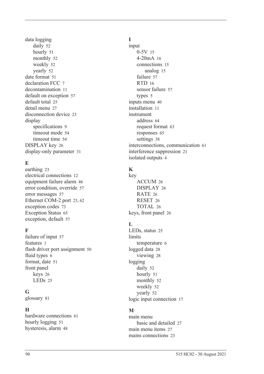data logging daily [52](#page-61-0) hourl[y 51](#page-60-1) monthly [52](#page-61-1) weekl[y 52](#page-61-2) yearly [52](#page-61-3) date format [51](#page-60-0) declaration FCC [7](#page-16-0) decontamination [11](#page-20-0) default on exception [57](#page-66-1) default tota[l 25](#page-34-0) detail men[u 27](#page-36-0) disconnection device [23](#page-32-1) display specifications [9](#page-18-0) timeout mod[e 54](#page-63-0) timeout time [54](#page-63-1) DISPLAY key [26](#page-35-1) display-only parameter [31](#page-40-1)

# **E**

earthin[g 23](#page-32-2) electrical connections [12](#page-21-1) equipment failure alarm [46](#page-55-0) error condition, overrid[e 57](#page-66-2) error message[s 57](#page-66-3) Ethernet COM-2 por[t 23,](#page-32-3) [62](#page-71-1) exception codes [73](#page-82-1) Exception Status [65](#page-74-0) exception, default [57](#page-66-1)

# **F**

failure of input [57](#page-66-0) features [1](#page-10-0) flash driver port assignmen[t 50](#page-59-3) fluid types [6](#page-15-1) format, date [51](#page-60-0) front panel keys [26](#page-35-2) LEDs [25](#page-34-1)

#### **G**

glossary [81](#page-90-1)

# **H**

hardware connections [61](#page-70-2) hourly logging [51](#page-60-1) hysteresis, alar[m 48](#page-57-0)

# **I**

input 0-5[V 15](#page-24-0) 4-20mA [16](#page-25-0) connections [15](#page-24-2) analog [15](#page-24-1) failure [57](#page-66-0) RTD [16](#page-25-1) sensor failure [57](#page-66-0) types [5](#page-14-1) inputs menu [40](#page-49-0) installation [11](#page-20-1) instrument address [64](#page-73-0) request forma[t 63](#page-72-2) response[s 65](#page-74-1) setting[s 38](#page-47-0) interconnections, communication [61](#page-70-2) interference suppression [21](#page-30-0) isolated output[s 4](#page-13-2)

# **K**

key ACCUM [26](#page-35-0) DISPLA[Y 26](#page-35-1) RATE [26](#page-35-3) RESE[T 26](#page-35-4) TOTAL [26](#page-35-5) keys, front panel [26](#page-35-2)

# **L**

LEDs, status [25](#page-34-1) limits temperature [6](#page-15-1) logged dat[a 28](#page-37-0) viewin[g 28](#page-37-1) logging daily [52](#page-61-0) hourly [51](#page-60-1) monthly [52](#page-61-1) weekl[y 52](#page-61-2) yearly [52](#page-61-3) logic input connection [17](#page-26-0)

# **M**

main menu basic and detailed [27](#page-36-0) main menu item[s 27](#page-36-1) mains connections [23](#page-32-0)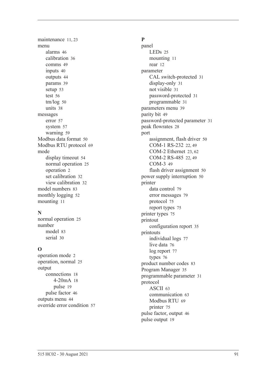maintenance [11,](#page-20-1) [23](#page-32-4) menu alarm[s 46](#page-55-2) calibratio[n 36](#page-45-0) comms [49](#page-58-2) input[s 40](#page-49-0) output[s 44](#page-53-0) params [39](#page-48-0) setu[p 53](#page-62-0) test [56](#page-65-0) tm/lo[g 50](#page-59-4) unit[s 38](#page-47-1) messages erro[r 57](#page-66-3) syste[m 57](#page-66-4) warnin[g 59](#page-68-0) Modbus data forma[t 50](#page-59-5) Modbus RTU protoco[l 69](#page-78-0) mode display timeou[t 54](#page-63-0) normal operatio[n 25](#page-34-2) operatio[n 2](#page-11-0) set calibration [32](#page-41-0) view calibration [32](#page-41-1) model number[s 83](#page-92-1) monthly logging [52](#page-61-1) mountin[g 11](#page-20-2)

# **N**

normal operatio[n 25](#page-34-2) number mode[l 83](#page-92-1) seria[l 30](#page-39-1)

# **O**

operation mod[e 2](#page-11-0) operation, norma[l 25](#page-34-2) output connection[s 18](#page-27-1) 4-20m[A 18](#page-27-0) puls[e 19](#page-28-0) pulse facto[r 46](#page-55-3) outputs men[u 44](#page-53-0) override error condition [57](#page-66-2)

# **P**

panel LEDs [25](#page-34-1) mounting [11](#page-20-2) rear [12](#page-21-0) parameter CAL switch-protected [31](#page-40-0) display-only [31](#page-40-1) not visibl[e 31](#page-40-2) password-protected [31](#page-40-3) programmable [31](#page-40-4) parameters men[u 39](#page-48-0) parity bit [49](#page-58-3) password-protected parameter [31](#page-40-3) peak flowrate[s 28](#page-37-2) port assignment, flash driver [50](#page-59-3) COM-1 RS-232 [22,](#page-31-1) [49](#page-58-4) COM-2 Ethernet [23,](#page-32-3) [62](#page-71-1) COM-2 RS-485 [22,](#page-31-2) [49](#page-58-5) COM-[3 49](#page-58-6) flash driver assignment [50](#page-59-3) power supply interruption [50](#page-59-1) printer data control [79](#page-88-0) error messages [79](#page-88-1) protocol [75](#page-84-2) report types [75](#page-84-3) printer type[s 75](#page-84-4) printout configuration repor[t 35](#page-44-2) printouts individual logs [77](#page-86-0) live data [76](#page-85-0) log report [77](#page-86-1) type[s 76](#page-85-1) product number codes [83](#page-92-0) Program Manager [35](#page-44-1) programmable parameter [31](#page-40-4) protocol ASCI[I 63](#page-72-0) communication [63](#page-72-1) Modbus RT[U 69](#page-78-0) printer [75](#page-84-2) pulse factor, output [46](#page-55-3) pulse output [19](#page-28-0)